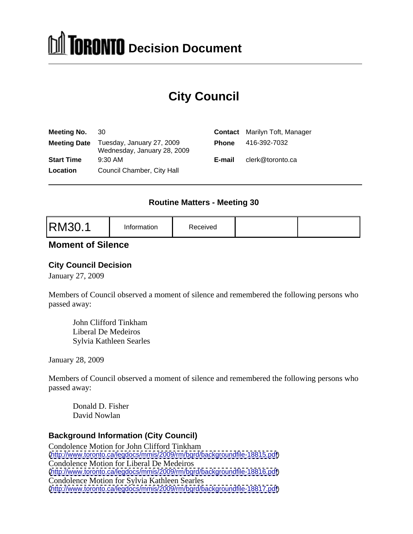# **DOMINAL Decision Document**

# **City Council**

| Meeting No. 30    |                                                                       | <b>Contact</b> Marilyn Toft, Manager |
|-------------------|-----------------------------------------------------------------------|--------------------------------------|
|                   | Meeting Date Tuesday, January 27, 2009<br>Wednesday, January 28, 2009 | Phone 416-392-7032                   |
| <b>Start Time</b> | 9:30 AM                                                               | clerk@toronto.ca                     |
| Location          | Council Chamber, City Hall                                            |                                      |
|                   |                                                                       |                                      |

#### **Routine Matters - Meeting 30**

|--|--|

#### **Moment of Silence**

#### **City Council Decision**

January 27, 2009

Members of Council observed a moment of silence and remembered the following persons who passed away:

John Clifford Tinkham Liberal De Medeiros Sylvia Kathleen Searles

January 28, 2009

Members of Council observed a moment of silence and remembered the following persons who passed away:

Donald D. Fisher David Nowlan

#### **Background Information (City Council)**

Condolence Motion for John Clifford Tinkham [\(http://www.toronto.ca/legdocs/mmis/2009/rm/bgrd/backgroundfile-18815.pdf](http://www.toronto.ca/legdocs/mmis/2009/rm/bgrd/backgroundfile-18815.pdf)) Condolence Motion for Liberal De Medeiros [\(http://www.toronto.ca/legdocs/mmis/2009/rm/bgrd/backgroundfile-18816.pdf](http://www.toronto.ca/legdocs/mmis/2009/rm/bgrd/backgroundfile-18816.pdf)) Condolence Motion for Sylvia Kathleen Searles [\(http://www.toronto.ca/legdocs/mmis/2009/rm/bgrd/backgroundfile-18817.pdf](http://www.toronto.ca/legdocs/mmis/2009/rm/bgrd/backgroundfile-18817.pdf))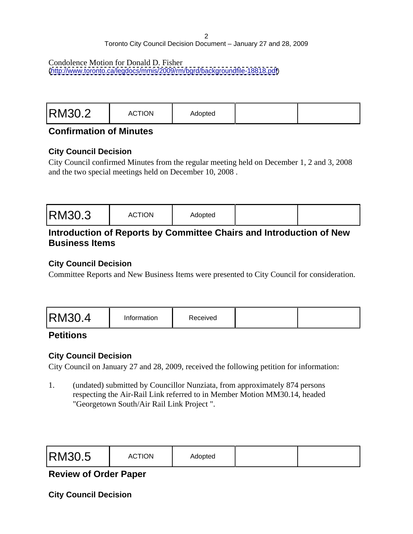#### 2 a *2* a *2* a *2* a *2* a *2* a *2* a *2* a *2* a *2* a *2* a *2* a *2* a *2* a *2* a *2* a *2* a *2* a *2* a *2* a *2* a *2* a *2* a *2* a *2* a *2* a *2* a *2* a *2* a *2* a *2* a *2* a *2* a *2* a *2* a *2* a *2* a *2* Toronto City Council Decision Document – January 27 and 28, 2009

#### Condolence Motion for Donald D. Fisher

[\(http://www.toronto.ca/legdocs/mmis/2009/rm/bgrd/backgroundfile-18818.pdf](http://www.toronto.ca/legdocs/mmis/2009/rm/bgrd/backgroundfile-18818.pdf))

|--|--|

#### **Confirmation of Minutes**

#### **City Council Decision**

City Council confirmed Minutes from the regular meeting held on December 1, 2 and 3, 2008 and the two special meetings held on December 10, 2008 .

#### **Introduction of Reports by Committee Chairs and Introduction of New Business Items**

#### **City Council Decision**

Committee Reports and New Business Items were presented to City Council for consideration.

#### **Petitions**

#### **City Council Decision**

City Council on January 27 and 28, 2009, received the following petition for information:

1. (undated) submitted by Councillor Nunziata, from approximately 874 persons respecting the Air-Rail Link referred to in Member Motion MM30.14, headed "Georgetown South/Air Rail Link Project ".

|--|--|

#### **Review of Order Paper**

**City Council Decision**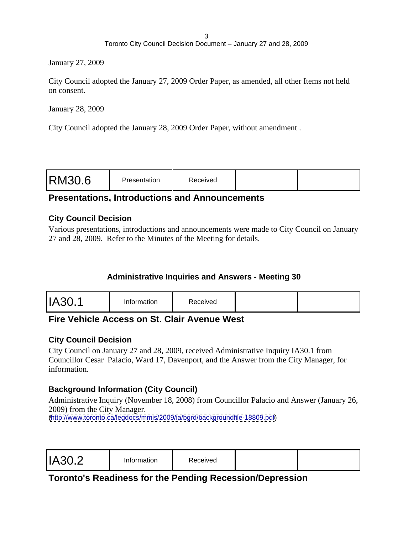January 27, 2009

City Council adopted the January 27, 2009 Order Paper, as amended, all other Items not held on consent.

January 28, 2009

City Council adopted the January 28, 2009 Order Paper, without amendment .

|--|--|

#### **Presentations, Introductions and Announcements**

#### **City Council Decision**

Various presentations, introductions and announcements were made to City Council on January 27 and 28, 2009. Refer to the Minutes of the Meeting for details.

#### **Administrative Inquiries and Answers - Meeting 30**

|--|--|--|

#### **Fire Vehicle Access on St. Clair Avenue West**

#### **City Council Decision**

City Council on January 27 and 28, 2009, received Administrative Inquiry IA30.1 from Councillor Cesar Palacio, Ward 17, Davenport, and the Answer from the City Manager, for information.

#### **Background Information (City Council)**

Administrative Inquiry (November 18, 2008) from Councillor Palacio and Answer (January 26, 2009) from the City Manager.

[\(http://www.toronto.ca/legdocs/mmis/2009/ia/bgrd/backgroundfile-18809.pdf](http://www.toronto.ca/legdocs/mmis/2009/ia/bgrd/backgroundfile-18809.pdf))

#### **Toronto's Readiness for the Pending Recession/Depression**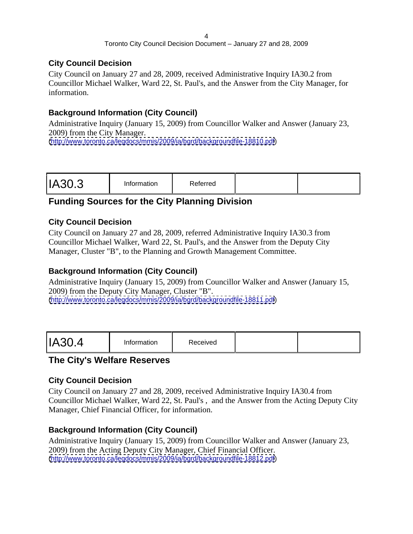#### **City Council Decision**

City Council on January 27 and 28, 2009, received Administrative Inquiry IA30.2 from Councillor Michael Walker, Ward 22, St. Paul's, and the Answer from the City Manager, for information.

#### **Background Information (City Council)**

Administrative Inquiry (January 15, 2009) from Councillor Walker and Answer (January 23, 2009) from the City Manager. [\(http://www.toronto.ca/legdocs/mmis/2009/ia/bgrd/backgroundfile-18810.pdf](http://www.toronto.ca/legdocs/mmis/2009/ia/bgrd/backgroundfile-18810.pdf))

#### **Funding Sources for the City Planning Division**

#### **City Council Decision**

City Council on January 27 and 28, 2009, referred Administrative Inquiry IA30.3 from Councillor Michael Walker, Ward 22, St. Paul's, and the Answer from the Deputy City Manager, Cluster "B", to the Planning and Growth Management Committee.

#### **Background Information (City Council)**

Administrative Inquiry (January 15, 2009) from Councillor Walker and Answer (January 15, 2009) from the Deputy City Manager, Cluster "B". [\(http://www.toronto.ca/legdocs/mmis/2009/ia/bgrd/backgroundfile-18811.pdf](http://www.toronto.ca/legdocs/mmis/2009/ia/bgrd/backgroundfile-18811.pdf))

#### **The City's Welfare Reserves**

#### **City Council Decision**

City Council on January 27 and 28, 2009, received Administrative Inquiry IA30.4 from Councillor Michael Walker, Ward 22, St. Paul's , and the Answer from the Acting Deputy City Manager, Chief Financial Officer, for information.

#### **Background Information (City Council)**

Administrative Inquiry (January 15, 2009) from Councillor Walker and Answer (January 23, 2009) from the Acting Deputy City Manager, Chief Financial Officer. [\(http://www.toronto.ca/legdocs/mmis/2009/ia/bgrd/backgroundfile-18812.pdf](http://www.toronto.ca/legdocs/mmis/2009/ia/bgrd/backgroundfile-18812.pdf))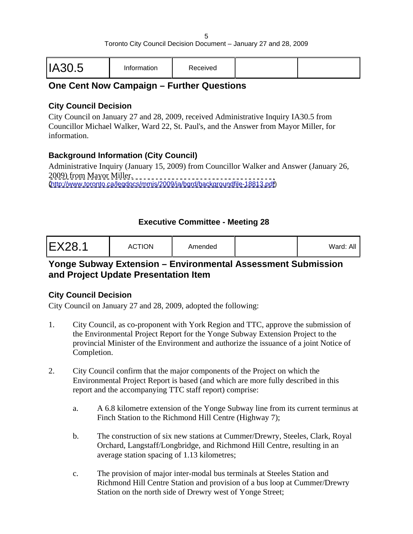|--|--|

#### **One Cent Now Campaign – Further Questions**

#### **City Council Decision**

City Council on January 27 and 28, 2009, received Administrative Inquiry IA30.5 from Councillor Michael Walker, Ward 22, St. Paul's, and the Answer from Mayor Miller, for information.

#### **Background Information (City Council)**

Administrative Inquiry (January 15, 2009) from Councillor Walker and Answer (January 26, 2009) from Mayor Miller.

[\(http://www.toronto.ca/legdocs/mmis/2009/ia/bgrd/backgroundfile-18813.pdf](http://www.toronto.ca/legdocs/mmis/2009/ia/bgrd/backgroundfile-18813.pdf))

#### **Executive Committee - Meeting 28**

| <b>EX28.1</b> | <b>ACTION</b><br>$  -$ | Amended |  | $\mathbf{A}$ and $\mathbf{A}$ and $\mathbf{A}$<br>/Vard: All |  |  |  |  |  |  |  |  |  |  |  |  |  |  |
|---------------|------------------------|---------|--|--------------------------------------------------------------|--|--|--|--|--|--|--|--|--|--|--|--|--|--|
|---------------|------------------------|---------|--|--------------------------------------------------------------|--|--|--|--|--|--|--|--|--|--|--|--|--|--|

#### **Yonge Subway Extension – Environmental Assessment Submission and Project Update Presentation Item**

#### **City Council Decision**

- 1. City Council, as co-proponent with York Region and TTC, approve the submission of the Environmental Project Report for the Yonge Subway Extension Project to the provincial Minister of the Environment and authorize the issuance of a joint Notice of Completion.
- 2. City Council confirm that the major components of the Project on which the Environmental Project Report is based (and which are more fully described in this report and the accompanying TTC staff report) comprise:
	- a. A 6.8 kilometre extension of the Yonge Subway line from its current terminus at Finch Station to the Richmond Hill Centre (Highway 7);
	- b. The construction of six new stations at Cummer/Drewry, Steeles, Clark, Royal Orchard, Langstaff/Longbridge, and Richmond Hill Centre, resulting in an average station spacing of 1.13 kilometres;
	- c. The provision of major inter-modal bus terminals at Steeles Station and Richmond Hill Centre Station and provision of a bus loop at Cummer/Drewry Station on the north side of Drewry west of Yonge Street;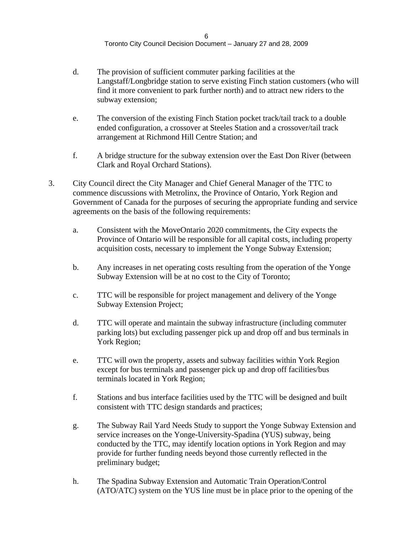- d. The provision of sufficient commuter parking facilities at the Langstaff/Longbridge station to serve existing Finch station customers (who will find it more convenient to park further north) and to attract new riders to the subway extension;
- e. The conversion of the existing Finch Station pocket track/tail track to a double ended configuration, a crossover at Steeles Station and a crossover/tail track arrangement at Richmond Hill Centre Station; and
- f. A bridge structure for the subway extension over the East Don River (between Clark and Royal Orchard Stations).
- 3. City Council direct the City Manager and Chief General Manager of the TTC to commence discussions with Metrolinx, the Province of Ontario, York Region and Government of Canada for the purposes of securing the appropriate funding and service agreements on the basis of the following requirements:
	- a. Consistent with the MoveOntario 2020 commitments, the City expects the Province of Ontario will be responsible for all capital costs, including property acquisition costs, necessary to implement the Yonge Subway Extension;
	- b. Any increases in net operating costs resulting from the operation of the Yonge Subway Extension will be at no cost to the City of Toronto;
	- c. TTC will be responsible for project management and delivery of the Yonge Subway Extension Project;
	- d. TTC will operate and maintain the subway infrastructure (including commuter parking lots) but excluding passenger pick up and drop off and bus terminals in York Region;
	- e. TTC will own the property, assets and subway facilities within York Region except for bus terminals and passenger pick up and drop off facilities/bus terminals located in York Region;
	- f. Stations and bus interface facilities used by the TTC will be designed and built consistent with TTC design standards and practices;
	- g. The Subway Rail Yard Needs Study to support the Yonge Subway Extension and service increases on the Yonge-University-Spadina (YUS) subway, being conducted by the TTC, may identify location options in York Region and may provide for further funding needs beyond those currently reflected in the preliminary budget;
	- h. The Spadina Subway Extension and Automatic Train Operation/Control (ATO/ATC) system on the YUS line must be in place prior to the opening of the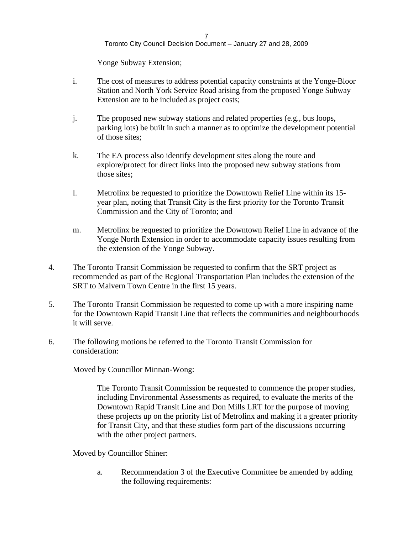Yonge Subway Extension;

- i. The cost of measures to address potential capacity constraints at the Yonge-Bloor Station and North York Service Road arising from the proposed Yonge Subway Extension are to be included as project costs;
- j. The proposed new subway stations and related properties (e.g., bus loops, parking lots) be built in such a manner as to optimize the development potential of those sites;
- k. The EA process also identify development sites along the route and explore/protect for direct links into the proposed new subway stations from those sites;
- l. Metrolinx be requested to prioritize the Downtown Relief Line within its 15 year plan, noting that Transit City is the first priority for the Toronto Transit Commission and the City of Toronto; and
- m. Metrolinx be requested to prioritize the Downtown Relief Line in advance of the Yonge North Extension in order to accommodate capacity issues resulting from the extension of the Yonge Subway.
- 4. The Toronto Transit Commission be requested to confirm that the SRT project as recommended as part of the Regional Transportation Plan includes the extension of the SRT to Malvern Town Centre in the first 15 years.
- 5. The Toronto Transit Commission be requested to come up with a more inspiring name for the Downtown Rapid Transit Line that reflects the communities and neighbourhoods it will serve.
- 6. The following motions be referred to the Toronto Transit Commission for consideration:

Moved by Councillor Minnan-Wong:

The Toronto Transit Commission be requested to commence the proper studies, including Environmental Assessments as required, to evaluate the merits of the Downtown Rapid Transit Line and Don Mills LRT for the purpose of moving these projects up on the priority list of Metrolinx and making it a greater priority for Transit City, and that these studies form part of the discussions occurring with the other project partners.

Moved by Councillor Shiner:

a. Recommendation 3 of the Executive Committee be amended by adding the following requirements: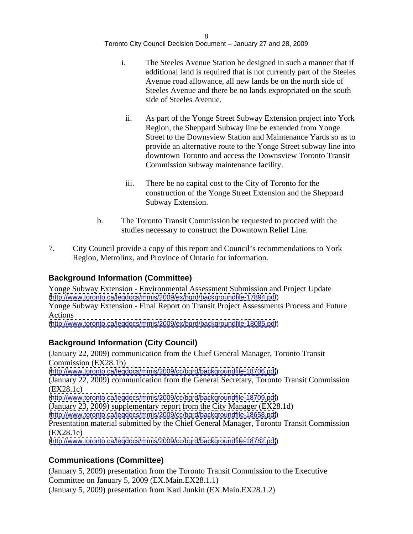- i. The Steeles Avenue Station be designed in such a manner that if additional land is required that is not currently part of the Steeles Avenue road allowance, all new lands be on the north side of Steeles Avenue and there be no lands expropriated on the south side of Steeles Avenue.
	- ii. As part of the Yonge Street Subway Extension project into York Region, the Sheppard Subway line be extended from Yonge Street to the Downsview Station and Maintenance Yards so as to provide an alternative route to the Yonge Street subway line into downtown Toronto and access the Downsview Toronto Transit Commission subway maintenance facility.
	- iii. There be no capital cost to the City of Toronto for the construction of the Yonge Street Extension and the Sheppard Subway Extension.
- b. The Toronto Transit Commission be requested to proceed with the studies necessary to construct the Downtown Relief Line.
- 7. City Council provide a copy of this report and Council's recommendations to York Region, Metrolinx, and Province of Ontario for information.

#### **Background Information (Committee)**

Yonge Subway Extension - Environmental Assessment Submission and Project Update [\(http://www.toronto.ca/legdocs/mmis/2009/ex/bgrd/backgroundfile-17894.pdf](http://www.toronto.ca/legdocs/mmis/2009/ex/bgrd/backgroundfile-17894.pdf)) Yonge Subway Extension - Final Report on Transit Project Assessments Process and Future

Actions [\(http://www.toronto.ca/legdocs/mmis/2009/ex/bgrd/backgroundfile-18085.pdf](http://www.toronto.ca/legdocs/mmis/2009/ex/bgrd/backgroundfile-18085.pdf))

#### **Background Information (City Council)**

(January 22, 2009) communication from the Chief General Manager, Toronto Transit Commission (EX28.1b)

[\(http://www.toronto.ca/legdocs/mmis/2009/cc/bgrd/backgroundfile-18706.pdf](http://www.toronto.ca/legdocs/mmis/2009/cc/bgrd/backgroundfile-18706.pdf))

(January 22, 2009) communication from the General Secretary, Toronto Transit Commission (EX28.1c)

[\(http://www.toronto.ca/legdocs/mmis/2009/cc/bgrd/backgroundfile-18709.pdf](http://www.toronto.ca/legdocs/mmis/2009/cc/bgrd/backgroundfile-18709.pdf))

(January 23, 2009) supplementary report from the City Manager (EX28.1d) [\(http://www.toronto.ca/legdocs/mmis/2009/cc/bgrd/backgroundfile-18658.pdf](http://www.toronto.ca/legdocs/mmis/2009/cc/bgrd/backgroundfile-18658.pdf))

Presentation material submitted by the Chief General Manager, Toronto Transit Commission (EX28.1e)

[\(http://www.toronto.ca/legdocs/mmis/2009/cc/bgrd/backgroundfile-18782.pdf](http://www.toronto.ca/legdocs/mmis/2009/cc/bgrd/backgroundfile-18782.pdf))

#### **Communications (Committee)**

(January 5, 2009) presentation from the Toronto Transit Commission to the Executive Committee on January 5, 2009 (EX.Main.EX28.1.1)

(January 5, 2009) presentation from Karl Junkin (EX.Main.EX28.1.2)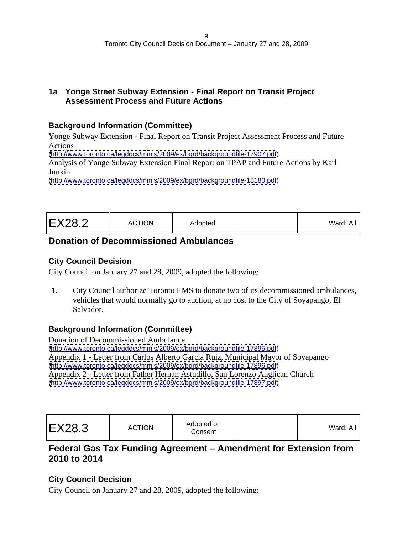#### **1a Yonge Street Subway Extension - Final Report on Transit Project Assessment Process and Future Actions**

#### **Background Information (Committee)**

Yonge Subway Extension - Final Report on Transit Project Assessment Process and Future Actions

[\(http://www.toronto.ca/legdocs/mmis/2009/ex/bgrd/backgroundfile-17907.pdf](http://www.toronto.ca/legdocs/mmis/2009/ex/bgrd/backgroundfile-17907.pdf))

Analysis of Yonge Subway Extension Final Report on TPAP and Future Actions by Karl Junkin

[\(http://www.toronto.ca/legdocs/mmis/2009/ex/bgrd/backgroundfile-18180.pdf](http://www.toronto.ca/legdocs/mmis/2009/ex/bgrd/backgroundfile-18180.pdf))

| <b>EX28.2</b> | <b>ACTION</b><br>the contract of the contract of the<br>Adopted | Ward: All |  |  |  |  |  |
|---------------|-----------------------------------------------------------------|-----------|--|--|--|--|--|
|---------------|-----------------------------------------------------------------|-----------|--|--|--|--|--|

#### **Donation of Decommissioned Ambulances**

#### **City Council Decision**

City Council on January 27 and 28, 2009, adopted the following:

1. City Council authorize Toronto EMS to donate two of its decommissioned ambulances, vehicles that would normally go to auction, at no cost to the City of Soyapango, El Salvador.

#### **Background Information (Committee)**

Donation of Decommissioned Ambulance [\(http://www.toronto.ca/legdocs/mmis/2009/ex/bgrd/backgroundfile-17895.pdf](http://www.toronto.ca/legdocs/mmis/2009/ex/bgrd/backgroundfile-17895.pdf)) Appendix 1 - Letter from Carlos Alberto Garcia Ruiz, Municipal Mayor of Soyapango [\(http://www.toronto.ca/legdocs/mmis/2009/ex/bgrd/backgroundfile-17896.pdf](http://www.toronto.ca/legdocs/mmis/2009/ex/bgrd/backgroundfile-17896.pdf)) Appendix 2 - Letter from Father Hernan Astudillo, San Lorenzo Anglican Church [\(http://www.toronto.ca/legdocs/mmis/2009/ex/bgrd/backgroundfile-17897.pdf](http://www.toronto.ca/legdocs/mmis/2009/ex/bgrd/backgroundfile-17897.pdf))

| Ward: All |
|-----------|
|-----------|

#### **Federal Gas Tax Funding Agreement – Amendment for Extension from 2010 to 2014**

#### **City Council Decision**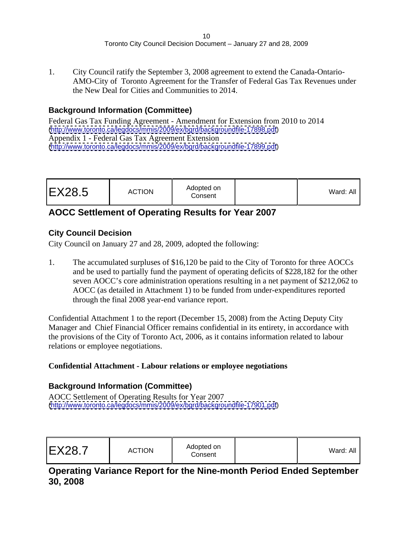1. City Council ratify the September 3, 2008 agreement to extend the Canada-Ontario- AMO-City of Toronto Agreement for the Transfer of Federal Gas Tax Revenues under the New Deal for Cities and Communities to 2014.

#### **Background Information (Committee)**

Federal Gas Tax Funding Agreement - Amendment for Extension from 2010 to 2014 [\(http://www.toronto.ca/legdocs/mmis/2009/ex/bgrd/backgroundfile-17898.pdf](http://www.toronto.ca/legdocs/mmis/2009/ex/bgrd/backgroundfile-17898.pdf)) Appendix 1 - Federal Gas Tax Agreement Extension [\(http://www.toronto.ca/legdocs/mmis/2009/ex/bgrd/backgroundfile-17899.pdf](http://www.toronto.ca/legdocs/mmis/2009/ex/bgrd/backgroundfile-17899.pdf))

# **AOCC Settlement of Operating Results for Year 2007**

#### **City Council Decision**

City Council on January 27 and 28, 2009, adopted the following:

1. The accumulated surpluses of \$16,120 be paid to the City of Toronto for three AOCCs and be used to partially fund the payment of operating deficits of \$228,182 for the other seven AOCC's core administration operations resulting in a net payment of \$212,062 to AOCC (as detailed in Attachment 1) to be funded from under-expenditures reported through the final 2008 year-end variance report.

Confidential Attachment 1 to the report (December 15, 2008) from the Acting Deputy City Manager and Chief Financial Officer remains confidential in its entirety, in accordance with the provisions of the City of Toronto Act, 2006, as it contains information related to labour relations or employee negotiations.

#### **Confidential Attachment - Labour relations or employee negotiations**

#### **Background Information (Committee)**

AOCC Settlement of Operating Results for Year 2007 [\(http://www.toronto.ca/legdocs/mmis/2009/ex/bgrd/backgroundfile-17901.pdf](http://www.toronto.ca/legdocs/mmis/2009/ex/bgrd/backgroundfile-17901.pdf))

| $\sim$ $\sim$ $\sim$<br>$l$ ord $\cdot$<br>varu: Al' |
|------------------------------------------------------|
|                                                      |
|                                                      |

#### **Operating Variance Report for the Nine-month Period Ended September 30, 2008**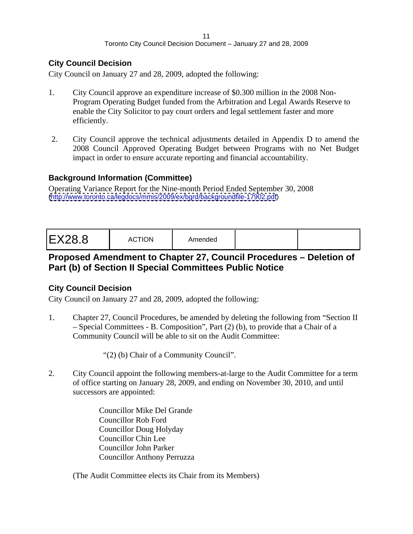#### **City Council Decision**

City Council on January 27 and 28, 2009, adopted the following:

- 1. City Council approve an expenditure increase of \$0.300 million in the 2008 Non- Program Operating Budget funded from the Arbitration and Legal Awards Reserve to enable the City Solicitor to pay court orders and legal settlement faster and more efficiently.
- 2. City Council approve the technical adjustments detailed in Appendix D to amend the 2008 Council Approved Operating Budget between Programs with no Net Budget impact in order to ensure accurate reporting and financial accountability.

#### **Background Information (Committee)**

Operating Variance Report for the Nine-month Period Ended September 30, 2008 [\(http://www.toronto.ca/legdocs/mmis/2009/ex/bgrd/backgroundfile-17902.pdf](http://www.toronto.ca/legdocs/mmis/2009/ex/bgrd/backgroundfile-17902.pdf))

|--|

#### **Proposed Amendment to Chapter 27, Council Procedures – Deletion of Part (b) of Section II Special Committees Public Notice**

#### **City Council Decision**

City Council on January 27 and 28, 2009, adopted the following:

1. Chapter 27, Council Procedures, be amended by deleting the following from "Section II – Special Committees - B. Composition", Part (2) (b), to provide that a Chair of a Community Council will be able to sit on the Audit Committee:

"(2) (b) Chair of a Community Council".

- 2. City Council appoint the following members-at-large to the Audit Committee for a term of office starting on January 28, 2009, and ending on November 30, 2010, and until successors are appointed:
	- Councillor Mike Del Grande Councillor Rob Ford Councillor Doug Holyday Councillor Chin Lee Councillor John Parker Councillor Anthony Perruzza

(The Audit Committee elects its Chair from its Members)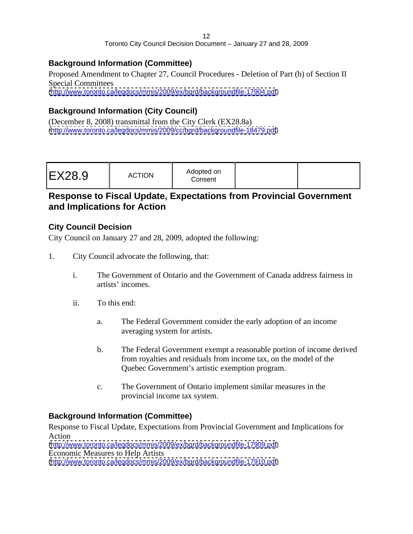#### **Background Information (Committee)**

Proposed Amendment to Chapter 27, Council Procedures - Deletion of Part (b) of Section II Special Committees [\(http://www.toronto.ca/legdocs/mmis/2009/ex/bgrd/backgroundfile-17904.pdf](http://www.toronto.ca/legdocs/mmis/2009/ex/bgrd/backgroundfile-17904.pdf))

#### **Background Information (City Council)**

(December 8, 2008) transmittal from the City Clerk (EX28.8a) [\(http://www.toronto.ca/legdocs/mmis/2009/cc/bgrd/backgroundfile-18479.pdf](http://www.toronto.ca/legdocs/mmis/2009/cc/bgrd/backgroundfile-18479.pdf))

#### **Response to Fiscal Update, Expectations from Provincial Government and Implications for Action**

#### **City Council Decision**

City Council on January 27 and 28, 2009, adopted the following:

- 1. City Council advocate the following, that:
	- i. The Government of Ontario and the Government of Canada address fairness in artists' incomes.
	- ii. To this end:
		- a. The Federal Government consider the early adoption of an income averaging system for artists.
		- b. The Federal Government exempt a reasonable portion of income derived from royalties and residuals from income tax, on the model of the Quebec Government's artistic exemption program.
		- c. The Government of Ontario implement similar measures in the provincial income tax system.

#### **Background Information (Committee)**

Response to Fiscal Update, Expectations from Provincial Government and Implications for Action **Action** [\(http://www.toronto.ca/legdocs/mmis/2009/ex/bgrd/backgroundfile-17909.pdf](http://www.toronto.ca/legdocs/mmis/2009/ex/bgrd/backgroundfile-17909.pdf)) Economic Measures to Help Artists

[\(http://www.toronto.ca/legdocs/mmis/2009/ex/bgrd/backgroundfile-17910.pdf](http://www.toronto.ca/legdocs/mmis/2009/ex/bgrd/backgroundfile-17910.pdf))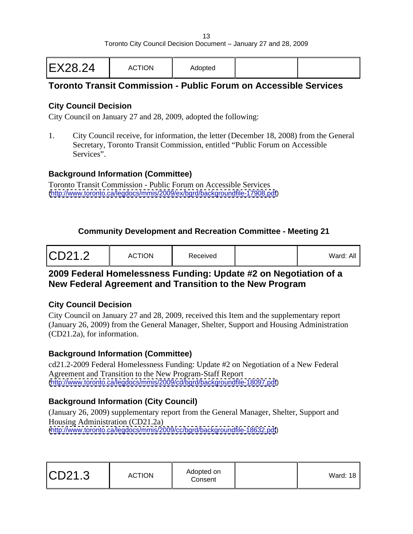|--|

#### **Toronto Transit Commission - Public Forum on Accessible Services**

#### **City Council Decision**

City Council on January 27 and 28, 2009, adopted the following:

1. City Council receive, for information, the letter (December 18, 2008) from the General Secretary, Toronto Transit Commission, entitled "Public Forum on Accessible Services".

#### **Background Information (Committee)**

Toronto Transit Commission - Public Forum on Accessible Services [\(http://www.toronto.ca/legdocs/mmis/2009/ex/bgrd/backgroundfile-17908.pdf](http://www.toronto.ca/legdocs/mmis/2009/ex/bgrd/backgroundfile-17908.pdf))

#### **Community Development and Recreation Committee - Meeting 21**

| CD21.2 | <b>ACTION</b> | Receivea |  | Ward: All |  |  |  |  |  |  |  |
|--------|---------------|----------|--|-----------|--|--|--|--|--|--|--|
|--------|---------------|----------|--|-----------|--|--|--|--|--|--|--|

#### **2009 Federal Homelessness Funding: Update #2 on Negotiation of a New Federal Agreement and Transition to the New Program**

#### **City Council Decision**

City Council on January 27 and 28, 2009, received this Item and the supplementary report (January 26, 2009) from the General Manager, Shelter, Support and Housing Administration (CD21.2a), for information.

#### **Background Information (Committee)**

cd21.2-2009 Federal Homelessness Funding: Update #2 on Negotiation of a New Federal Agreement and Transition to the New Program-Staff Report [\(http://www.toronto.ca/legdocs/mmis/2009/cd/bgrd/backgroundfile-18097.pdf](http://www.toronto.ca/legdocs/mmis/2009/cd/bgrd/backgroundfile-18097.pdf))

#### **Background Information (City Council)**

(January 26, 2009) supplementary report from the General Manager, Shelter, Support and Housing Administration (CD21.2a) [\(http://www.toronto.ca/legdocs/mmis/2009/cc/bgrd/backgroundfile-18632.pdf](http://www.toronto.ca/legdocs/mmis/2009/cc/bgrd/backgroundfile-18632.pdf))

|--|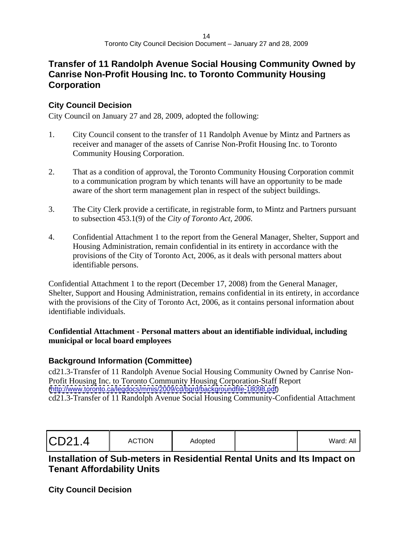#### **Transfer of 11 Randolph Avenue Social Housing Community Owned by Canrise Non-Profit Housing Inc. to Toronto Community Housing Corporation**

#### **City Council Decision**

City Council on January 27 and 28, 2009, adopted the following:

- 1. City Council consent to the transfer of 11 Randolph Avenue by Mintz and Partners as receiver and manager of the assets of Canrise Non-Profit Housing Inc. to Toronto Community Housing Corporation.
- 2. That as a condition of approval, the Toronto Community Housing Corporation commit to a communication program by which tenants will have an opportunity to be made aware of the short term management plan in respect of the subject buildings.
- 3. The City Clerk provide a certificate, in registrable form, to Mintz and Partners pursuant to subsection 453.1(9) of the *City of Toronto Act, 2006*.
- 4. Confidential Attachment 1 to the report from the General Manager, Shelter, Support and Housing Administration, remain confidential in its entirety in accordance with the provisions of the City of Toronto Act, 2006, as it deals with personal matters about identifiable persons.

Confidential Attachment 1 to the report (December 17, 2008) from the General Manager, Shelter, Support and Housing Administration, remains confidential in its entirety, in accordance with the provisions of the City of Toronto Act, 2006, as it contains personal information about identifiable individuals.

#### **Confidential Attachment - Personal matters about an identifiable individual, including municipal or local board employees**

#### **Background Information (Committee)**

cd21.3-Transfer of 11 Randolph Avenue Social Housing Community Owned by Canrise Non- Profit Housing Inc. to Toronto Community Housing Corporation-Staff Report [\(http://www.toronto.ca/legdocs/mmis/2009/cd/bgrd/backgroundfile-18098.pdf](http://www.toronto.ca/legdocs/mmis/2009/cd/bgrd/backgroundfile-18098.pdf)) cd21.3-Transfer of 11 Randolph Avenue Social Housing Community-Confidential Attachment

| CD21.4 | Adopted | . | Ward: All |  |
|--------|---------|---|-----------|--|
|--------|---------|---|-----------|--|

#### **Installation of Sub-meters in Residential Rental Units and Its Impact on Tenant Affordability Units**

**City Council Decision**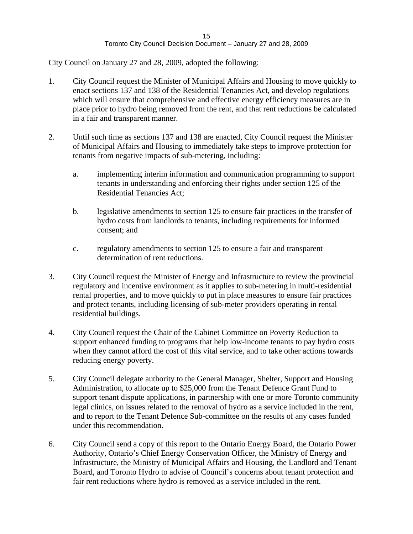- 1. City Council request the Minister of Municipal Affairs and Housing to move quickly to enact sections 137 and 138 of the Residential Tenancies Act, and develop regulations which will ensure that comprehensive and effective energy efficiency measures are in place prior to hydro being removed from the rent, and that rent reductions be calculated in a fair and transparent manner.
- 2. Until such time as sections 137 and 138 are enacted, City Council request the Minister of Municipal Affairs and Housing to immediately take steps to improve protection for tenants from negative impacts of sub-metering, including:
	- a. implementing interim information and communication programming to support tenants in understanding and enforcing their rights under section 125 of the Residential Tenancies Act;
	- b. legislative amendments to section 125 to ensure fair practices in the transfer of hydro costs from landlords to tenants, including requirements for informed consent; and
	- c. regulatory amendments to section 125 to ensure a fair and transparent determination of rent reductions.
- 3. City Council request the Minister of Energy and Infrastructure to review the provincial regulatory and incentive environment as it applies to sub-metering in multi-residential rental properties, and to move quickly to put in place measures to ensure fair practices and protect tenants, including licensing of sub-meter providers operating in rental residential buildings.
- 4. City Council request the Chair of the Cabinet Committee on Poverty Reduction to support enhanced funding to programs that help low-income tenants to pay hydro costs when they cannot afford the cost of this vital service, and to take other actions towards reducing energy poverty.
- 5. City Council delegate authority to the General Manager, Shelter, Support and Housing Administration, to allocate up to \$25,000 from the Tenant Defence Grant Fund to support tenant dispute applications, in partnership with one or more Toronto community legal clinics, on issues related to the removal of hydro as a service included in the rent, and to report to the Tenant Defence Sub-committee on the results of any cases funded under this recommendation.
- 6. City Council send a copy of this report to the Ontario Energy Board, the Ontario Power Authority, Ontario's Chief Energy Conservation Officer, the Ministry of Energy and Infrastructure, the Ministry of Municipal Affairs and Housing, the Landlord and Tenant Board, and Toronto Hydro to advise of Council's concerns about tenant protection and fair rent reductions where hydro is removed as a service included in the rent.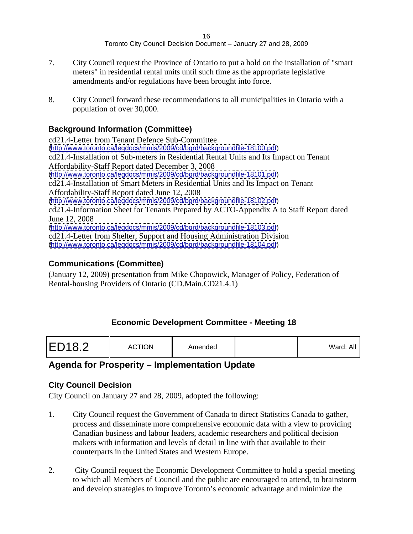- 7. City Council request the Province of Ontario to put a hold on the installation of "smart meters" in residential rental units until such time as the appropriate legislative amendments and/or regulations have been brought into force.
- 8. City Council forward these recommendations to all municipalities in Ontario with a population of over 30,000.

#### **Background Information (Committee)**

cd21.4-Letter from Tenant Defence Sub-Committee [\(http://www.toronto.ca/legdocs/mmis/2009/cd/bgrd/backgroundfile-18100.pdf](http://www.toronto.ca/legdocs/mmis/2009/cd/bgrd/backgroundfile-18100.pdf)) cd21.4-Installation of Sub-meters in Residential Rental Units and Its Impact on Tenant Affordability-Staff Report dated December 3, 2008 [\(http://www.toronto.ca/legdocs/mmis/2009/cd/bgrd/backgroundfile-18101.pdf](http://www.toronto.ca/legdocs/mmis/2009/cd/bgrd/backgroundfile-18101.pdf)) cd21.4-Installation of Smart Meters in Residential Units and Its Impact on Tenant Affordability-Staff Report dated June 12, 2008 [\(http://www.toronto.ca/legdocs/mmis/2009/cd/bgrd/backgroundfile-18102.pdf](http://www.toronto.ca/legdocs/mmis/2009/cd/bgrd/backgroundfile-18102.pdf)) cd21.4-Information Sheet for Tenants Prepared by ACTO-Appendix A to Staff Report dated June 12, 2008 [\(http://www.toronto.ca/legdocs/mmis/2009/cd/bgrd/backgroundfile-18103.pdf](http://www.toronto.ca/legdocs/mmis/2009/cd/bgrd/backgroundfile-18103.pdf)) cd21.4-Letter from Shelter, Support and Housing Administration Division [\(http://www.toronto.ca/legdocs/mmis/2009/cd/bgrd/backgroundfile-18104.pdf](http://www.toronto.ca/legdocs/mmis/2009/cd/bgrd/backgroundfile-18104.pdf))

#### **Communications (Committee)**

(January 12, 2009) presentation from Mike Chopowick, Manager of Policy, Federation of Rental-housing Providers of Ontario (CD.Main.CD21.4.1)

#### **Economic Development Committee - Meeting 18**

| ED18.2<br><b>ACTION</b><br>$- - -$<br>Amendec<br>Ward: Al. |
|------------------------------------------------------------|
|------------------------------------------------------------|

#### **Agenda for Prosperity – Implementation Update**

#### **City Council Decision**

- 1. City Council request the Government of Canada to direct Statistics Canada to gather, process and disseminate more comprehensive economic data with a view to providing Canadian business and labour leaders, academic researchers and political decision makers with information and levels of detail in line with that available to their counterparts in the United States and Western Europe.
- 2. City Council request the Economic Development Committee to hold a special meeting to which all Members of Council and the public are encouraged to attend, to brainstorm and develop strategies to improve Toronto's economic advantage and minimize the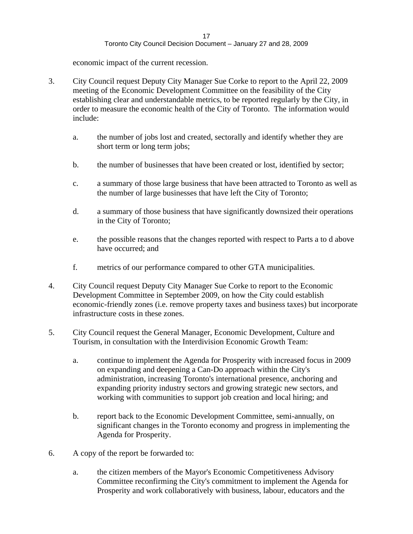economic impact of the current recession.

- 3. City Council request Deputy City Manager Sue Corke to report to the April 22, 2009 meeting of the Economic Development Committee on the feasibility of the City establishing clear and understandable metrics, to be reported regularly by the City, in order to measure the economic health of the City of Toronto. The information would include:
	- a. the number of jobs lost and created, sectorally and identify whether they are short term or long term jobs;
	- b. the number of businesses that have been created or lost, identified by sector;
	- c. a summary of those large business that have been attracted to Toronto as well as the number of large businesses that have left the City of Toronto;
	- d. a summary of those business that have significantly downsized their operations in the City of Toronto;
	- e. the possible reasons that the changes reported with respect to Parts a to d above have occurred; and  $\blacksquare$
	- f. metrics of our performance compared to other GTA municipalities.
- 4. City Council request Deputy City Manager Sue Corke to report to the Economic Development Committee in September 2009, on how the City could establish economic-friendly zones (i.e. remove property taxes and business taxes) but incorporate infrastructure costs in these zones.
- 5. City Council request the General Manager, Economic Development, Culture and Tourism, in consultation with the Interdivision Economic Growth Team:
	- a. continue to implement the Agenda for Prosperity with increased focus in 2009 on expanding and deepening a Can-Do approach within the City's administration, increasing Toronto's international presence, anchoring and expanding priority industry sectors and growing strategic new sectors, and working with communities to support job creation and local hiring; and
	- b. report back to the Economic Development Committee, semi-annually, on significant changes in the Toronto economy and progress in implementing the Agenda for Prosperity.
- 6. A copy of the report be forwarded to:
	- a. the citizen members of the Mayor's Economic Competitiveness Advisory Committee reconfirming the City's commitment to implement the Agenda for Prosperity and work collaboratively with business, labour, educators and the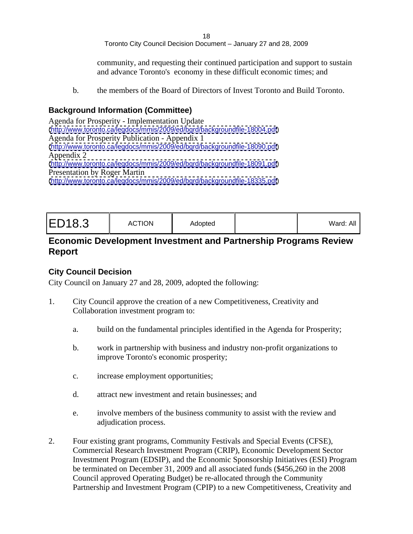18 and the contract of the contract of the contract of the contract of the contract of the contract of the contract of the contract of the contract of the contract of the contract of the contract of the contract of the con Toronto City Council Decision Document – January 27 and 28, 2009

community, and requesting their continued participation and support to sustain and advance Toronto's economy in these difficult economic times; and

b. the members of the Board of Directors of Invest Toronto and Build Toronto.

#### **Background Information (Committee)**

Agenda for Prosperity - Implementation Update [\(http://www.toronto.ca/legdocs/mmis/2009/ed/bgrd/backgroundfile-18004.pdf](http://www.toronto.ca/legdocs/mmis/2009/ed/bgrd/backgroundfile-18004.pdf)) Agenda for Prosperity Publication - Appendix 1 [\(http://www.toronto.ca/legdocs/mmis/2009/ed/bgrd/backgroundfile-18090.pdf](http://www.toronto.ca/legdocs/mmis/2009/ed/bgrd/backgroundfile-18090.pdf)) Appendix 2 [\(http://www.toronto.ca/legdocs/mmis/2009/ed/bgrd/backgroundfile-18091.pdf](http://www.toronto.ca/legdocs/mmis/2009/ed/bgrd/backgroundfile-18091.pdf)) Presentation by Roger Martin [\(http://www.toronto.ca/legdocs/mmis/2009/ed/bgrd/backgroundfile-18335.pdf](http://www.toronto.ca/legdocs/mmis/2009/ed/bgrd/backgroundfile-18335.pdf))

#### **Economic Development Investment and Partnership Programs Review Report**

#### **City Council Decision**

- 1. City Council approve the creation of a new Competitiveness, Creativity and Collaboration investment program to:
	- a. build on the fundamental principles identified in the Agenda for Prosperity;
	- b. work in partnership with business and industry non-profit organizations to improve Toronto's economic prosperity;
	- c. increase employment opportunities;
	- d. attract new investment and retain businesses; and
	- e. involve members of the business community to assist with the review and adjudication process.
- 2. Four existing grant programs, Community Festivals and Special Events (CFSE), Commercial Research Investment Program (CRIP), Economic Development Sector Investment Program (EDSIP), and the Economic Sponsorship Initiatives (ESI) Program be terminated on December 31, 2009 and all associated funds (\$456,260 in the 2008 Council approved Operating Budget) be re-allocated through the Community Partnership and Investment Program (CPIP) to a new Competitiveness, Creativity and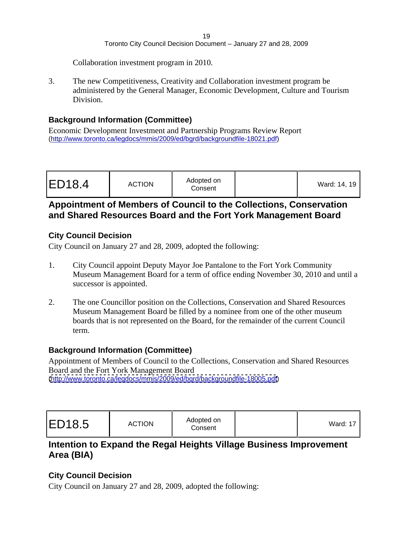Collaboration investment program in 2010.

3. The new Competitiveness, Creativity and Collaboration investment program be administered by the General Manager, Economic Development, Culture and Tourism Division.

#### **Background Information (Committee)**

Economic Development Investment and Partnership Programs Review Report [\(http://www.toronto.ca/legdocs/mmis/2009/ed/bgrd/backgroundfile-18021.pdf\)](http://www.toronto.ca/legdocs/mmis/2009/ed/bgrd/backgroundfile-18021.pdf)

| ED18.4 | <b>ACTION</b> | Adopted on<br>Consent |  | Vard: 14, 19 |  |
|--------|---------------|-----------------------|--|--------------|--|
|--------|---------------|-----------------------|--|--------------|--|

#### **Appointment of Members of Council to the Collections, Conservation and Shared Resources Board and the Fort York Management Board**

#### **City Council Decision**

City Council on January 27 and 28, 2009, adopted the following:

- 1. City Council appoint Deputy Mayor Joe Pantalone to the Fort York Community Museum Management Board for a term of office ending November 30, 2010 and until a successor is appointed.
- 2. The one Councillor position on the Collections, Conservation and Shared Resources Museum Management Board be filled by a nominee from one of the other museum boards that is not represented on the Board, for the remainder of the current Council term.

#### **Background Information (Committee)**

Appointment of Members of Council to the Collections, Conservation and Shared Resources Board and the Fort York Management Board [\(http://www.toronto.ca/legdocs/mmis/2009/ed/bgrd/backgroundfile-18005.pdf](http://www.toronto.ca/legdocs/mmis/2009/ed/bgrd/backgroundfile-18005.pdf))

#### **Intention to Expand the Regal Heights Village Business Improvement Area (BIA)**

#### **City Council Decision**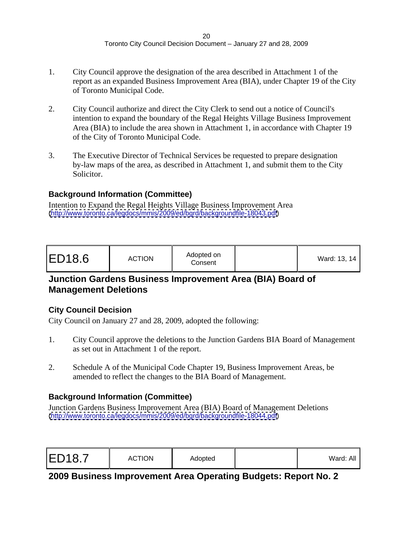- 1. City Council approve the designation of the area described in Attachment 1 of the report as an expanded Business Improvement Area (BIA), under Chapter 19 of the City of Toronto Municipal Code.
- 2. City Council authorize and direct the City Clerk to send out a notice of Council's intention to expand the boundary of the Regal Heights Village Business Improvement Area (BIA) to include the area shown in Attachment 1, in accordance with Chapter 19 of the City of Toronto Municipal Code.
- 3. The Executive Director of Technical Services be requested to prepare designation by-law maps of the area, as described in Attachment 1, and submit them to the City Solicitor.

#### **Background Information (Committee)**

Intention to Expand the Regal Heights Village Business Improvement Area [\(http://www.toronto.ca/legdocs/mmis/2009/ed/bgrd/backgroundfile-18043.pdf](http://www.toronto.ca/legdocs/mmis/2009/ed/bgrd/backgroundfile-18043.pdf))

| ED18.6 | <b>ACTION</b> | Adopted on<br>Consen <sup>®</sup> |  | Vard: 13, 14 |  |
|--------|---------------|-----------------------------------|--|--------------|--|
|--------|---------------|-----------------------------------|--|--------------|--|

#### **Junction Gardens Business Improvement Area (BIA) Board of Management Deletions**

#### **City Council Decision**

City Council on January 27 and 28, 2009, adopted the following:

- 1. City Council approve the deletions to the Junction Gardens BIA Board of Management as set out in Attachment 1 of the report.
- 2. Schedule A of the Municipal Code Chapter 19, Business Improvement Areas, be amended to reflect the changes to the BIA Board of Management.

#### **Background Information (Committee)**

Junction Gardens Business Improvement Area (BIA) Board of Management Deletions [\(http://www.toronto.ca/legdocs/mmis/2009/ed/bgrd/backgroundfile-18044.pdf](http://www.toronto.ca/legdocs/mmis/2009/ed/bgrd/backgroundfile-18044.pdf))

# **2009 Business Improvement Area Operating Budgets: Report No. 2**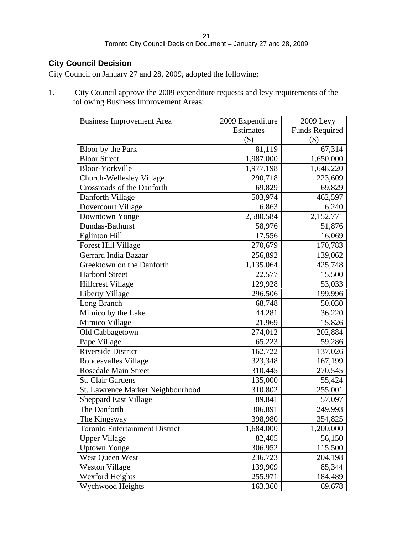#### **City Council Decision**

City Council on January 27 and 28, 2009, adopted the following:

1. City Council approve the 2009 expenditure requests and levy requirements of the following Business Improvement Areas:

| <b>Business Improvement Area</b>  | 2009 Expenditure | 2009 Levy                 |
|-----------------------------------|------------------|---------------------------|
|                                   | Estimates        | <b>Funds Required</b>     |
|                                   | $(\$)$           | $\left( \text{\$}\right)$ |
| Bloor by the Park                 | 81,119           | 67,314                    |
| <b>Bloor Street</b>               | 1,987,000        | 1,650,000                 |
| <b>Bloor-Yorkville</b>            | 1,977,198        | 1,648,220                 |
| Church-Wellesley Village          | 290,718          | 223,609                   |
| Crossroads of the Danforth        | 69,829           | 69,829                    |
| Danforth Village                  | 503,974          | 462,597                   |
| Dovercourt Village                | 6,863            | 6,240                     |
| Downtown Yonge                    | 2,580,584        | 2,152,771                 |
| Dundas-Bathurst                   | 58,976           | 51,876                    |
| <b>Eglinton Hill</b>              | 17,556           | 16,069                    |
| <b>Forest Hill Village</b>        | 270,679          | 170,783                   |
| Gerrard India Bazaar              | 256,892          | 139,062                   |
| Greektown on the Danforth         | ,135,064         | 425,748                   |
| <b>Harbord Street</b>             | 22,577           | 15,500                    |
| <b>Hillcrest Village</b>          | 129,928          | 53,033                    |
| Liberty Village                   | 296,506          | 199,996                   |
| Long Branch                       | 68,748           | 50,030                    |
| Mimico by the Lake                | 44,281           | 36,220                    |
| Mimico Village                    | 21,969           | 15,826                    |
| Old Cabbagetown                   | 274,012          | 202,884                   |
| Pape Village                      | 65,223           | 59,286                    |
| Riverside District                | 162,722          | 137,026                   |
| <b>Roncesvalles Village</b>       | 323,348          | 167,199                   |
| <b>Rosedale Main Street</b>       | 310,445          | 270,545                   |
| St. Clair Gardens                 | 135,000          | 55,424                    |
| St. Lawrence Market Neighbourhood | 310,802          | 255,001                   |
| <b>Sheppard East Village</b>      | 89,841           | 57,097                    |
| The Danforth                      | 306,891          | 249,993                   |
| The Kingsway                      | 398,980          | 354,825                   |
| Toronto Entertainment District    | ,684,000         | 1,200,000                 |
| <b>Upper Village</b>              | 82,405           | 56,150                    |
| <b>Uptown Yonge</b>               | 306,952          | 115,500                   |
| West Queen West                   | 236,723          | 204,198                   |
| <b>Weston Village</b>             | 139,909          | 85,344                    |
| <b>Wexford Heights</b>            | 255,971          | 184,489                   |
| Wychwood Heights                  | 163,360          | 69,678                    |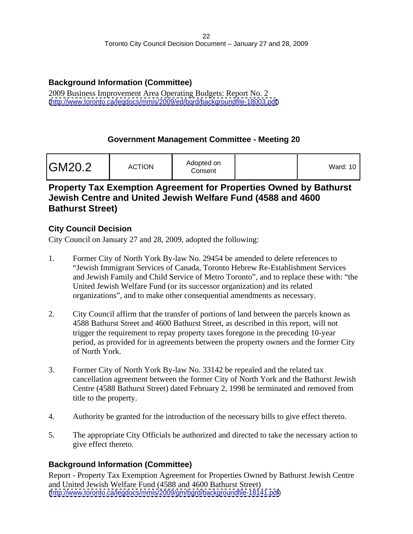#### **Background Information (Committee)**

2009 Business Improvement Area Operating Budgets: Report No. 2 [\(http://www.toronto.ca/legdocs/mmis/2009/ed/bgrd/backgroundfile-18003.pdf](http://www.toronto.ca/legdocs/mmis/2009/ed/bgrd/backgroundfile-18003.pdf))

#### **Government Management Committee - Meeting 20**

| GM20.2 | <b>ACTION</b> | Adopted on<br>Consent |  | $- - -$<br>Ward: $10$ |  |  |  |  |  |  |  |  |  |  |  |
|--------|---------------|-----------------------|--|-----------------------|--|--|--|--|--|--|--|--|--|--|--|
|--------|---------------|-----------------------|--|-----------------------|--|--|--|--|--|--|--|--|--|--|--|

#### **Property Tax Exemption Agreement for Properties Owned by Bathurst Jewish Centre and United Jewish Welfare Fund (4588 and 4600 Bathurst Street)**

#### **City Council Decision**

City Council on January 27 and 28, 2009, adopted the following:

- 1. Former City of North York By-law No. 29454 be amended to delete references to "Jewish Immigrant Services of Canada, Toronto Hebrew Re-Establishment Services and Jewish Family and Child Service of Metro Toronto", and to replace these with: "the United Jewish Welfare Fund (or its successor organization) and its related organizations", and to make other consequential amendments as necessary.
- 2. City Council affirm that the transfer of portions of land between the parcels known as 4588 Bathurst Street and 4600 Bathurst Street, as described in this report, will not trigger the requirement to repay property taxes foregone in the preceding 10-year period, as provided for in agreements between the property owners and the former City of North York.
- 3. Former City of North York By-law No. 33142 be repealed and the related tax cancellation agreement between the former City of North York and the Bathurst Jewish Centre (4588 Bathurst Street) dated February 2, 1998 be terminated and removed from title to the property.
- 4. Authority be granted for the introduction of the necessary bills to give effect thereto.
- 5. The appropriate City Officials be authorized and directed to take the necessary action to give effect thereto.

#### **Background Information (Committee)**

Report - Property Tax Exemption Agreement for Properties Owned by Bathurst Jewish Centre and United Jewish Welfare Fund (4588 and 4600 Bathurst Street) [\(http://www.toronto.ca/legdocs/mmis/2009/gm/bgrd/backgroundfile-18141.pdf](http://www.toronto.ca/legdocs/mmis/2009/gm/bgrd/backgroundfile-18141.pdf))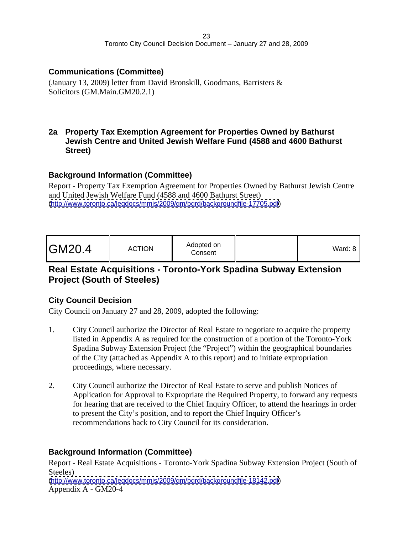#### **Communications (Committee)**

(January 13, 2009) letter from David Bronskill, Goodmans, Barristers & Solicitors (GM.Main.GM20.2.1)

#### **2a Property Tax Exemption Agreement for Properties Owned by Bathurst Jewish Centre and United Jewish Welfare Fund (4588 and 4600 Bathurst Street)**

#### **Background Information (Committee)**

Report - Property Tax Exemption Agreement for Properties Owned by Bathurst Jewish Centre and United Jewish Welfare Fund (4588 and 4600 Bathurst Street) [\(http://www.toronto.ca/legdocs/mmis/2009/gm/bgrd/backgroundfile-17705.pdf](http://www.toronto.ca/legdocs/mmis/2009/gm/bgrd/backgroundfile-17705.pdf))

| Ward: $8$ |  |
|-----------|--|
|-----------|--|

#### **Real Estate Acquisitions - Toronto-York Spadina Subway Extension Project (South of Steeles)**

#### **City Council Decision**

City Council on January 27 and 28, 2009, adopted the following:

- 1. City Council authorize the Director of Real Estate to negotiate to acquire the property listed in Appendix A as required for the construction of a portion of the Toronto-York Spadina Subway Extension Project (the "Project") within the geographical boundaries of the City (attached as Appendix A to this report) and to initiate expropriation proceedings, where necessary.
- 2. City Council authorize the Director of Real Estate to serve and publish Notices of Application for Approval to Expropriate the Required Property, to forward any requests for hearing that are received to the Chief Inquiry Officer, to attend the hearings in order to present the City's position, and to report the Chief Inquiry Officer's recommendations back to City Council for its consideration.

#### **Background Information (Committee)**

Report - Real Estate Acquisitions - Toronto-York Spadina Subway Extension Project (South of Steeles) [\(http://www.toronto.ca/legdocs/mmis/2009/gm/bgrd/backgroundfile-18142.pdf](http://www.toronto.ca/legdocs/mmis/2009/gm/bgrd/backgroundfile-18142.pdf)) Appendix A - GM20-4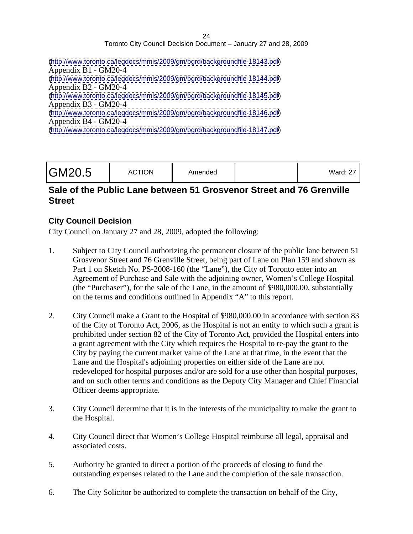| (http://www.toronto.ca/legdocs/mmis/2009/gm/bgrd/backgroundfile-18143.pdf) |  |
|----------------------------------------------------------------------------|--|
| Appendix $B1 - GM20-4$                                                     |  |
| (http://www.toronto.ca/legdocs/mmis/2009/gm/bgrd/backgroundfile-18144.pdf) |  |
| Appendix $B2 - GM20-4$                                                     |  |
| (http://www.toronto.ca/legdocs/mmis/2009/gm/bgrd/backgroundfile-18145.pdf) |  |
| Appendix B3 - GM20-4                                                       |  |
| (http://www.toronto.ca/legdocs/mmis/2009/gm/bgrd/backgroundfile-18146.pdf) |  |
| Appendix B4 - GM20-4                                                       |  |
| (http://www.toronto.ca/legdocs/mmis/2009/gm/bgrd/backgroundfile-18147.pdf) |  |

#### **Sale of the Public Lane between 51 Grosvenor Street and 76 Grenville Street**

#### **City Council Decision**

- 1. Subject to City Council authorizing the permanent closure of the public lane between 51 Grosvenor Street and 76 Grenville Street, being part of Lane on Plan 159 and shown as Part 1 on Sketch No. PS-2008-160 (the "Lane"), the City of Toronto enter into an Agreement of Purchase and Sale with the adjoining owner, Women's College Hospital (the "Purchaser"), for the sale of the Lane, in the amount of \$980,000.00, substantially on the terms and conditions outlined in Appendix "A" to this report.
- 2. City Council make a Grant to the Hospital of \$980,000.00 in accordance with section 83 of the City of Toronto Act, 2006, as the Hospital is not an entity to which such a grant is prohibited under section 82 of the City of Toronto Act, provided the Hospital enters into a grant agreement with the City which requires the Hospital to re-pay the grant to the City by paying the current market value of the Lane at that time, in the event that the Lane and the Hospital's adjoining properties on either side of the Lane are not redeveloped for hospital purposes and/or are sold for a use other than hospital purposes, and on such other terms and conditions as the Deputy City Manager and Chief Financial Officer deems appropriate.
- 3. City Council determine that it is in the interests of the municipality to make the grant to the Hospital.
- 4. City Council direct that Women's College Hospital reimburse all legal, appraisal and associated costs.
- 5. Authority be granted to direct a portion of the proceeds of closing to fund the outstanding expenses related to the Lane and the completion of the sale transaction.
- 6. The City Solicitor be authorized to complete the transaction on behalf of the City,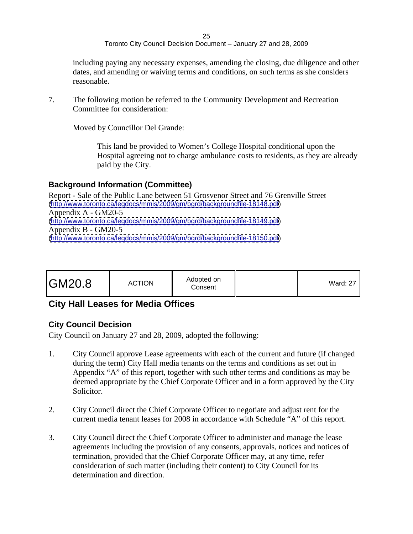25 and 25 and 25 and 25 and 25 and 25 and 25 and 25 and 26 and 26 and 26 and 26 and 26 and 26 and 26 and 26 an Toronto City Council Decision Document – January 27 and 28, 2009

including paying any necessary expenses, amending the closing, due diligence and other dates, and amending or waiving terms and conditions, on such terms as she considers reasonable.

7. The following motion be referred to the Community Development and Recreation Committee for consideration:

Moved by Councillor Del Grande:

This land be provided to Women's College Hospital conditional upon the Hospital agreeing not to charge ambulance costs to residents, as they are already paid by the City.

#### **Background Information (Committee)**

Report - Sale of the Public Lane between 51 Grosvenor Street and 76 Grenville Street [\(http://www.toronto.ca/legdocs/mmis/2009/gm/bgrd/backgroundfile-18148.pdf](http://www.toronto.ca/legdocs/mmis/2009/gm/bgrd/backgroundfile-18148.pdf)) Appendix A - GM20-5 [\(http://www.toronto.ca/legdocs/mmis/2009/gm/bgrd/backgroundfile-18149.pdf](http://www.toronto.ca/legdocs/mmis/2009/gm/bgrd/backgroundfile-18149.pdf)) Appendix B - GM20-5 [\(http://www.toronto.ca/legdocs/mmis/2009/gm/bgrd/backgroundfile-18150.pdf](http://www.toronto.ca/legdocs/mmis/2009/gm/bgrd/backgroundfile-18150.pdf))

|--|

# **City Hall Leases for Media Offices**

#### **City Council Decision**

- 1. City Council approve Lease agreements with each of the current and future (if changed during the term) City Hall media tenants on the terms and conditions as set out in Appendix "A" of this report, together with such other terms and conditions as may be deemed appropriate by the Chief Corporate Officer and in a form approved by the City Solicitor.
- 2. City Council direct the Chief Corporate Officer to negotiate and adjust rent for the current media tenant leases for 2008 in accordance with Schedule "A" of this report.
- 3. City Council direct the Chief Corporate Officer to administer and manage the lease agreements including the provision of any consents, approvals, notices and notices of termination, provided that the Chief Corporate Officer may, at any time, refer consideration of such matter (including their content) to City Council for its determination and direction.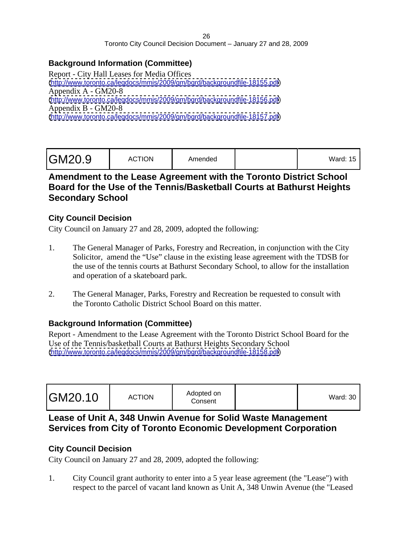#### **Background Information (Committee)**

Report - City Hall Leases for Media Offices [\(http://www.toronto.ca/legdocs/mmis/2009/gm/bgrd/backgroundfile-18155.pdf](http://www.toronto.ca/legdocs/mmis/2009/gm/bgrd/backgroundfile-18155.pdf)) Appendix A - GM20-8 [\(http://www.toronto.ca/legdocs/mmis/2009/gm/bgrd/backgroundfile-18156.pdf](http://www.toronto.ca/legdocs/mmis/2009/gm/bgrd/backgroundfile-18156.pdf)) Appendix B - GM20-8 [\(http://www.toronto.ca/legdocs/mmis/2009/gm/bgrd/backgroundfile-18157.pdf](http://www.toronto.ca/legdocs/mmis/2009/gm/bgrd/backgroundfile-18157.pdf))

| $\sqrt{2}$ rd: 15<br>. alu. 10 |
|--------------------------------|
|                                |

#### **Amendment to the Lease Agreement with the Toronto District School Board for the Use of the Tennis/Basketball Courts at Bathurst Heights Secondary School**

#### **City Council Decision**

City Council on January 27 and 28, 2009, adopted the following:

- 1. The General Manager of Parks, Forestry and Recreation, in conjunction with the City Solicitor, amend the "Use" clause in the existing lease agreement with the TDSB for the use of the tennis courts at Bathurst Secondary School, to allow for the installation and operation of a skateboard park.
- 2. The General Manager, Parks, Forestry and Recreation be requested to consult with the Toronto Catholic District School Board on this matter.

#### **Background Information (Committee)**

Report - Amendment to the Lease Agreement with the Toronto District School Board for the Use of the Tennis/basketball Courts at Bathurst Heights Secondary School [\(http://www.toronto.ca/legdocs/mmis/2009/gm/bgrd/backgroundfile-18158.pdf](http://www.toronto.ca/legdocs/mmis/2009/gm/bgrd/backgroundfile-18158.pdf))

#### **Lease of Unit A, 348 Unwin Avenue for Solid Waste Management Services from City of Toronto Economic Development Corporation**

#### **City Council Decision**

City Council on January 27 and 28, 2009, adopted the following:

1. City Council grant authority to enter into a 5 year lease agreement (the "Lease") with respect to the parcel of vacant land known as Unit A, 348 Unwin Avenue (the "Leased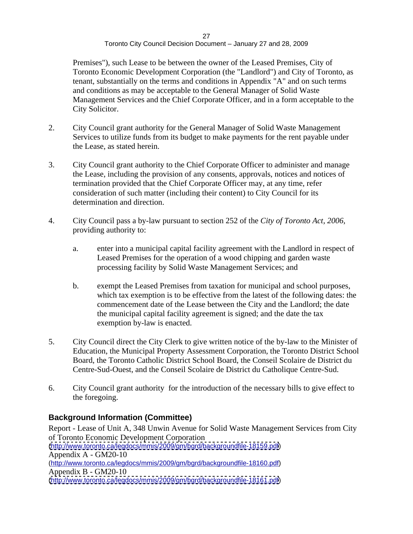Premises"), such Lease to be between the owner of the Leased Premises, City of Toronto Economic Development Corporation (the "Landlord") and City of Toronto, as tenant, substantially on the terms and conditions in Appendix "A" and on such terms and conditions as may be acceptable to the General Manager of Solid Waste Management Services and the Chief Corporate Officer, and in a form acceptable to the City Solicitor.

- 2. City Council grant authority for the General Manager of Solid Waste Management Services to utilize funds from its budget to make payments for the rent payable under the Lease, as stated herein.
- 3. City Council grant authority to the Chief Corporate Officer to administer and manage the Lease, including the provision of any consents, approvals, notices and notices of termination provided that the Chief Corporate Officer may, at any time, refer consideration of such matter (including their content) to City Council for its determination and direction.
- 4. City Council pass a by-law pursuant to section 252 of the *City of Toronto Act, 2006*, providing authority to:
	- a. enter into a municipal capital facility agreement with the Landlord in respect of Leased Premises for the operation of a wood chipping and garden waste processing facility by Solid Waste Management Services; and
	- b. exempt the Leased Premises from taxation for municipal and school purposes, which tax exemption is to be effective from the latest of the following dates: the commencement date of the Lease between the City and the Landlord; the date the municipal capital facility agreement is signed; and the date the tax exemption by-law is enacted.
- 5. City Council direct the City Clerk to give written notice of the by-law to the Minister of Education, the Municipal Property Assessment Corporation, the Toronto District School Board, the Toronto Catholic District School Board, the Conseil Scolaire de District du Centre-Sud-Ouest, and the Conseil Scolaire de District du Catholique Centre-Sud.
- 6. City Council grant authority for the introduction of the necessary bills to give effect to the foregoing.

#### **Background Information (Committee)**

Report - Lease of Unit A, 348 Unwin Avenue for Solid Waste Management Services from City of Toronto Economic Development Corporation [\(http://www.toronto.ca/legdocs/mmis/2009/gm/bgrd/backgroundfile-18159.pdf](http://www.toronto.ca/legdocs/mmis/2009/gm/bgrd/backgroundfile-18159.pdf)) Appendix A - GM20-10 [\(http://www.toronto.ca/legdocs/mmis/2009/gm/bgrd/backgroundfile-18160.pdf\)](http://www.toronto.ca/legdocs/mmis/2009/gm/bgrd/backgroundfile-18160.pdf) Appendix B - GM20-10 [\(http://www.toronto.ca/legdocs/mmis/2009/gm/bgrd/backgroundfile-18161.pdf](http://www.toronto.ca/legdocs/mmis/2009/gm/bgrd/backgroundfile-18161.pdf))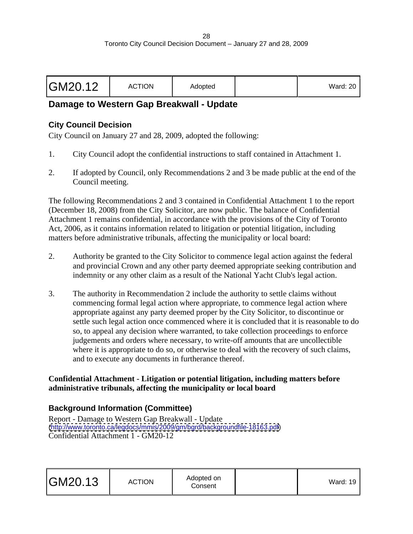| GM20.12 | $\sqrt{2}$<br>AUTIUR. | $A$ dontr | .<br>waru. zu |  |
|---------|-----------------------|-----------|---------------|--|
|---------|-----------------------|-----------|---------------|--|

#### **Damage to Western Gap Breakwall - Update**

#### **City Council Decision**

City Council on January 27 and 28, 2009, adopted the following:

- 1. City Council adopt the confidential instructions to staff contained in Attachment 1.
- 2. If adopted by Council, only Recommendations 2 and 3 be made public at the end of the Council meeting.

The following Recommendations 2 and 3 contained in Confidential Attachment 1 to the report (December 18, 2008) from the City Solicitor, are now public. The balance of Confidential Attachment 1 remains confidential, in accordance with the provisions of the City of Toronto Act, 2006, as it contains information related to litigation or potential litigation, including matters before administrative tribunals, affecting the municipality or local board:

- 2. Authority be granted to the City Solicitor to commence legal action against the federal and provincial Crown and any other party deemed appropriate seeking contribution and indemnity or any other claim as a result of the National Yacht Club's legal action.
- 3. The authority in Recommendation 2 include the authority to settle claims without commencing formal legal action where appropriate, to commence legal action where appropriate against any party deemed proper by the City Solicitor, to discontinue or settle such legal action once commenced where it is concluded that it is reasonable to do so, to appeal any decision where warranted, to take collection proceedings to enforce judgements and orders where necessary, to write-off amounts that are uncollectible where it is appropriate to do so, or otherwise to deal with the recovery of such claims, and to execute any documents in furtherance thereof.

#### **Confidential Attachment - Litigation or potential litigation, including matters before administrative tribunals, affecting the municipality or local board**

#### **Background Information (Committee)**

Report - Damage to Western Gap Breakwall - Update [\(http://www.toronto.ca/legdocs/mmis/2009/gm/bgrd/backgroundfile-18163.pdf](http://www.toronto.ca/legdocs/mmis/2009/gm/bgrd/backgroundfile-18163.pdf)) Confidential Attachment 1 - GM20-12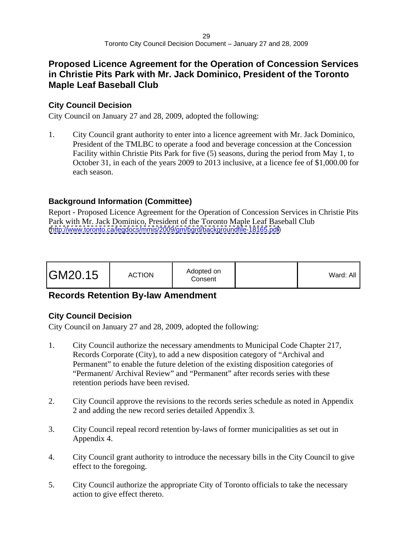#### **Proposed Licence Agreement for the Operation of Concession Services in Christie Pits Park with Mr. Jack Dominico, President of the Toronto Maple Leaf Baseball Club**

#### **City Council Decision**

City Council on January 27 and 28, 2009, adopted the following:

1. City Council grant authority to enter into a licence agreement with Mr. Jack Dominico, President of the TMLBC to operate a food and beverage concession at the Concession Facility within Christie Pits Park for five (5) seasons, during the period from May 1, to October 31, in each of the years 2009 to 2013 inclusive, at a licence fee of \$1,000.00 for each season.

#### **Background Information (Committee)**

Report - Proposed Licence Agreement for the Operation of Concession Services in Christie Pits Park with Mr. Jack Dominico, President of the Toronto Maple Leaf Baseball Club [\(http://www.toronto.ca/legdocs/mmis/2009/gm/bgrd/backgroundfile-18165.pdf](http://www.toronto.ca/legdocs/mmis/2009/gm/bgrd/backgroundfile-18165.pdf))

| Adopted on<br>GM20.15<br><b>ACTION</b><br>Consen' |
|---------------------------------------------------|
|---------------------------------------------------|

# **Records Retention By-law Amendment**

#### **City Council Decision**

- 1. City Council authorize the necessary amendments to Municipal Code Chapter 217, Records Corporate (City), to add a new disposition category of "Archival and Permanent" to enable the future deletion of the existing disposition categories of "Permanent/ Archival Review" and "Permanent" after records series with these retention periods have been revised.
- 2. City Council approve the revisions to the records series schedule as noted in Appendix 2 and adding the new record series detailed Appendix 3.
- 3. City Council repeal record retention by-laws of former municipalities as set out in Appendix 4.
- 4. City Council grant authority to introduce the necessary bills in the City Council to give effect to the foregoing.
- 5. City Council authorize the appropriate City of Toronto officials to take the necessary action to give effect thereto.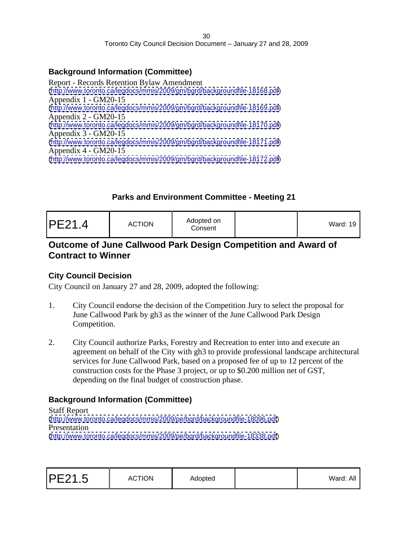#### **Background Information (Committee)**

Report - Records Retention Bylaw Amendment [\(http://www.toronto.ca/legdocs/mmis/2009/gm/bgrd/backgroundfile-18168.pdf](http://www.toronto.ca/legdocs/mmis/2009/gm/bgrd/backgroundfile-18168.pdf)) Appendix 1 - GM20-15 [\(http://www.toronto.ca/legdocs/mmis/2009/gm/bgrd/backgroundfile-18169.pdf](http://www.toronto.ca/legdocs/mmis/2009/gm/bgrd/backgroundfile-18169.pdf)) Appendix 2 - GM20-15 [\(http://www.toronto.ca/legdocs/mmis/2009/gm/bgrd/backgroundfile-18170.pdf](http://www.toronto.ca/legdocs/mmis/2009/gm/bgrd/backgroundfile-18170.pdf)) Appendix 3 - GM20-15 [\(http://www.toronto.ca/legdocs/mmis/2009/gm/bgrd/backgroundfile-18171.pdf](http://www.toronto.ca/legdocs/mmis/2009/gm/bgrd/backgroundfile-18171.pdf)) Appendix 4 - GM20-15 [\(http://www.toronto.ca/legdocs/mmis/2009/gm/bgrd/backgroundfile-18172.pdf](http://www.toronto.ca/legdocs/mmis/2009/gm/bgrd/backgroundfile-18172.pdf))

#### **Parks and Environment Committee - Meeting 21**

| Ward: 19 |
|----------|
|----------|

#### **Outcome of June Callwood Park Design Competition and Award of Contract to Winner**

#### **City Council Decision**

City Council on January 27 and 28, 2009, adopted the following:

- 1. City Council endorse the decision of the Competition Jury to select the proposal for June Callwood Park by gh3 as the winner of the June Callwood Park Design Competition.
- 2. City Council authorize Parks, Forestry and Recreation to enter into and execute an agreement on behalf of the City with gh3 to provide professional landscape architectural services for June Callwood Park, based on a proposed fee of up to 12 percent of the construction costs for the Phase 3 project, or up to \$0.200 million net of GST, depending on the final budget of construction phase.

#### **Background Information (Committee)**

Staff Report [\(http://www.toronto.ca/legdocs/mmis/2009/pe/bgrd/backgroundfile-18096.pdf](http://www.toronto.ca/legdocs/mmis/2009/pe/bgrd/backgroundfile-18096.pdf)) Presentation **Presentation** [\(http://www.toronto.ca/legdocs/mmis/2009/pe/bgrd/backgroundfile-18338.pdf](http://www.toronto.ca/legdocs/mmis/2009/pe/bgrd/backgroundfile-18338.pdf))

| PE21.5 | <b>ACTION</b> | Adopted |  | Ward: All |  |  |  |  |  |  |  |  |  |  |  |  |  |
|--------|---------------|---------|--|-----------|--|--|--|--|--|--|--|--|--|--|--|--|--|
|--------|---------------|---------|--|-----------|--|--|--|--|--|--|--|--|--|--|--|--|--|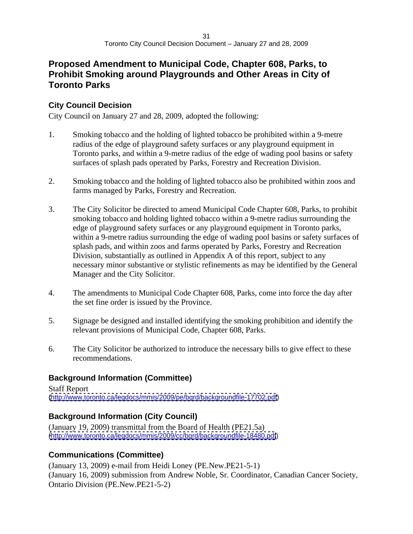#### **Proposed Amendment to Municipal Code, Chapter 608, Parks, to Prohibit Smoking around Playgrounds and Other Areas in City of Toronto Parks**

#### **City Council Decision**

City Council on January 27 and 28, 2009, adopted the following:

- 1. Smoking tobacco and the holding of lighted tobacco be prohibited within a 9-metre radius of the edge of playground safety surfaces or any playground equipment in Toronto parks, and within a 9-metre radius of the edge of wading pool basins or safety surfaces of splash pads operated by Parks, Forestry and Recreation Division.
- 2. Smoking tobacco and the holding of lighted tobacco also be prohibited within zoos and farms managed by Parks, Forestry and Recreation.
- 3. The City Solicitor be directed to amend Municipal Code Chapter 608, Parks, to prohibit smoking tobacco and holding lighted tobacco within a 9-metre radius surrounding the edge of playground safety surfaces or any playground equipment in Toronto parks, within a 9-metre radius surrounding the edge of wading pool basins or safety surfaces of splash pads, and within zoos and farms operated by Parks, Forestry and Recreation Division, substantially as outlined in Appendix A of this report, subject to any necessary minor substantive or stylistic refinements as may be identified by the General Manager and the City Solicitor.
- 4. The amendments to Municipal Code Chapter 608, Parks*,* come into force the day after the set fine order is issued by the Province.
- 5. Signage be designed and installed identifying the smoking prohibition and identify the relevant provisions of Municipal Code, Chapter 608, Parks.
- 6. The City Solicitor be authorized to introduce the necessary bills to give effect to these recommendations.

#### **Background Information (Committee)**

Staff Report [\(http://www.toronto.ca/legdocs/mmis/2009/pe/bgrd/backgroundfile-17702.pdf](http://www.toronto.ca/legdocs/mmis/2009/pe/bgrd/backgroundfile-17702.pdf))

#### **Background Information (City Council)**

(January 19, 2009) transmittal from the Board of Health (PE21.5a) [\(http://www.toronto.ca/legdocs/mmis/2009/cc/bgrd/backgroundfile-18480.pdf](http://www.toronto.ca/legdocs/mmis/2009/cc/bgrd/backgroundfile-18480.pdf))

#### **Communications (Committee)**

(January 13, 2009) e-mail from Heidi Loney (PE.New.PE21-5-1) (January 16, 2009) submission from Andrew Noble, Sr. Coordinator, Canadian Cancer Society, Ontario Division (PE.New.PE21-5-2)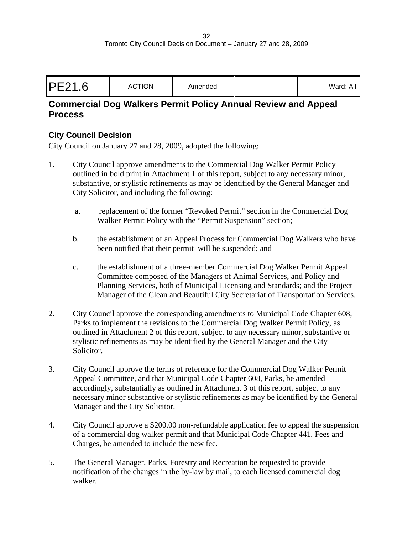| PE21.6 | Amondod<br><b>ACTION</b><br>Allieriueu | Ward: Alı |  |  |  |  |
|--------|----------------------------------------|-----------|--|--|--|--|
|--------|----------------------------------------|-----------|--|--|--|--|

#### **Commercial Dog Walkers Permit Policy Annual Review and Appeal Process**

#### **City Council Decision**

- 1. City Council approve amendments to the Commercial Dog Walker Permit Policy outlined in bold print in Attachment 1 of this report, subject to any necessary minor, substantive, or stylistic refinements as may be identified by the General Manager and City Solicitor, and including the following:
	- a. replacement of the former "Revoked Permit" section in the Commercial Dog Walker Permit Policy with the "Permit Suspension" section;
	- b. the establishment of an Appeal Process for Commercial Dog Walkers who have been notified that their permit will be suspended; and
	- c. the establishment of a three-member Commercial Dog Walker Permit Appeal Committee composed of the Managers of Animal Services, and Policy and Planning Services, both of Municipal Licensing and Standards; and the Project Manager of the Clean and Beautiful City Secretariat of Transportation Services.
- 2. City Council approve the corresponding amendments to Municipal Code Chapter 608, Parks to implement the revisions to the Commercial Dog Walker Permit Policy, as outlined in Attachment 2 of this report, subject to any necessary minor, substantive or stylistic refinements as may be identified by the General Manager and the City Solicitor.
- 3. City Council approve the terms of reference for the Commercial Dog Walker Permit Appeal Committee, and that Municipal Code Chapter 608, Parks, be amended accordingly, substantially as outlined in Attachment 3 of this report, subject to any necessary minor substantive or stylistic refinements as may be identified by the General Manager and the City Solicitor.
- 4. City Council approve a \$200.00 non-refundable application fee to appeal the suspension of a commercial dog walker permit and that Municipal Code Chapter 441, Fees and Charges, be amended to include the new fee.
- 5. The General Manager, Parks, Forestry and Recreation be requested to provide notification of the changes in the by-law by mail, to each licensed commercial dog walker.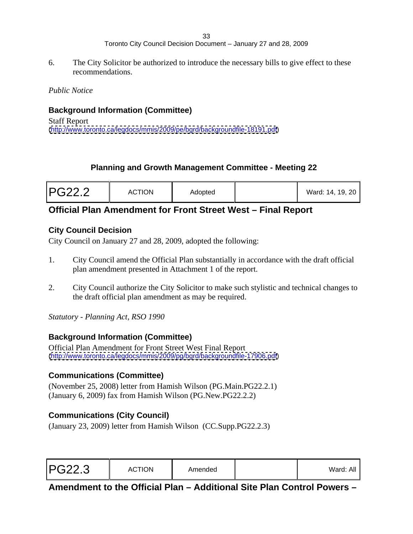6. The City Solicitor be authorized to introduce the necessary bills to give effect to these recommendations.

*Public Notice*

#### **Background Information (Committee)**

Staff Report [\(http://www.toronto.ca/legdocs/mmis/2009/pe/bgrd/backgroundfile-18191.pdf](http://www.toronto.ca/legdocs/mmis/2009/pe/bgrd/backgroundfile-18191.pdf))

#### **Planning and Growth Management Committee - Meeting 22**

| <b>PG22.2</b> | <b>ACTION</b> | the company of the company of the<br>Adopted | Ward: 14, 19, 20 |  |  |  |  |  |  |  |
|---------------|---------------|----------------------------------------------|------------------|--|--|--|--|--|--|--|
|---------------|---------------|----------------------------------------------|------------------|--|--|--|--|--|--|--|

#### **Official Plan Amendment for Front Street West – Final Report**

#### **City Council Decision**

City Council on January 27 and 28, 2009, adopted the following:

- 1. City Council amend the Official Plan substantially in accordance with the draft official plan amendment presented in Attachment 1 of the report.
- 2. City Council authorize the City Solicitor to make such stylistic and technical changes to the draft official plan amendment as may be required.

*Statutory - Planning Act, RSO 1990*

#### **Background Information (Committee)**

Official Plan Amendment for Front Street West Final Report [\(http://www.toronto.ca/legdocs/mmis/2009/pg/bgrd/backgroundfile-17906.pdf](http://www.toronto.ca/legdocs/mmis/2009/pg/bgrd/backgroundfile-17906.pdf))

#### **Communications (Committee)**

(November 25, 2008) letter from Hamish Wilson (PG.Main.PG22.2.1) (January 6, 2009) fax from Hamish Wilson (PG.New.PG22.2.2)

#### **Communications (City Council)**

(January 23, 2009) letter from Hamish Wilson (CC.Supp.PG22.2.3)

| <b>PG22.3</b> | <b>ACTION</b> | 0 <sub>mass</sub><br><b>ATTIENDEL</b> |  | $\cdots$<br>Ward: All |  |  |  |  |  |  |  |  |  |  |  |  |  |
|---------------|---------------|---------------------------------------|--|-----------------------|--|--|--|--|--|--|--|--|--|--|--|--|--|
|---------------|---------------|---------------------------------------|--|-----------------------|--|--|--|--|--|--|--|--|--|--|--|--|--|

**Amendment to the Official Plan – Additional Site Plan Control Powers –**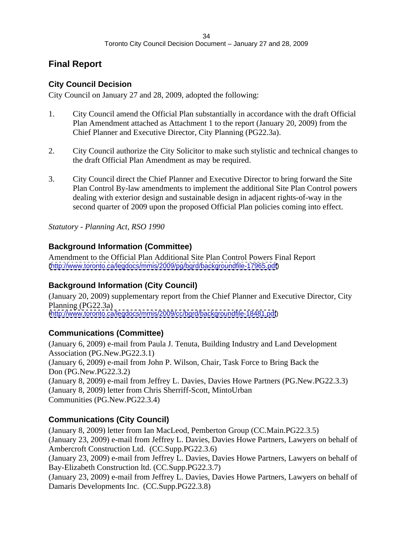# **Final Report**

#### **City Council Decision**

City Council on January 27 and 28, 2009, adopted the following:

- 1. City Council amend the Official Plan substantially in accordance with the draft Official Plan Amendment attached as Attachment 1 to the report (January 20, 2009) from the Chief Planner and Executive Director, City Planning (PG22.3a).
- 2. City Council authorize the City Solicitor to make such stylistic and technical changes to the draft Official Plan Amendment as may be required.
- 3. City Council direct the Chief Planner and Executive Director to bring forward the Site Plan Control By-law amendments to implement the additional Site Plan Control powers dealing with exterior design and sustainable design in adjacent rights-of-way in the second quarter of 2009 upon the proposed Official Plan policies coming into effect.

*Statutory - Planning Act, RSO 1990*

#### **Background Information (Committee)**

Amendment to the Official Plan Additional Site Plan Control Powers Final Report [\(http://www.toronto.ca/legdocs/mmis/2009/pg/bgrd/backgroundfile-17965.pdf](http://www.toronto.ca/legdocs/mmis/2009/pg/bgrd/backgroundfile-17965.pdf))

# **Background Information (City Council)**

(January 20, 2009) supplementary report from the Chief Planner and Executive Director, City Planning (PG22.3a) [\(http://www.toronto.ca/legdocs/mmis/2009/cc/bgrd/backgroundfile-18481.pdf](http://www.toronto.ca/legdocs/mmis/2009/cc/bgrd/backgroundfile-18481.pdf))

#### **Communications (Committee)**

(January 6, 2009) e-mail from Paula J. Tenuta, Building Industry and Land Development Association (PG.New.PG22.3.1) (January 6, 2009) e-mail from John P. Wilson, Chair, Task Force to Bring Back the Don (PG.New.PG22.3.2) (January 8, 2009) e-mail from Jeffrey L. Davies, Davies Howe Partners (PG.New.PG22.3.3) (January 8, 2009) letter from Chris Sherriff-Scott, MintoUrban Communities (PG.New.PG22.3.4)

#### **Communications (City Council)**

(January 8, 2009) letter from Ian MacLeod, Pemberton Group (CC.Main.PG22.3.5) (January 23, 2009) e-mail from Jeffrey L. Davies, Davies Howe Partners, Lawyers on behalf of Ambercroft Construction Ltd. (CC.Supp.PG22.3.6)

(January 23, 2009) e-mail from Jeffrey L. Davies, Davies Howe Partners, Lawyers on behalf of Bay-Elizabeth Construction ltd. (CC.Supp.PG22.3.7)

(January 23, 2009) e-mail from Jeffrey L. Davies, Davies Howe Partners, Lawyers on behalf of Damaris Developments Inc. (CC.Supp.PG22.3.8)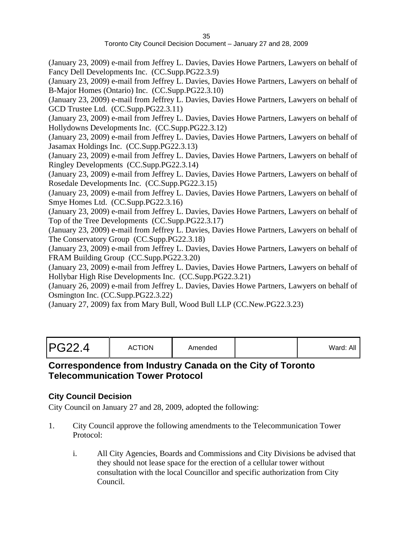(January 23, 2009) e-mail from Jeffrey L. Davies, Davies Howe Partners, Lawyers on behalf of Fancy Dell Developments Inc. (CC.Supp.PG22.3.9)

(January 23, 2009) e-mail from Jeffrey L. Davies, Davies Howe Partners, Lawyers on behalf of B-Major Homes (Ontario) Inc. (CC.Supp.PG22.3.10)

(January 23, 2009) e-mail from Jeffrey L. Davies, Davies Howe Partners, Lawyers on behalf of GCD Trustee Ltd. (CC.Supp.PG22.3.11)

(January 23, 2009) e-mail from Jeffrey L. Davies, Davies Howe Partners, Lawyers on behalf of Hollydowns Developments Inc. (CC.Supp.PG22.3.12)

(January 23, 2009) e-mail from Jeffrey L. Davies, Davies Howe Partners, Lawyers on behalf of Jasamax Holdings Inc. (CC.Supp.PG22.3.13)

(January 23, 2009) e-mail from Jeffrey L. Davies, Davies Howe Partners, Lawyers on behalf of Ringley Developments (CC.Supp.PG22.3.14)

(January 23, 2009) e-mail from Jeffrey L. Davies, Davies Howe Partners, Lawyers on behalf of Rosedale Developments Inc. (CC.Supp.PG22.3.15)

(January 23, 2009) e-mail from Jeffrey L. Davies, Davies Howe Partners, Lawyers on behalf of Smye Homes Ltd. (CC.Supp.PG22.3.16)

(January 23, 2009) e-mail from Jeffrey L. Davies, Davies Howe Partners, Lawyers on behalf of Top of the Tree Developments (CC.Supp.PG22.3.17)

(January 23, 2009) e-mail from Jeffrey L. Davies, Davies Howe Partners, Lawyers on behalf of The Conservatory Group (CC.Supp.PG22.3.18)

(January 23, 2009) e-mail from Jeffrey L. Davies, Davies Howe Partners, Lawyers on behalf of FRAM Building Group (CC.Supp.PG22.3.20)

(January 23, 2009) e-mail from Jeffrey L. Davies, Davies Howe Partners, Lawyers on behalf of Hollybar High Rise Developments Inc. (CC.Supp.PG22.3.21)

(January 26, 2009) e-mail from Jeffrey L. Davies, Davies Howe Partners, Lawyers on behalf of Osmington Inc. (CC.Supp.PG22.3.22)

(January 27, 2009) fax from Mary Bull, Wood Bull LLP (CC.New.PG22.3.23)

#### **Correspondence from Industry Canada on the City of Toronto Telecommunication Tower Protocol**

#### **City Council Decision**

- 1. City Council approve the following amendments to the Telecommunication Tower Protocol:
	- i. All City Agencies, Boards and Commissions and City Divisions be advised that they should not lease space for the erection of a cellular tower without consultation with the local Councillor and specific authorization from City Council.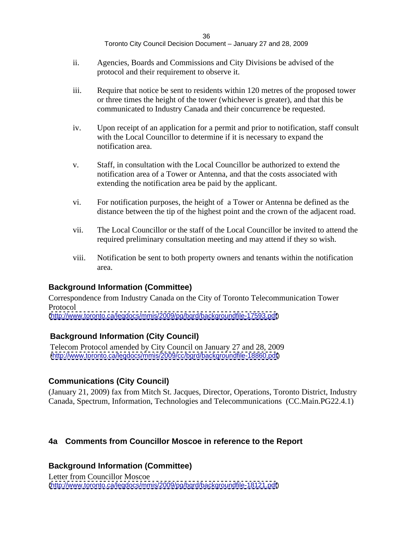- ii. Agencies, Boards and Commissions and City Divisions be advised of the protocol and their requirement to observe it.
- iii. Require that notice be sent to residents within 120 metres of the proposed tower or three times the height of the tower (whichever is greater), and that this be communicated to Industry Canada and their concurrence be requested.
- iv. Upon receipt of an application for a permit and prior to notification, staff consult with the Local Councillor to determine if it is necessary to expand the notification area.
- v. Staff, in consultation with the Local Councillor be authorized to extend the notification area of a Tower or Antenna, and that the costs associated with extending the notification area be paid by the applicant.
- vi. For notification purposes, the height of a Tower or Antenna be defined as the distance between the tip of the highest point and the crown of the adjacent road.
- vii. The Local Councillor or the staff of the Local Councillor be invited to attend the required preliminary consultation meeting and may attend if they so wish.
- viii. Notification be sent to both property owners and tenants within the notification area.

#### **Background Information (Committee)**

Correspondence from Industry Canada on the City of Toronto Telecommunication Tower Protocol

[\(http://www.toronto.ca/legdocs/mmis/2009/pg/bgrd/backgroundfile-17593.pdf](http://www.toronto.ca/legdocs/mmis/2009/pg/bgrd/backgroundfile-17593.pdf))

#### **Background Information (City Council)**

Telecom Protocol amended by City Council on January 27 and 28, 2009 [\(http://www.toronto.ca/legdocs/mmis/2009/cc/bgrd/backgroundfile-18860.pdf](http://www.toronto.ca/legdocs/mmis/2009/cc/bgrd/backgroundfile-18860.pdf))

#### **Communications (City Council)**

(January 21, 2009) fax from Mitch St. Jacques, Director, Operations, Toronto District, Industry Canada, Spectrum, Information, Technologies and Telecommunications (CC.Main.PG22.4.1)

#### **4a Comments from Councillor Moscoe in reference to the Report**

#### **Background Information (Committee)**

Letter from Councillor Moscoe [\(http://www.toronto.ca/legdocs/mmis/2009/pg/bgrd/backgroundfile-18121.pdf](http://www.toronto.ca/legdocs/mmis/2009/pg/bgrd/backgroundfile-18121.pdf))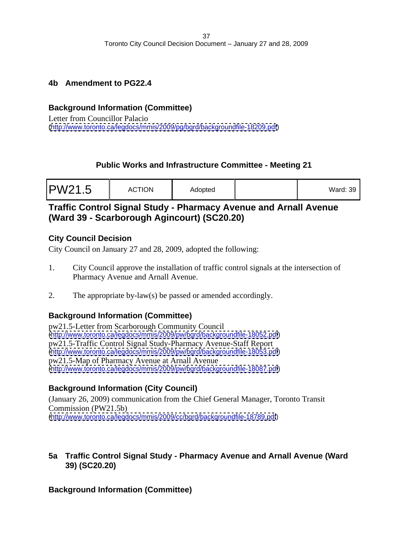#### **4b Amendment to PG22.4**

#### **Background Information (Committee)**

Letter from Councillor Palacio [\(http://www.toronto.ca/legdocs/mmis/2009/pg/bgrd/backgroundfile-18209.pdf](http://www.toronto.ca/legdocs/mmis/2009/pg/bgrd/backgroundfile-18209.pdf))

# **Public Works and Infrastructure Committee - Meeting 21**

| PW21.5 | <b>ACTION</b> | Adopted | Ward: 39 |  |  |  |  |  |  |
|--------|---------------|---------|----------|--|--|--|--|--|--|
|--------|---------------|---------|----------|--|--|--|--|--|--|

# **Traffic Control Signal Study - Pharmacy Avenue and Arnall Avenue (Ward 39 - Scarborough Agincourt) (SC20.20)**

#### **City Council Decision**

City Council on January 27 and 28, 2009, adopted the following:

- 1. City Council approve the installation of traffic control signals at the intersection of Pharmacy Avenue and Arnall Avenue.
- 2. The appropriate by-law(s) be passed or amended accordingly.

# **Background Information (Committee)**

pw21.5-Letter from Scarborough Community Council [\(http://www.toronto.ca/legdocs/mmis/2009/pw/bgrd/backgroundfile-18052.pdf](http://www.toronto.ca/legdocs/mmis/2009/pw/bgrd/backgroundfile-18052.pdf)) pw21.5-Traffic Control Signal Study-Pharmacy Avenue-Staff Report [\(http://www.toronto.ca/legdocs/mmis/2009/pw/bgrd/backgroundfile-18053.pdf](http://www.toronto.ca/legdocs/mmis/2009/pw/bgrd/backgroundfile-18053.pdf)) pw21.5-Map of Pharmacy Avenue at Arnall Avenue [\(http://www.toronto.ca/legdocs/mmis/2009/pw/bgrd/backgroundfile-18087.pdf](http://www.toronto.ca/legdocs/mmis/2009/pw/bgrd/backgroundfile-18087.pdf))

# **Background Information (City Council)**

(January 26, 2009) communication from the Chief General Manager, Toronto Transit Commission (PW21.5b) [\(http://www.toronto.ca/legdocs/mmis/2009/cc/bgrd/backgroundfile-18789.pdf](http://www.toronto.ca/legdocs/mmis/2009/cc/bgrd/backgroundfile-18789.pdf))

# **5a Traffic Control Signal Study - Pharmacy Avenue and Arnall Avenue (Ward 39) (SC20.20)**

# **Background Information (Committee)**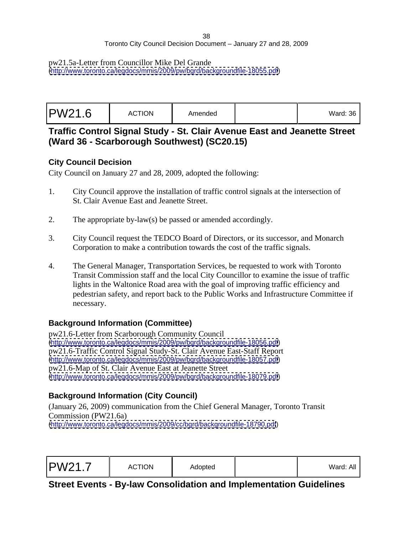#### pw21.5a-Letter from Councillor Mike Del Grande

[\(http://www.toronto.ca/legdocs/mmis/2009/pw/bgrd/backgroundfile-18055.pdf](http://www.toronto.ca/legdocs/mmis/2009/pw/bgrd/backgroundfile-18055.pdf))

| Ward:<br>. רזר<br>$\sim$ $\sim$ $\sim$ $\sim$ |  |
|-----------------------------------------------|--|
|                                               |  |

**Traffic Control Signal Study - St. Clair Avenue East and Jeanette Street (Ward 36 - Scarborough Southwest) (SC20.15)**

#### **City Council Decision**

City Council on January 27 and 28, 2009, adopted the following:

- 1. City Council approve the installation of traffic control signals at the intersection of St. Clair Avenue East and Jeanette Street.
- 2. The appropriate by-law(s) be passed or amended accordingly.
- 3. City Council request the TEDCO Board of Directors, or its successor, and Monarch Corporation to make a contribution towards the cost of the traffic signals.
- 4. The General Manager, Transportation Services, be requested to work with Toronto Transit Commission staff and the local City Councillor to examine the issue of traffic lights in the Waltonice Road area with the goal of improving traffic efficiency and pedestrian safety, and report back to the Public Works and Infrastructure Committee if necessary.

# **Background Information (Committee)**

pw21.6-Letter from Scarborough Community Council [\(http://www.toronto.ca/legdocs/mmis/2009/pw/bgrd/backgroundfile-18056.pdf](http://www.toronto.ca/legdocs/mmis/2009/pw/bgrd/backgroundfile-18056.pdf)) pw21.6-Traffic Control Signal Study-St. Clair Avenue East-Staff Report [\(http://www.toronto.ca/legdocs/mmis/2009/pw/bgrd/backgroundfile-18057.pdf](http://www.toronto.ca/legdocs/mmis/2009/pw/bgrd/backgroundfile-18057.pdf)) pw21.6-Map of St. Clair Avenue East at Jeanette Street [\(http://www.toronto.ca/legdocs/mmis/2009/pw/bgrd/backgroundfile-18079.pdf](http://www.toronto.ca/legdocs/mmis/2009/pw/bgrd/backgroundfile-18079.pdf))

# **Background Information (City Council)**

(January 26, 2009) communication from the Chief General Manager, Toronto Transit Commission (PW21.6a) [\(http://www.toronto.ca/legdocs/mmis/2009/cc/bgrd/backgroundfile-18790.pdf](http://www.toronto.ca/legdocs/mmis/2009/cc/bgrd/backgroundfile-18790.pdf))

| PW21.7 | $\sim$ $\sim$ $\sim$ $\sim$ $\sim$ $\sim$<br><b>ACTION</b><br>Adopted | Ward: All |  |  |  |  |
|--------|-----------------------------------------------------------------------|-----------|--|--|--|--|
|--------|-----------------------------------------------------------------------|-----------|--|--|--|--|

**Street Events - By-law Consolidation and Implementation Guidelines**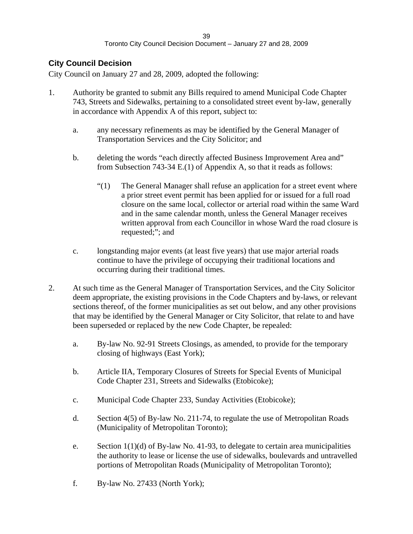#### **City Council Decision**

- 1. Authority be granted to submit any Bills required to amend Municipal Code Chapter 743, Streets and Sidewalks, pertaining to a consolidated street event by-law, generally in accordance with Appendix A of this report, subject to:
	- a. any necessary refinements as may be identified by the General Manager of Transportation Services and the City Solicitor; and
	- b. deleting the words "each directly affected Business Improvement Area and" from Subsection 743-34 E.(1) of Appendix A, so that it reads as follows:
		- "(1) The General Manager shall refuse an application for a street event where a prior street event permit has been applied for or issued for a full road closure on the same local, collector or arterial road within the same Ward and in the same calendar month, unless the General Manager receives written approval from each Councillor in whose Ward the road closure is requested;"; and
	- c. longstanding major events (at least five years) that use major arterial roads continue to have the privilege of occupying their traditional locations and occurring during their traditional times.
- 2. At such time as the General Manager of Transportation Services, and the City Solicitor deem appropriate, the existing provisions in the Code Chapters and by-laws, or relevant sections thereof, of the former municipalities as set out below, and any other provisions that may be identified by the General Manager or City Solicitor, that relate to and have been superseded or replaced by the new Code Chapter, be repealed:
	- a. By-law No. 92-91 Streets Closings, as amended, to provide for the temporary closing of highways (East York);
	- b. Article IIA, Temporary Closures of Streets for Special Events of Municipal Code Chapter 231, Streets and Sidewalks (Etobicoke);
	- c. Municipal Code Chapter 233, Sunday Activities (Etobicoke);
	- d. Section 4(5) of By-law No. 211-74, to regulate the use of Metropolitan Roads (Municipality of Metropolitan Toronto);
	- e. Section  $1(1)(d)$  of By-law No. 41-93, to delegate to certain area municipalities the authority to lease or license the use of sidewalks, boulevards and untravelled portions of Metropolitan Roads (Municipality of Metropolitan Toronto);
	- f. By-law No. 27433 (North York);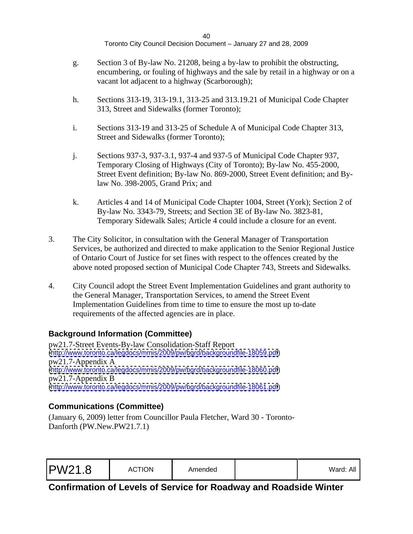- g. Section 3 of By-law No. 21208, being a by-law to prohibit the obstructing, encumbering, or fouling of highways and the sale by retail in a highway or on a vacant lot adjacent to a highway (Scarborough);
- h. Sections 313-19, 313-19.1, 313-25 and 313.19.21 of Municipal Code Chapter 313, Street and Sidewalks (former Toronto);
- i. Sections 313-19 and 313-25 of Schedule A of Municipal Code Chapter 313, Street and Sidewalks (former Toronto);
- j. Sections 937-3, 937-3.1, 937-4 and 937-5 of Municipal Code Chapter 937, Temporary Closing of Highways (City of Toronto); By-law No. 455-2000, Street Event definition; By-law No. 869-2000, Street Event definition; and Bylaw No. 398-2005, Grand Prix; and
- k. Articles 4 and 14 of Municipal Code Chapter 1004, Street (York); Section 2 of By-law No. 3343-79, Streets; and Section 3E of By-law No. 3823-81, Temporary Sidewalk Sales; Article 4 could include a closure for an event.
- 3. The City Solicitor, in consultation with the General Manager of Transportation Services, be authorized and directed to make application to the Senior Regional Justice of Ontario Court of Justice for set fines with respect to the offences created by the above noted proposed section of Municipal Code Chapter 743, Streets and Sidewalks.
- 4. City Council adopt the Street Event Implementation Guidelines and grant authority to the General Manager, Transportation Services, to amend the Street Event Implementation Guidelines from time to time to ensure the most up to-date requirements of the affected agencies are in place.

# **Background Information (Committee)**

pw21.7-Street Events-By-law Consolidation-Staff Report [\(http://www.toronto.ca/legdocs/mmis/2009/pw/bgrd/backgroundfile-18059.pdf](http://www.toronto.ca/legdocs/mmis/2009/pw/bgrd/backgroundfile-18059.pdf)) pw21.7-Appendix A [\(http://www.toronto.ca/legdocs/mmis/2009/pw/bgrd/backgroundfile-18060.pdf](http://www.toronto.ca/legdocs/mmis/2009/pw/bgrd/backgroundfile-18060.pdf)) pw21.7-Appendix B [\(http://www.toronto.ca/legdocs/mmis/2009/pw/bgrd/backgroundfile-18061.pdf](http://www.toronto.ca/legdocs/mmis/2009/pw/bgrd/backgroundfile-18061.pdf))

# **Communications (Committee)**

(January 6, 2009) letter from Councillor Paula Fletcher, Ward 30 - Toronto- Danforth (PW.New.PW21.7.1)

| Ward: All |
|-----------|
|-----------|

**Confirmation of Levels of Service for Roadway and Roadside Winter**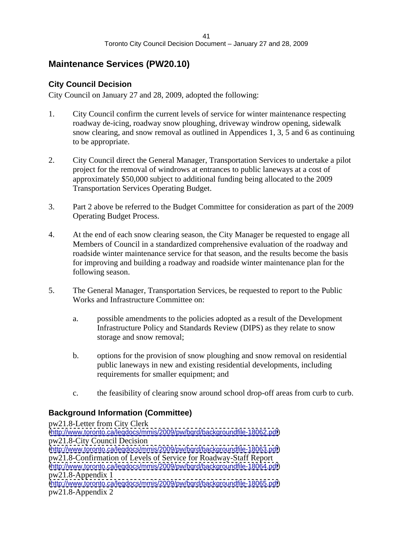# **Maintenance Services (PW20.10)**

#### **City Council Decision**

City Council on January 27 and 28, 2009, adopted the following:

- 1. City Council confirm the current levels of service for winter maintenance respecting roadway de-icing, roadway snow ploughing, driveway windrow opening, sidewalk snow clearing, and snow removal as outlined in Appendices 1, 3, 5 and 6 as continuing to be appropriate.
- 2. City Council direct the General Manager, Transportation Services to undertake a pilot project for the removal of windrows at entrances to public laneways at a cost of approximately \$50,000 subject to additional funding being allocated to the 2009 Transportation Services Operating Budget.
- 3. Part 2 above be referred to the Budget Committee for consideration as part of the 2009 Operating Budget Process.
- 4. At the end of each snow clearing season, the City Manager be requested to engage all Members of Council in a standardized comprehensive evaluation of the roadway and roadside winter maintenance service for that season, and the results become the basis for improving and building a roadway and roadside winter maintenance plan for the following season.
- 5. The General Manager, Transportation Services, be requested to report to the Public Works and Infrastructure Committee on:
	- a. possible amendments to the policies adopted as a result of the Development Infrastructure Policy and Standards Review (DIPS) as they relate to snow storage and snow removal;
	- b. options for the provision of snow ploughing and snow removal on residential public laneways in new and existing residential developments, including requirements for smaller equipment; and
	- c. the feasibility of clearing snow around school drop-off areas from curb to curb.

# **Background Information (Committee)**

pw21.8-Letter from City Clerk [\(http://www.toronto.ca/legdocs/mmis/2009/pw/bgrd/backgroundfile-18062.pdf](http://www.toronto.ca/legdocs/mmis/2009/pw/bgrd/backgroundfile-18062.pdf)) pw21.8-City Council Decision [\(http://www.toronto.ca/legdocs/mmis/2009/pw/bgrd/backgroundfile-18063.pdf](http://www.toronto.ca/legdocs/mmis/2009/pw/bgrd/backgroundfile-18063.pdf)) pw21.8-Confirmation of Levels of Service for Roadway-Staff Report [\(http://www.toronto.ca/legdocs/mmis/2009/pw/bgrd/backgroundfile-18064.pdf](http://www.toronto.ca/legdocs/mmis/2009/pw/bgrd/backgroundfile-18064.pdf)) pw21.8-Appendix 1 [\(http://www.toronto.ca/legdocs/mmis/2009/pw/bgrd/backgroundfile-18065.pdf](http://www.toronto.ca/legdocs/mmis/2009/pw/bgrd/backgroundfile-18065.pdf)) pw21.8-Appendix 2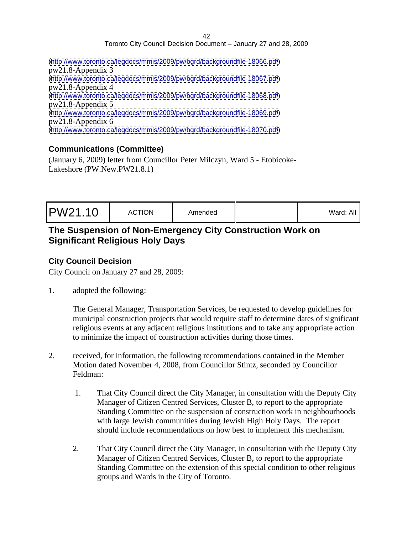| (http://www.toronto.ca/legdocs/mmis/2009/pw/bgrd/backgroundfile-18066.pdf) |  |  |
|----------------------------------------------------------------------------|--|--|
| $pw21.8$ -Appendix 3                                                       |  |  |
| (http://www.toronto.ca/legdocs/mmis/2009/pw/bgrd/backgroundfile-18067.pdf) |  |  |
| $pw21.8$ -Appendix 4                                                       |  |  |
| (http://www.toronto.ca/legdocs/mmis/2009/pw/bgrd/backgroundfile-18068.pdf) |  |  |
| $pw21.8$ -Appendix 5                                                       |  |  |
| (http://www.toronto.ca/legdocs/mmis/2009/pw/bgrd/backgroundfile-18069.pdf) |  |  |
| $pw21.8$ -Appendix 6                                                       |  |  |
| (http://www.toronto.ca/legdocs/mmis/2009/pw/bgrd/backgroundfile-18070.pdf) |  |  |

# **Communications (Committee)**

(January 6, 2009) letter from Councillor Peter Milczyn, Ward 5 - Etobicoke- Lakeshore (PW.New.PW21.8.1)

|--|--|

# **The Suspension of Non-Emergency City Construction Work on Significant Religious Holy Days**

# **City Council Decision**

City Council on January 27 and 28, 2009:

1. adopted the following:

The General Manager, Transportation Services, be requested to develop guidelines for municipal construction projects that would require staff to determine dates of significant religious events at any adjacent religious institutions and to take any appropriate action to minimize the impact of construction activities during those times.

- 2. received, for information, the following recommendations contained in the Member Motion dated November 4, 2008, from Councillor Stintz, seconded by Councillor Feldman:
	- 1. That City Council direct the City Manager, in consultation with the Deputy City Manager of Citizen Centred Services, Cluster B, to report to the appropriate Standing Committee on the suspension of construction work in neighbourhoods with large Jewish communities during Jewish High Holy Days. The report should include recommendations on how best to implement this mechanism.
	- 2. That City Council direct the City Manager, in consultation with the Deputy City Manager of Citizen Centred Services, Cluster B, to report to the appropriate Standing Committee on the extension of this special condition to other religious groups and Wards in the City of Toronto.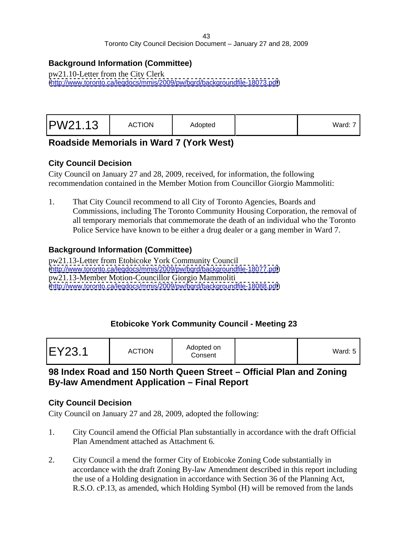#### **Background Information (Committee)**

pw21.10-Letter from the City Clerk [\(http://www.toronto.ca/legdocs/mmis/2009/pw/bgrd/backgroundfile-18073.pdf](http://www.toronto.ca/legdocs/mmis/2009/pw/bgrd/backgroundfile-18073.pdf))

# **Roadside Memorials in Ward 7 (York West)**

#### **City Council Decision**

City Council on January 27 and 28, 2009, received, for information, the following recommendation contained in the Member Motion from Councillor Giorgio Mammoliti:

1. That City Council recommend to all City of Toronto Agencies, Boards and Commissions, including The Toronto Community Housing Corporation, the removal of all temporary memorials that commemorate the death of an individual who the Toronto Police Service have known to be either a drug dealer or a gang member in Ward 7.

#### **Background Information (Committee)**

pw21.13-Letter from Etobicoke York Community Council [\(http://www.toronto.ca/legdocs/mmis/2009/pw/bgrd/backgroundfile-18077.pdf](http://www.toronto.ca/legdocs/mmis/2009/pw/bgrd/backgroundfile-18077.pdf)) pw21.13-Member Motion-Councillor Giorgio Mammoliti [\(http://www.toronto.ca/legdocs/mmis/2009/pw/bgrd/backgroundfile-18088.pdf](http://www.toronto.ca/legdocs/mmis/2009/pw/bgrd/backgroundfile-18088.pdf))

#### **Etobicoke York Community Council - Meeting 23**

|--|--|

# **98 Index Road and 150 North Queen Street – Official Plan and Zoning By-law Amendment Application – Final Report**

#### **City Council Decision**

- 1. City Council amend the Official Plan substantially in accordance with the draft Official Plan Amendment attached as Attachment 6.
- 2. City Council a mend the former City of Etobicoke Zoning Code substantially in accordance with the draft Zoning By-law Amendment described in this report including the use of a Holding designation in accordance with Section 36 of the Planning Act, R.S.O. cP.13, as amended, which Holding Symbol (H) will be removed from the lands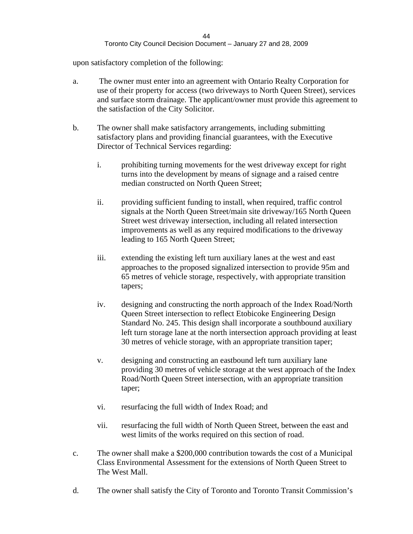upon satisfactory completion of the following:

- a. The owner must enter into an agreement with Ontario Realty Corporation for use of their property for access (two driveways to North Queen Street), services and surface storm drainage. The applicant/owner must provide this agreement to the satisfaction of the City Solicitor.
- b. The owner shall make satisfactory arrangements, including submitting satisfactory plans and providing financial guarantees, with the Executive Director of Technical Services regarding:
	- i. prohibiting turning movements for the west driveway except for right turns into the development by means of signage and a raised centre median constructed on North Queen Street;
	- ii. providing sufficient funding to install, when required, traffic control signals at the North Queen Street/main site driveway/165 North Queen Street west driveway intersection, including all related intersection improvements as well as any required modifications to the driveway leading to 165 North Queen Street;
	- iii. extending the existing left turn auxiliary lanes at the west and east approaches to the proposed signalized intersection to provide 95m and 65 metres of vehicle storage, respectively, with appropriate transition tapers;
	- iv. designing and constructing the north approach of the Index Road/North Queen Street intersection to reflect Etobicoke Engineering Design Standard No. 245. This design shall incorporate a southbound auxiliary left turn storage lane at the north intersection approach providing at least 30 metres of vehicle storage, with an appropriate transition taper;
	- v. designing and constructing an eastbound left turn auxiliary lane providing 30 metres of vehicle storage at the west approach of the Index Road/North Queen Street intersection, with an appropriate transition taper;
	- vi. resurfacing the full width of Index Road; and
	- vii. resurfacing the full width of North Queen Street, between the east and west limits of the works required on this section of road.
- c. The owner shall make a \$200,000 contribution towards the cost of a Municipal Class Environmental Assessment for the extensions of North Queen Street to The West Mall.
- d. The owner shall satisfy the City of Toronto and Toronto Transit Commission's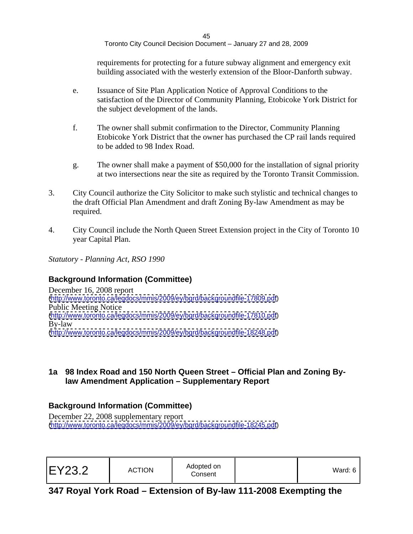requirements for protecting for a future subway alignment and emergency exit building associated with the westerly extension of the Bloor-Danforth subway.

- e. Issuance of Site Plan Application Notice of Approval Conditions to the satisfaction of the Director of Community Planning, Etobicoke York District for the subject development of the lands.
- f. The owner shall submit confirmation to the Director, Community Planning Etobicoke York District that the owner has purchased the CP rail lands required to be added to 98 Index Road.
- g. The owner shall make a payment of \$50,000 for the installation of signal priority at two intersections near the site as required by the Toronto Transit Commission.
- 3. City Council authorize the City Solicitor to make such stylistic and technical changes to the draft Official Plan Amendment and draft Zoning By-law Amendment as may be required.
- 4. City Council include the North Queen Street Extension project in the City of Toronto 10 year Capital Plan.

*Statutory - Planning Act, RSO 1990*

# **Background Information (Committee)**

December 16, 2008 report [\(http://www.toronto.ca/legdocs/mmis/2009/ey/bgrd/backgroundfile-17809.pdf](http://www.toronto.ca/legdocs/mmis/2009/ey/bgrd/backgroundfile-17809.pdf)) Public Meeting Notice [\(http://www.toronto.ca/legdocs/mmis/2009/ey/bgrd/backgroundfile-17810.pdf](http://www.toronto.ca/legdocs/mmis/2009/ey/bgrd/backgroundfile-17810.pdf)) By-law [\(http://www.toronto.ca/legdocs/mmis/2009/ey/bgrd/backgroundfile-18248.pdf](http://www.toronto.ca/legdocs/mmis/2009/ey/bgrd/backgroundfile-18248.pdf))

#### **1a 98 Index Road and 150 North Queen Street – Official Plan and Zoning Bylaw Amendment Application – Supplementary Report**

# **Background Information (Committee)**

December 22, 2008 supplementary report [\(http://www.toronto.ca/legdocs/mmis/2009/ey/bgrd/backgroundfile-18245.pdf](http://www.toronto.ca/legdocs/mmis/2009/ey/bgrd/backgroundfile-18245.pdf))

| EY23.2 | Adopted on<br><b>ACTION</b><br>Consent | .<br>Ward: ৻ |  |  |  |  |
|--------|----------------------------------------|--------------|--|--|--|--|
|--------|----------------------------------------|--------------|--|--|--|--|

# **347 Royal York Road – Extension of By-law 111-2008 Exempting the**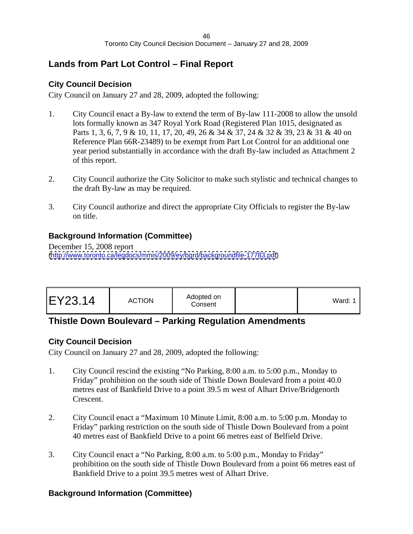# **Lands from Part Lot Control – Final Report**

# **City Council Decision**

City Council on January 27 and 28, 2009, adopted the following:

- 1. City Council enact a By-law to extend the term of By-law 111-2008 to allow the unsold lots formally known as 347 Royal York Road (Registered Plan 1015, designated as Parts 1, 3, 6, 7, 9 & 10, 11, 17, 20, 49, 26 & 34 & 37, 24 & 32 & 39, 23 & 31 & 40 on Reference Plan 66R-23489) to be exempt from Part Lot Control for an additional one year period substantially in accordance with the draft By-law included as Attachment 2 of this report.
- 2. City Council authorize the City Solicitor to make such stylistic and technical changes to the draft By-law as may be required.
- 3. City Council authorize and direct the appropriate City Officials to register the By-law on title.

# **Background Information (Committee)**

December 15, 2008 report [\(http://www.toronto.ca/legdocs/mmis/2009/ey/bgrd/backgroundfile-17783.pdf](http://www.toronto.ca/legdocs/mmis/2009/ey/bgrd/backgroundfile-17783.pdf))

| Ward: 1 |  |
|---------|--|
|---------|--|

# **Thistle Down Boulevard – Parking Regulation Amendments**

# **City Council Decision**

City Council on January 27 and 28, 2009, adopted the following:

- 1. City Council rescind the existing "No Parking, 8:00 a.m. to 5:00 p.m., Monday to Friday" prohibition on the south side of Thistle Down Boulevard from a point 40.0 metres east of Bankfield Drive to a point 39.5 m west of Alhart Drive/Bridgenorth Crescent.
- 2. City Council enact a "Maximum 10 Minute Limit, 8:00 a.m. to 5:00 p.m. Monday to Friday" parking restriction on the south side of Thistle Down Boulevard from a point 40 metres east of Bankfield Drive to a point 66 metres east of Belfield Drive.
- 3. City Council enact a "No Parking, 8:00 a.m. to 5:00 p.m., Monday to Friday" prohibition on the south side of Thistle Down Boulevard from a point 66 metres east of Bankfield Drive to a point 39.5 metres west of Alhart Drive.

# **Background Information (Committee)**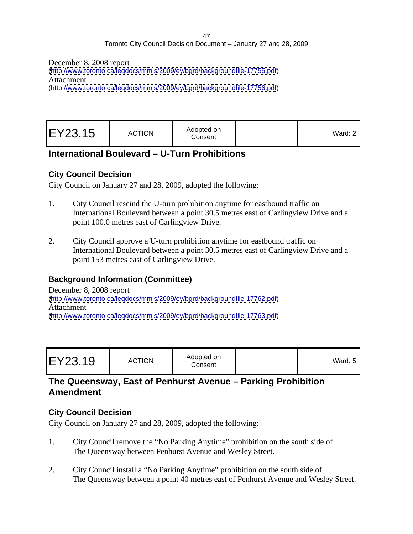December 8, 2008 report

[\(http://www.toronto.ca/legdocs/mmis/2009/ey/bgrd/backgroundfile-17755.pdf](http://www.toronto.ca/legdocs/mmis/2009/ey/bgrd/backgroundfile-17755.pdf)) Attachment (http:/[/www.toronto.ca/legdocs/mmis/2009/ey/bgrd/backgroundfile-17756.pdf](http://www.toronto.ca/legdocs/mmis/2009/ey/bgrd/backgroundfile-17756.pdf))

| EY23.15 | Adopted on<br><b>ACTION</b><br>Consent | Ward: 2 |  |  |  |  |
|---------|----------------------------------------|---------|--|--|--|--|
|---------|----------------------------------------|---------|--|--|--|--|

# **International Boulevard – U-Turn Prohibitions**

#### **City Council Decision**

City Council on January 27 and 28, 2009, adopted the following:

- 1. City Council rescind the U-turn prohibition anytime for eastbound traffic on International Boulevard between a point 30.5 metres east of Carlingview Drive and a point 100.0 metres east of Carlingview Drive.
- 2. City Council approve a U-turn prohibition anytime for eastbound traffic on International Boulevard between a point 30.5 metres east of Carlingview Drive and a point 153 metres east of Carlingview Drive.

# **Background Information (Committee)**

December 8, 2008 report [\(http://www.toronto.ca/legdocs/mmis/2009/ey/bgrd/backgroundfile-17762.pdf](http://www.toronto.ca/legdocs/mmis/2009/ey/bgrd/backgroundfile-17762.pdf)) Attachment [\(http://www.toronto.ca/legdocs/mmis/2009/ey/bgrd/backgroundfile-17763.pdf](http://www.toronto.ca/legdocs/mmis/2009/ey/bgrd/backgroundfile-17763.pdf))

|--|

# **The Queensway, East of Penhurst Avenue – Parking Prohibition Amendment**

#### **City Council Decision**

- 1. City Council remove the "No Parking Anytime" prohibition on the south side of The Queensway between Penhurst Avenue and Wesley Street.
- 2. City Council install a "No Parking Anytime" prohibition on the south side of The Queensway between a point 40 metres east of Penhurst Avenue and Wesley Street.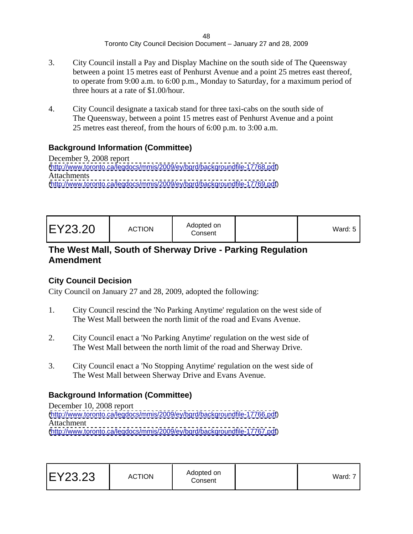- 3. City Council install a Pay and Display Machine on the south side of The Queensway between a point 15 metres east of Penhurst Avenue and a point 25 metres east thereof, to operate from 9:00 a.m. to 6:00 p.m., Monday to Saturday, for a maximum period of three hours at a rate of \$1.00/hour.
- 4. City Council designate a taxicab stand for three taxi-cabs on the south side of The Queensway, between a point 15 metres east of Penhurst Avenue and a point 25 metres east thereof, from the hours of 6:00 p.m. to 3:00 a.m.

# **Background Information (Committee)**

December 9, 2008 report [\(http://www.toronto.ca/legdocs/mmis/2009/ey/bgrd/backgroundfile-17768.pdf](http://www.toronto.ca/legdocs/mmis/2009/ey/bgrd/backgroundfile-17768.pdf)) Attachments **Attachments** [\(http://www.toronto.ca/legdocs/mmis/2009/ey/bgrd/backgroundfile-17769.pdf](http://www.toronto.ca/legdocs/mmis/2009/ey/bgrd/backgroundfile-17769.pdf))

# **The West Mall, South of Sherway Drive - Parking Regulation Amendment**

# **City Council Decision**

City Council on January 27 and 28, 2009, adopted the following:

- 1. City Council rescind the 'No Parking Anytime' regulation on the west side of The West Mall between the north limit of the road and Evans Avenue.
- 2. City Council enact a 'No Parking Anytime' regulation on the west side of The West Mall between the north limit of the road and Sherway Drive.
- 3. City Council enact a 'No Stopping Anytime' regulation on the west side of The West Mall between Sherway Drive and Evans Avenue.

# **Background Information (Committee)**

December 10, 2008 report [\(http://www.toronto.ca/legdocs/mmis/2009/ey/bgrd/backgroundfile-17766.pdf](http://www.toronto.ca/legdocs/mmis/2009/ey/bgrd/backgroundfile-17766.pdf)) Attachment [\(http://www.toronto.ca/legdocs/mmis/2009/ey/bgrd/backgroundfile-17767.pdf](http://www.toronto.ca/legdocs/mmis/2009/ey/bgrd/backgroundfile-17767.pdf))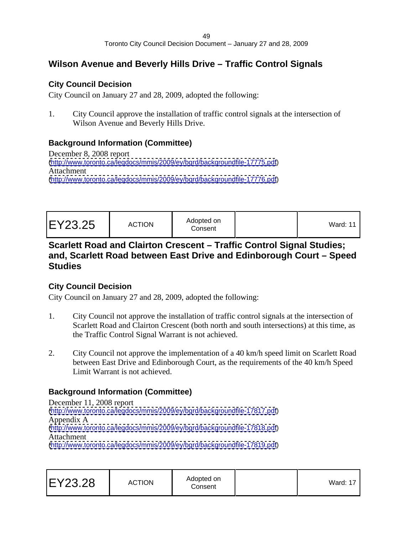# **Wilson Avenue and Beverly Hills Drive – Traffic Control Signals**

# **City Council Decision**

City Council on January 27 and 28, 2009, adopted the following:

1. City Council approve the installation of traffic control signals at the intersection of Wilson Avenue and Beverly Hills Drive.

# **Background Information (Committee)**

December 8, 2008 report [\(http://www.toronto.ca/legdocs/mmis/2009/ey/bgrd/backgroundfile-17775.pdf](http://www.toronto.ca/legdocs/mmis/2009/ey/bgrd/backgroundfile-17775.pdf)) Attachment [\(http://www.toronto.ca/legdocs/mmis/2009/ey/bgrd/backgroundfile-17776.pdf](http://www.toronto.ca/legdocs/mmis/2009/ey/bgrd/backgroundfile-17776.pdf))

| Vard: 11 |
|----------|
|----------|

# **Scarlett Road and Clairton Crescent – Traffic Control Signal Studies; and, Scarlett Road between East Drive and Edinborough Court – Speed Studies**

# **City Council Decision**

City Council on January 27 and 28, 2009, adopted the following:

- 1. City Council not approve the installation of traffic control signals at the intersection of Scarlett Road and Clairton Crescent (both north and south intersections) at this time, as the Traffic Control Signal Warrant is not achieved.
- 2. City Council not approve the implementation of a 40 km/h speed limit on Scarlett Road between East Drive and Edinborough Court, as the requirements of the 40 km/h Speed Limit Warrant is not achieved.

# **Background Information (Committee)**

December 11, 2008 report [\(http://www.toronto.ca/legdocs/mmis/2009/ey/bgrd/backgroundfile-17817.pdf](http://www.toronto.ca/legdocs/mmis/2009/ey/bgrd/backgroundfile-17817.pdf)) Appendix A [\(http://www.toronto.ca/legdocs/mmis/2009/ey/bgrd/backgroundfile-17818.pdf](http://www.toronto.ca/legdocs/mmis/2009/ey/bgrd/backgroundfile-17818.pdf)) Attachment [\(http://www.toronto.ca/legdocs/mmis/2009/ey/bgrd/backgroundfile-17819.pdf](http://www.toronto.ca/legdocs/mmis/2009/ey/bgrd/backgroundfile-17819.pdf))

| EY23.28 | Adopted on<br><b>ACTION</b><br>Consent | $\cdots$<br>--<br>VVard. |  |  |  |  |  |  |  |  |  |  |
|---------|----------------------------------------|--------------------------|--|--|--|--|--|--|--|--|--|--|
|---------|----------------------------------------|--------------------------|--|--|--|--|--|--|--|--|--|--|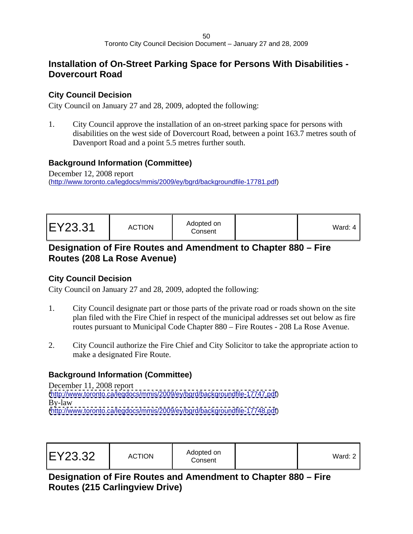# **Installation of On-Street Parking Space for Persons With Disabilities - Dovercourt Road**

# **City Council Decision**

City Council on January 27 and 28, 2009, adopted the following:

1. City Council approve the installation of an on-street parking space for persons with disabilities on the west side of Dovercourt Road, between a point 163.7 metres south of Davenport Road and a point 5.5 metres further south.

# **Background Information (Committee)**

December 12, 2008 report [\(http://www.toronto.ca/legdocs/mmis/2009/ey/bgrd/backgroundfile-17781.pdf\)](http://www.toronto.ca/legdocs/mmis/2009/ey/bgrd/backgroundfile-17781.pdf)

| Adopted on<br>$EV$ $23.31$<br><b>ACTION</b><br>$L1 < L0$ .<br>Consent | $\sim$ $\sim$ $\sim$<br>Ward: 4 |  |  |  |
|-----------------------------------------------------------------------|---------------------------------|--|--|--|
|-----------------------------------------------------------------------|---------------------------------|--|--|--|

# **Designation of Fire Routes and Amendment to Chapter 880 – Fire Routes (208 La Rose Avenue)**

# **City Council Decision**

City Council on January 27 and 28, 2009, adopted the following:

- 1. City Council designate part or those parts of the private road or roads shown on the site plan filed with the Fire Chief in respect of the municipal addresses set out below as fire routes pursuant to Municipal Code Chapter 880 – Fire Routes - 208 La Rose Avenue.
- 2. City Council authorize the Fire Chief and City Solicitor to take the appropriate action to make a designated Fire Route.

# **Background Information (Committee)**

December 11, 2008 report [\(http://www.toronto.ca/legdocs/mmis/2009/ey/bgrd/backgroundfile-17747.pdf](http://www.toronto.ca/legdocs/mmis/2009/ey/bgrd/backgroundfile-17747.pdf)) By-law [\(http://www.toronto.ca/legdocs/mmis/2009/ey/bgrd/backgroundfile-17748.pdf](http://www.toronto.ca/legdocs/mmis/2009/ey/bgrd/backgroundfile-17748.pdf))

| EY23.32<br><b>ACTION</b><br>Conser | \dopted on<br>,<br>vaiu. Z |
|------------------------------------|----------------------------|
|------------------------------------|----------------------------|

**Designation of Fire Routes and Amendment to Chapter 880 – Fire Routes (215 Carlingview Drive)**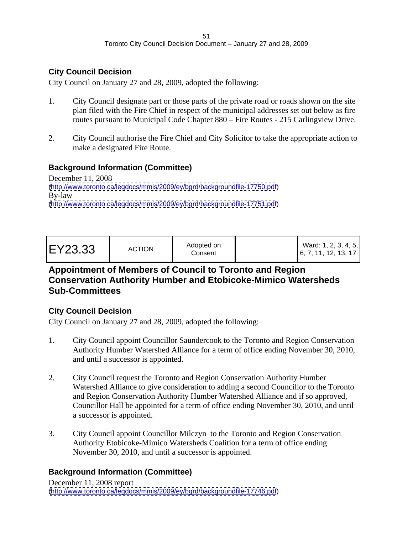# **City Council Decision**

City Council on January 27 and 28, 2009, adopted the following:

- 1. City Council designate part or those parts of the private road or roads shown on the site plan filed with the Fire Chief in respect of the municipal addresses set out below as fire routes pursuant to Municipal Code Chapter 880 – Fire Routes - 215 Carlingview Drive.
- 2. City Council authorise the Fire Chief and City Solicitor to take the appropriate action to make a designated Fire Route.

# **Background Information (Committee)**

December 11, 2008 [\(http://www.toronto.ca/legdocs/mmis/2009/ey/bgrd/backgroundfile-17750.pdf](http://www.toronto.ca/legdocs/mmis/2009/ey/bgrd/backgroundfile-17750.pdf)) By-law [\(http://www.toronto.ca/legdocs/mmis/2009/ey/bgrd/backgroundfile-17751.pdf](http://www.toronto.ca/legdocs/mmis/2009/ey/bgrd/backgroundfile-17751.pdf))

# **Appointment of Members of Council to Toronto and Region Conservation Authority Humber and Etobicoke-Mimico Watersheds Sub-Committees**

# **City Council Decision**

City Council on January 27 and 28, 2009, adopted the following:

- 1. City Council appoint Councillor Saundercook to the Toronto and Region Conservation Authority Humber Watershed Alliance for a term of office ending November 30, 2010, and until a successor is appointed.
- 2. City Council request the Toronto and Region Conservation Authority Humber Watershed Alliance to give consideration to adding a second Councillor to the Toronto and Region Conservation Authority Humber Watershed Alliance and if so approved, Councillor Hall be appointed for a term of office ending November 30, 2010, and until a successor is appointed.
- 3. City Council appoint Councillor Milczyn to the Toronto and Region Conservation Authority Etobicoke-Mimico Watersheds Coalition for a term of office ending November 30, 2010, and until a successor is appointed.

# **Background Information (Committee)**

December 11, 2008 report [\(http://www.toronto.ca/legdocs/mmis/2009/ey/bgrd/backgroundfile-17746.pdf](http://www.toronto.ca/legdocs/mmis/2009/ey/bgrd/backgroundfile-17746.pdf))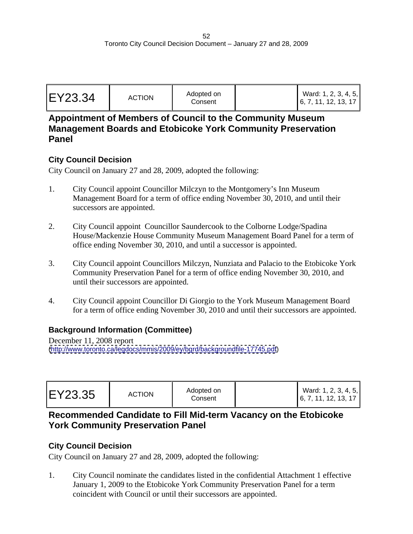| EY23.34 | <b>ACTION</b> | Adopted on<br>Consen | 6, 7, 11, 12, 13, 17 | Ward: 1, 2, 3, 4, 5 |  |
|---------|---------------|----------------------|----------------------|---------------------|--|
|---------|---------------|----------------------|----------------------|---------------------|--|

# **Appointment of Members of Council to the Community Museum Management Boards and Etobicoke York Community Preservation Panel**

#### **City Council Decision**

City Council on January 27 and 28, 2009, adopted the following:

- 1. City Council appoint Councillor Milczyn to the Montgomery's Inn Museum Management Board for a term of office ending November 30, 2010, and until their successors are appointed.
- 2. City Council appoint Councillor Saundercook to the Colborne Lodge/Spadina House/Mackenzie House Community Museum Management Board Panel for a term of office ending November 30, 2010, and until a successor is appointed.
- 3. City Council appoint Councillors Milczyn, Nunziata and Palacio to the Etobicoke York Community Preservation Panel for a term of office ending November 30, 2010, and until their successors are appointed.
- 4. City Council appoint Councillor Di Giorgio to the York Museum Management Board for a term of office ending November 30, 2010 and until their successors are appointed.

# **Background Information (Committee)**

December 11, 2008 report [\(http://www.toronto.ca/legdocs/mmis/2009/ey/bgrd/backgroundfile-17745.pdf](http://www.toronto.ca/legdocs/mmis/2009/ey/bgrd/backgroundfile-17745.pdf))

| Ward: 1, 2, 3, 4, 5,<br>, 7, 11, 12, 13, 17 |  |  |
|---------------------------------------------|--|--|
|---------------------------------------------|--|--|

# **Recommended Candidate to Fill Mid-term Vacancy on the Etobicoke York Community Preservation Panel**

# **City Council Decision**

City Council on January 27 and 28, 2009, adopted the following:

1. City Council nominate the candidates listed in the confidential Attachment 1 effective January 1, 2009 to the Etobicoke York Community Preservation Panel for a term coincident with Council or until their successors are appointed.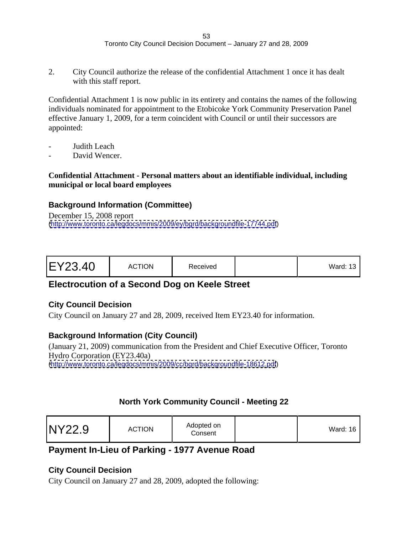2. City Council authorize the release of the confidential Attachment 1 once it has dealt with this staff report.

Confidential Attachment 1 is now public in its entirety and contains the names of the following individuals nominated for appointment to the Etobicoke York Community Preservation Panel effective January 1, 2009, for a term coincident with Council or until their successors are appointed:

- Judith Leach
- David Wencer.

#### **Confidential Attachment - Personal matters about an identifiable individual, including municipal or local board employees**

#### **Background Information (Committee)**

December 15, 2008 report [\(http://www.toronto.ca/legdocs/mmis/2009/ey/bgrd/backgroundfile-17744.pdf](http://www.toronto.ca/legdocs/mmis/2009/ey/bgrd/backgroundfile-17744.pdf))

# **Electrocution of a Second Dog on Keele Street**

#### **City Council Decision**

City Council on January 27 and 28, 2009, received Item EY23.40 for information.

# **Background Information (City Council)**

(January 21, 2009) communication from the President and Chief Executive Officer, Toronto Hydro Corporation (EY23.40a) [\(http://www.toronto.ca/legdocs/mmis/2009/cc/bgrd/backgroundfile-18612.pdf](http://www.toronto.ca/legdocs/mmis/2009/cc/bgrd/backgroundfile-18612.pdf))

# **North York Community Council - Meeting 22**

# **Payment In-Lieu of Parking - 1977 Avenue Road**

# **City Council Decision**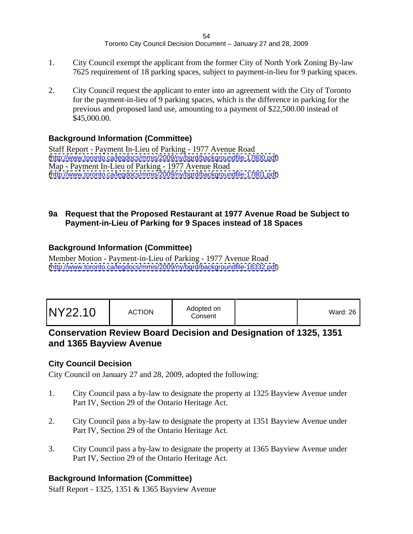- 1. City Council exempt the applicant from the former City of North York Zoning By-law 7625 requirement of 18 parking spaces, subject to payment-in-lieu for 9 parking spaces.
- 2. City Council request the applicant to enter into an agreement with the City of Toronto for the payment-in-lieu of 9 parking spaces, which is the difference in parking for the previous and proposed land use, amounting to a payment of \$22,500.00 instead of  $$45,000.00.$

# **Background Information (Committee)**

Staff Report - Payment In-Lieu of Parking - 1977 Avenue Road [\(http://www.toronto.ca/legdocs/mmis/2009/ny/bgrd/backgroundfile-17800.pdf](http://www.toronto.ca/legdocs/mmis/2009/ny/bgrd/backgroundfile-17800.pdf)) Map - Payment In-Lieu of Parking - 1977 Avenue Road [\(http://www.toronto.ca/legdocs/mmis/2009/ny/bgrd/backgroundfile-17801.pdf](http://www.toronto.ca/legdocs/mmis/2009/ny/bgrd/backgroundfile-17801.pdf))

#### **9a Request that the Proposed Restaurant at 1977 Avenue Road be Subject to Payment-in-Lieu of Parking for 9 Spaces instead of 18 Spaces**

# **Background Information (Committee)**

Member Motion - Payment-in-Lieu of Parking - 1977 Avenue Road [\(http://www.toronto.ca/legdocs/mmis/2009/ny/bgrd/backgroundfile-18332.pdf](http://www.toronto.ca/legdocs/mmis/2009/ny/bgrd/backgroundfile-18332.pdf))

# **Conservation Review Board Decision and Designation of 1325, 1351 and 1365 Bayview Avenue**

# **City Council Decision**

City Council on January 27 and 28, 2009, adopted the following:

- 1. City Council pass a by-law to designate the property at 1325 Bayview Avenue under Part IV, Section 29 of the Ontario Heritage Act.
- 2. City Council pass a by-law to designate the property at 1351 Bayview Avenue under Part IV, Section 29 of the Ontario Heritage Act.
- 3. City Council pass a by-law to designate the property at 1365 Bayview Avenue under Part IV, Section 29 of the Ontario Heritage Act.

# **Background Information (Committee)**

Staff Report - 1325, 1351 & 1365 Bayview Avenue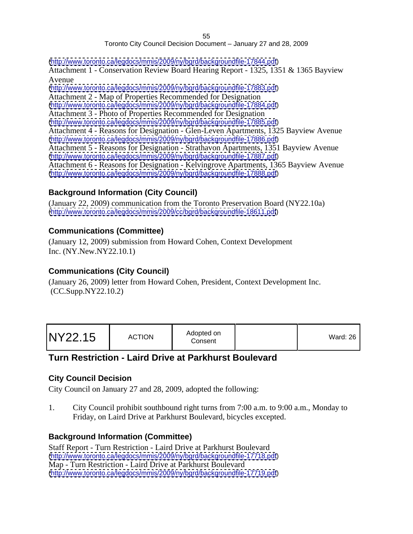#### 55 and the contract of the contract of the contract of the contract of the contract of the contract of the con Toronto City Council Decision Document – January 27 and 28, 2009

[\(http://www.toronto.ca/legdocs/mmis/2009/ny/bgrd/backgroundfile-17844.pdf](http://www.toronto.ca/legdocs/mmis/2009/ny/bgrd/backgroundfile-17844.pdf)) Attachment 1 - Conservation Review Board Hearing Report - 1325, 1351 & 1365 Bayview Avenue [\(http://www.toronto.ca/legdocs/mmis/2009/ny/bgrd/backgroundfile-17883.pdf](http://www.toronto.ca/legdocs/mmis/2009/ny/bgrd/backgroundfile-17883.pdf)) Attachment 2 - Map of Properties Recommended for Designation [\(http://www.toronto.ca/legdocs/mmis/2009/ny/bgrd/backgroundfile-17884.pdf](http://www.toronto.ca/legdocs/mmis/2009/ny/bgrd/backgroundfile-17884.pdf)) Attachment 3 - Photo of Properties Recommended for Designation [\(http://www.toronto.ca/legdocs/mmis/2009/ny/bgrd/backgroundfile-17885.pdf](http://www.toronto.ca/legdocs/mmis/2009/ny/bgrd/backgroundfile-17885.pdf)) Attachment 4 - Reasons for Designation - Glen-Leven Apartments, 1325 Bayview Avenue [\(http://www.toronto.ca/legdocs/mmis/2009/ny/bgrd/backgroundfile-17886.pdf](http://www.toronto.ca/legdocs/mmis/2009/ny/bgrd/backgroundfile-17886.pdf)) Attachment 5 - Reasons for Designation - Strathavon Apartments, 1351 Bayview Avenue [\(http://www.toronto.ca/legdocs/mmis/2009/ny/bgrd/backgroundfile-17887.pdf](http://www.toronto.ca/legdocs/mmis/2009/ny/bgrd/backgroundfile-17887.pdf)) Attachment 6 - Reasons for Designation - Kelvingrove Apartments, 1365 Bayview Avenue [\(http://www.toronto.ca/legdocs/mmis/2009/ny/bgrd/backgroundfile-17888.pdf](http://www.toronto.ca/legdocs/mmis/2009/ny/bgrd/backgroundfile-17888.pdf))

# **Background Information (City Council)**

(January 22, 2009) communication from the Toronto Preservation Board (NY22.10a) [\(http://www.toronto.ca/legdocs/mmis/2009/cc/bgrd/backgroundfile-18611.pdf](http://www.toronto.ca/legdocs/mmis/2009/cc/bgrd/backgroundfile-18611.pdf))

#### **Communications (Committee)**

(January 12, 2009) submission from Howard Cohen, Context Development Inc. (NY.New.NY22.10.1)

#### **Communications (City Council)**

(January 26, 2009) letter from Howard Cohen, President, Context Development Inc. (CC.Supp.NY22.10.2)

| <b>Ward: 26</b> |  |
|-----------------|--|
|                 |  |

# **Turn Restriction - Laird Drive at Parkhurst Boulevard**

#### **City Council Decision**

City Council on January 27 and 28, 2009, adopted the following:

1. City Council prohibit southbound right turns from 7:00 a.m. to 9:00 a.m., Monday to Friday, on Laird Drive at Parkhurst Boulevard, bicycles excepted.

#### **Background Information (Committee)**

Staff Report - Turn Restriction - Laird Drive at Parkhurst Boulevard [\(http://www.toronto.ca/legdocs/mmis/2009/ny/bgrd/backgroundfile-17718.pdf](http://www.toronto.ca/legdocs/mmis/2009/ny/bgrd/backgroundfile-17718.pdf)) Map - Turn Restriction - Laird Drive at Parkhurst Boulevard [\(http://www.toronto.ca/legdocs/mmis/2009/ny/bgrd/backgroundfile-17719.pdf](http://www.toronto.ca/legdocs/mmis/2009/ny/bgrd/backgroundfile-17719.pdf))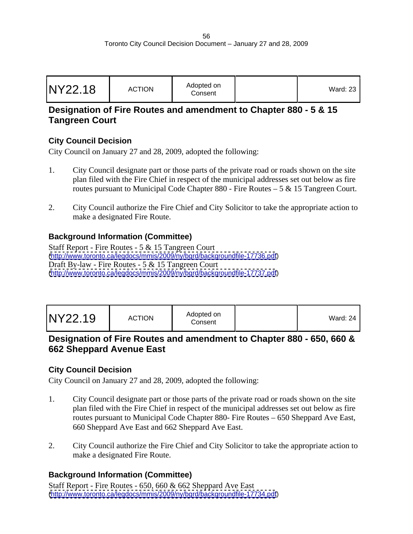| <b>NY22.18</b> | <b>ACTION</b><br><b>AUTION</b> | Adopted on<br>Consent | Ward: zu |  |  |  |  |  |  |  |  |  |  |  |  |  |
|----------------|--------------------------------|-----------------------|----------|--|--|--|--|--|--|--|--|--|--|--|--|--|
|----------------|--------------------------------|-----------------------|----------|--|--|--|--|--|--|--|--|--|--|--|--|--|

# **Designation of Fire Routes and amendment to Chapter 880 - 5 & 15 Tangreen Court**

# **City Council Decision**

City Council on January 27 and 28, 2009, adopted the following:

- 1. City Council designate part or those parts of the private road or roads shown on the site plan filed with the Fire Chief in respect of the municipal addresses set out below as fire routes pursuant to Municipal Code Chapter 880 - Fire Routes – 5 & 15 Tangreen Court.
- 2. City Council authorize the Fire Chief and City Solicitor to take the appropriate action to make a designated Fire Route.

# **Background Information (Committee)**

Staff Report - Fire Routes - 5 & 15 Tangreen Court [\(http://www.toronto.ca/legdocs/mmis/2009/ny/bgrd/backgroundfile-17736.pdf](http://www.toronto.ca/legdocs/mmis/2009/ny/bgrd/backgroundfile-17736.pdf)) Draft By-law - Fire Routes - 5 & 15 Tangreen Court [\(http://www.toronto.ca/legdocs/mmis/2009/ny/bgrd/backgroundfile-17737.pdf](http://www.toronto.ca/legdocs/mmis/2009/ny/bgrd/backgroundfile-17737.pdf))

| Ward: 24 |  |  |
|----------|--|--|
|----------|--|--|

# **Designation of Fire Routes and amendment to Chapter 880 - 650, 660 & 662 Sheppard Avenue East**

# **City Council Decision**

City Council on January 27 and 28, 2009, adopted the following:

- 1. City Council designate part or those parts of the private road or roads shown on the site plan filed with the Fire Chief in respect of the municipal addresses set out below as fire routes pursuant to Municipal Code Chapter 880- Fire Routes – 650 Sheppard Ave East, 660 Sheppard Ave East and 662 Sheppard Ave East.
- 2. City Council authorize the Fire Chief and City Solicitor to take the appropriate action to make a designated Fire Route.

# **Background Information (Committee)**

Staff Report - Fire Routes - 650, 660 & 662 Sheppard Ave East [\(http://www.toronto.ca/legdocs/mmis/2009/ny/bgrd/backgroundfile-17734.pdf](http://www.toronto.ca/legdocs/mmis/2009/ny/bgrd/backgroundfile-17734.pdf))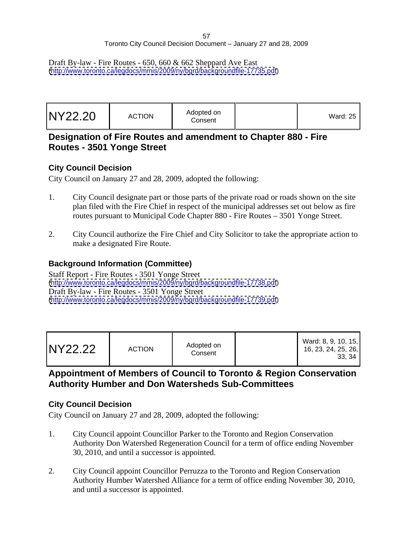Draft By-law - Fire Routes - 650, 660 & 662 Sheppard Ave East [\(http://www.toronto.ca/legdocs/mmis/2009/ny/bgrd/backgroundfile-17735.pdf](http://www.toronto.ca/legdocs/mmis/2009/ny/bgrd/backgroundfile-17735.pdf))

| Ward: 25 $ $ |  |
|--------------|--|
|--------------|--|

# **Designation of Fire Routes and amendment to Chapter 880 - Fire Routes - 3501 Yonge Street**

#### **City Council Decision**

City Council on January 27 and 28, 2009, adopted the following:

- 1. City Council designate part or those parts of the private road or roads shown on the site plan filed with the Fire Chief in respect of the municipal addresses set out below as fire routes pursuant to Municipal Code Chapter 880 - Fire Routes – 3501 Yonge Street.
- 2. City Council authorize the Fire Chief and City Solicitor to take the appropriate action to make a designated Fire Route.

# **Background Information (Committee)**

Staff Report - Fire Routes - 3501 Yonge Street [\(http://www.toronto.ca/legdocs/mmis/2009/ny/bgrd/backgroundfile-17738.pdf](http://www.toronto.ca/legdocs/mmis/2009/ny/bgrd/backgroundfile-17738.pdf)) Draft By-law - Fire Routes - 3501 Yonge Street [\(http://www.toronto.ca/legdocs/mmis/2009/ny/bgrd/backgroundfile-17739.pdf](http://www.toronto.ca/legdocs/mmis/2009/ny/bgrd/backgroundfile-17739.pdf))

| Ward: 8, 9, 10, 15,<br>16, 23, 24, 25, 26,<br>$\sim$ $\sim$<br>აა, ა+ |
|-----------------------------------------------------------------------|
|-----------------------------------------------------------------------|

# **Appointment of Members of Council to Toronto & Region Conservation Authority Humber and Don Watersheds Sub-Committees**

# **City Council Decision**

- 1. City Council appoint Councillor Parker to the Toronto and Region Conservation Authority Don Watershed Regeneration Council for a term of office ending November 30, 2010, and until a successor is appointed.
- 2. City Council appoint Councillor Perruzza to the Toronto and Region Conservation Authority Humber Watershed Alliance for a term of office ending November 30, 2010, and until a successor is appointed.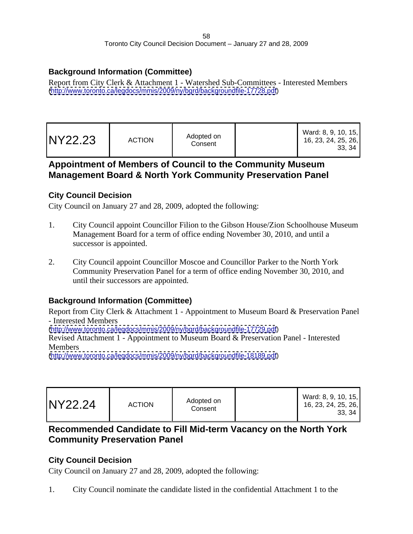# **Background Information (Committee)**

Report from City Clerk & Attachment 1 - Watershed Sub-Committees - Interested Members [\(http://www.toronto.ca/legdocs/mmis/2009/ny/bgrd/backgroundfile-17728.pdf](http://www.toronto.ca/legdocs/mmis/2009/ny/bgrd/backgroundfile-17728.pdf))

# **Appointment of Members of Council to the Community Museum Management Board & North York Community Preservation Panel**

# **City Council Decision**

City Council on January 27 and 28, 2009, adopted the following:

- 1. City Council appoint Councillor Filion to the Gibson House/Zion Schoolhouse Museum Management Board for a term of office ending November 30, 2010, and until a successor is appointed.
- 2. City Council appoint Councillor Moscoe and Councillor Parker to the North York Community Preservation Panel for a term of office ending November 30, 2010, and until their successors are appointed.

# **Background Information (Committee)**

Report from City Clerk & Attachment 1 - Appointment to Museum Board & Preservation Panel - Interested Members

[\(http://www.toronto.ca/legdocs/mmis/2009/ny/bgrd/backgroundfile-17729.pdf](http://www.toronto.ca/legdocs/mmis/2009/ny/bgrd/backgroundfile-17729.pdf))

Revised Attachment 1 - Appointment to Museum Board & Preservation Panel - Interested Members **Exercise 2018** 

[\(http://www.toronto.ca/legdocs/mmis/2009/ny/bgrd/backgroundfile-18189.pdf](http://www.toronto.ca/legdocs/mmis/2009/ny/bgrd/backgroundfile-18189.pdf))

# **Recommended Candidate to Fill Mid-term Vacancy on the North York Community Preservation Panel**

# **City Council Decision**

City Council on January 27 and 28, 2009, adopted the following:

1. City Council nominate the candidate listed in the confidential Attachment 1 to the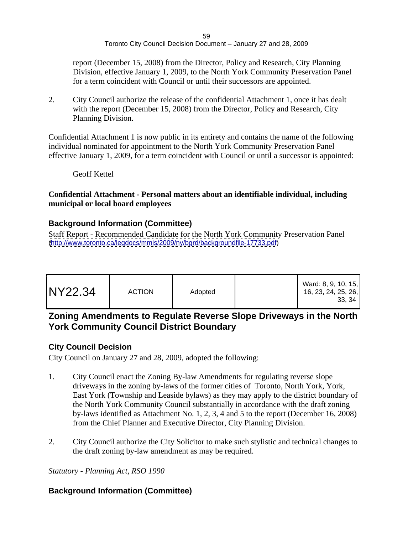report (December 15, 2008) from the Director, Policy and Research, City Planning Division, effective January 1, 2009, to the North York Community Preservation Panel for a term coincident with Council or until their successors are appointed.

2. City Council authorize the release of the confidential Attachment 1, once it has dealt with the report (December 15, 2008) from the Director, Policy and Research, City Planning Division.

Confidential Attachment 1 is now public in its entirety and contains the name of the following individual nominated for appointment to the North York Community Preservation Panel effective January 1, 2009, for a term coincident with Council or until a successor is appointed:

Geoff Kettel

#### **Confidential Attachment - Personal matters about an identifiable individual, including municipal or local board employees**

#### **Background Information (Committee)**

Staff Report - Recommended Candidate for the North York Community Preservation Panel [\(http://www.toronto.ca/legdocs/mmis/2009/ny/bgrd/backgroundfile-17733.pdf](http://www.toronto.ca/legdocs/mmis/2009/ny/bgrd/backgroundfile-17733.pdf))

# **Zoning Amendments to Regulate Reverse Slope Driveways in the North York Community Council District Boundary**

# **City Council Decision**

City Council on January 27 and 28, 2009, adopted the following:

- 1. City Council enact the Zoning By-law Amendments for regulating reverse slope driveways in the zoning by-laws of the former cities of Toronto, North York, York, East York (Township and Leaside bylaws) as they may apply to the district boundary of the North York Community Council substantially in accordance with the draft zoning by-laws identified as Attachment No. 1, 2, 3, 4 and 5 to the report (December 16, 2008) from the Chief Planner and Executive Director, City Planning Division.
- 2. City Council authorize the City Solicitor to make such stylistic and technical changes to the draft zoning by-law amendment as may be required.

*Statutory - Planning Act, RSO 1990*

# **Background Information (Committee)**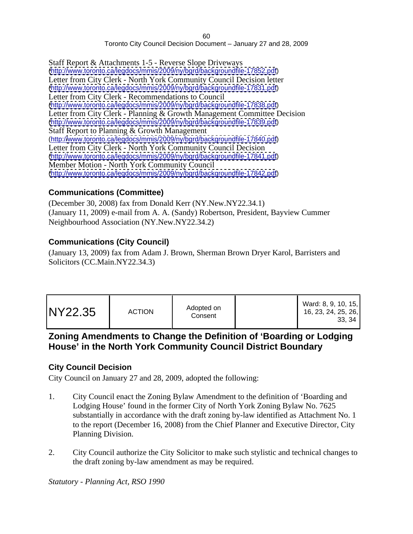Staff Report & Attachments 1-5 - Reverse Slope Driveways [\(http://www.toronto.ca/legdocs/mmis/2009/ny/bgrd/backgroundfile-17852.pdf](http://www.toronto.ca/legdocs/mmis/2009/ny/bgrd/backgroundfile-17852.pdf)) Letter from City Clerk - North York Community Council Decision letter [\(http://www.toronto.ca/legdocs/mmis/2009/ny/bgrd/backgroundfile-17831.pdf](http://www.toronto.ca/legdocs/mmis/2009/ny/bgrd/backgroundfile-17831.pdf)) Letter from City Clerk - Recommendations to Council [\(http://www.toronto.ca/legdocs/mmis/2009/ny/bgrd/backgroundfile-17838.pdf](http://www.toronto.ca/legdocs/mmis/2009/ny/bgrd/backgroundfile-17838.pdf)) Letter from City Clerk - Planning & Growth Management Committee Decision [\(http://www.toronto.ca/legdocs/mmis/2009/ny/bgrd/backgroundfile-17839.pdf](http://www.toronto.ca/legdocs/mmis/2009/ny/bgrd/backgroundfile-17839.pdf)) Staff Report to Planning & Growth Management (http:/[/www.toronto.ca/legdocs/mmis/2009/ny/bgrd/backgroundfile-17840.pdf](http://www.toronto.ca/legdocs/mmis/2009/ny/bgrd/backgroundfile-17840.pdf)) Letter from City Clerk - North York Community Council Decision [\(http://www.toronto.ca/legdocs/mmis/2009/ny/bgrd/backgroundfile-17841.pdf](http://www.toronto.ca/legdocs/mmis/2009/ny/bgrd/backgroundfile-17841.pdf)) Member Motion - North York Community Council [\(http://www.toronto.ca/legdocs/mmis/2009/ny/bgrd/backgroundfile-17842.pdf](http://www.toronto.ca/legdocs/mmis/2009/ny/bgrd/backgroundfile-17842.pdf))

#### **Communications (Committee)**

(December 30, 2008) fax from Donald Kerr (NY.New.NY22.34.1) (January 11, 2009) e-mail from A. A. (Sandy) Robertson, President, Bayview Cummer Neighbourhood Association (NY.New.NY22.34.2)

#### **Communications (City Council)**

(January 13, 2009) fax from Adam J. Brown, Sherman Brown Dryer Karol, Barristers and Solicitors (CC.Main.NY22.34.3)

| 16, 23, 24, 25, 26, |
|---------------------|
|---------------------|

# **Zoning Amendments to Change the Definition of 'Boarding or Lodging House' in the North York Community Council District Boundary**

#### **City Council Decision**

City Council on January 27 and 28, 2009, adopted the following:

- 1. City Council enact the Zoning Bylaw Amendment to the definition of 'Boarding and Lodging House' found in the former City of North York Zoning Bylaw No. 7625 substantially in accordance with the draft zoning by-law identified as Attachment No. 1 to the report (December 16, 2008) from the Chief Planner and Executive Director, City Planning Division.
- 2. City Council authorize the City Solicitor to make such stylistic and technical changes to the draft zoning by-law amendment as may be required.

*Statutory - Planning Act, RSO 1990*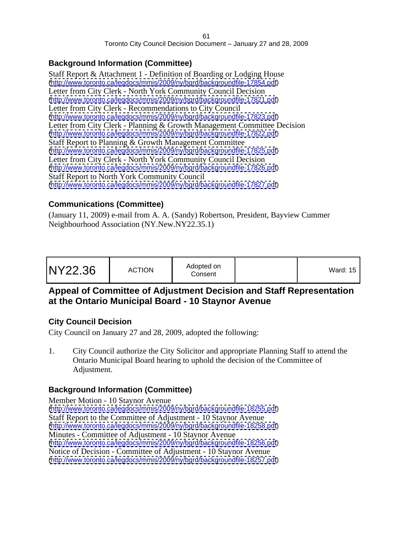# **Background Information (Committee)**

Staff Report & Attachment 1 - Definition of Boarding or Lodging House [\(http://www.toronto.ca/legdocs/mmis/2009/ny/bgrd/backgroundfile-17854.pdf](http://www.toronto.ca/legdocs/mmis/2009/ny/bgrd/backgroundfile-17854.pdf)) Letter from City Clerk - North York Community Council Decision [\(http://www.toronto.ca/legdocs/mmis/2009/ny/bgrd/backgroundfile-17821.pdf](http://www.toronto.ca/legdocs/mmis/2009/ny/bgrd/backgroundfile-17821.pdf)) Letter from City Clerk - Recommendations to City Council [\(http://www.toronto.ca/legdocs/mmis/2009/ny/bgrd/backgroundfile-17823.pdf](http://www.toronto.ca/legdocs/mmis/2009/ny/bgrd/backgroundfile-17823.pdf)) Letter from City Clerk - Planning & Growth Management Committee Decision [\(http://www.toronto.ca/legdocs/mmis/2009/ny/bgrd/backgroundfile-17822.pdf](http://www.toronto.ca/legdocs/mmis/2009/ny/bgrd/backgroundfile-17822.pdf)) Staff Report to Planning & Growth Management Committee [\(http://www.toronto.ca/legdocs/mmis/2009/ny/bgrd/backgroundfile-17825.pdf](http://www.toronto.ca/legdocs/mmis/2009/ny/bgrd/backgroundfile-17825.pdf)) Letter from City Clerk - North York Community Council Decision [\(http://www.toronto.ca/legdocs/mmis/2009/ny/bgrd/backgroundfile-17826.pdf](http://www.toronto.ca/legdocs/mmis/2009/ny/bgrd/backgroundfile-17826.pdf)) Staff Report to North York Community Council [\(http://www.toronto.ca/legdocs/mmis/2009/ny/bgrd/backgroundfile-17827.pdf](http://www.toronto.ca/legdocs/mmis/2009/ny/bgrd/backgroundfile-17827.pdf))

# **Communications (Committee)**

(January 11, 2009) e-mail from A. A. (Sandy) Robertson, President, Bayview Cummer Neighbourhood Association (NY.New.NY22.35.1)

| Vard: 15 |  |
|----------|--|
|----------|--|

# **Appeal of Committee of Adjustment Decision and Staff Representation at the Ontario Municipal Board - 10 Staynor Avenue**

# **City Council Decision**

City Council on January 27 and 28, 2009, adopted the following:

1. City Council authorize the City Solicitor and appropriate Planning Staff to attend the Ontario Municipal Board hearing to uphold the decision of the Committee of Adjustment.

# **Background Information (Committee)**

Member Motion - 10 Staynor Avenue [\(http://www.toronto.ca/legdocs/mmis/2009/ny/bgrd/backgroundfile-18255.pdf](http://www.toronto.ca/legdocs/mmis/2009/ny/bgrd/backgroundfile-18255.pdf)) Staff Report to the Committee of Adjustment - 10 Staynor Avenue [\(http://www.toronto.ca/legdocs/mmis/2009/ny/bgrd/backgroundfile-18258.pdf](http://www.toronto.ca/legdocs/mmis/2009/ny/bgrd/backgroundfile-18258.pdf)) Minutes - Committee of Adjustment - 10 Staynor Avenue [\(http://www.toronto.ca/legdocs/mmis/2009/ny/bgrd/backgroundfile-18256.pdf](http://www.toronto.ca/legdocs/mmis/2009/ny/bgrd/backgroundfile-18256.pdf)) Notice of Decision - Committee of Adjustment - 10 Staynor Avenue [\(http://www.toronto.ca/legdocs/mmis/2009/ny/bgrd/backgroundfile-18257.pdf](http://www.toronto.ca/legdocs/mmis/2009/ny/bgrd/backgroundfile-18257.pdf))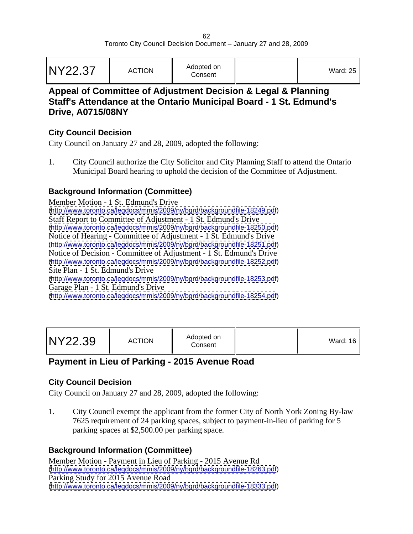|--|--|--|--|

# **Appeal of Committee of Adjustment Decision & Legal & Planning Staff's Attendance at the Ontario Municipal Board - 1 St. Edmund's Drive, A0715/08NY**

#### **City Council Decision**

City Council on January 27 and 28, 2009, adopted the following:

1. City Council authorize the City Solicitor and City Planning Staff to attend the Ontario Municipal Board hearing to uphold the decision of the Committee of Adjustment.

# **Background Information (Committee)**

Member Motion - 1 St. Edmund's Drive [\(http://www.toronto.ca/legdocs/mmis/2009/ny/bgrd/backgroundfile-18249.pdf](http://www.toronto.ca/legdocs/mmis/2009/ny/bgrd/backgroundfile-18249.pdf)) Staff Report to Committee of Adjustment - 1 St. Edmund's Drive [\(http://www.toronto.ca/legdocs/mmis/2009/ny/bgrd/backgroundfile-18250.pdf](http://www.toronto.ca/legdocs/mmis/2009/ny/bgrd/backgroundfile-18250.pdf)) Notice of Hearing - Committee of Adjustment - 1 St. Edmund's Drive (http:/[/www.toronto.ca/legdocs/mmis/2009/ny/bgrd/backgroundfile-18251.pdf](http://www.toronto.ca/legdocs/mmis/2009/ny/bgrd/backgroundfile-18251.pdf)) Notice of Decision - Committee of Adjustment - 1 St. Edmund's Drive [\(http://www.toronto.ca/legdocs/mmis/2009/ny/bgrd/backgroundfile-18252.pdf](http://www.toronto.ca/legdocs/mmis/2009/ny/bgrd/backgroundfile-18252.pdf)) Site Plan - 1 St. Edmund's Drive [\(http://www.toronto.ca/legdocs/mmis/2009/ny/bgrd/backgroundfile-18253.pdf](http://www.toronto.ca/legdocs/mmis/2009/ny/bgrd/backgroundfile-18253.pdf)) Garage Plan - 1 St. Edmund's Drive [\(http://www.toronto.ca/legdocs/mmis/2009/ny/bgrd/backgroundfile-18254.pdf](http://www.toronto.ca/legdocs/mmis/2009/ny/bgrd/backgroundfile-18254.pdf))

|--|--|

# **Payment in Lieu of Parking - 2015 Avenue Road**

# **City Council Decision**

City Council on January 27 and 28, 2009, adopted the following:

1. City Council exempt the applicant from the former City of North York Zoning By-law 7625 requirement of 24 parking spaces, subject to payment-in-lieu of parking for 5 parking spaces at \$2,500.00 per parking space.

# **Background Information (Committee)**

Member Motion - Payment in Lieu of Parking - 2015 Avenue Rd [\(http://www.toronto.ca/legdocs/mmis/2009/ny/bgrd/backgroundfile-18263.pdf](http://www.toronto.ca/legdocs/mmis/2009/ny/bgrd/backgroundfile-18263.pdf)) Parking Study for 2015 Avenue Road [\(http://www.toronto.ca/legdocs/mmis/2009/ny/bgrd/backgroundfile-18333.pdf](http://www.toronto.ca/legdocs/mmis/2009/ny/bgrd/backgroundfile-18333.pdf))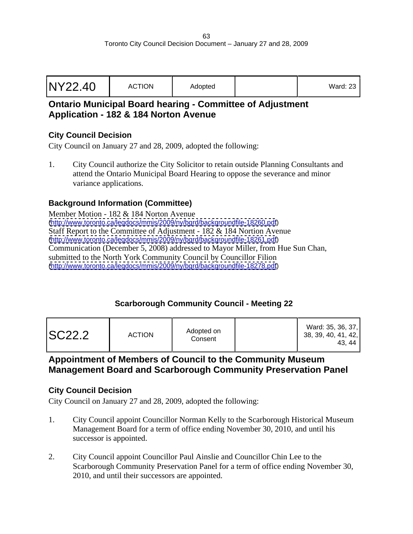| NY22.40 | <b>ACTION</b> | Adopted |  | $\mathbf{1}$<br>Ward: 23 |  |  |  |  |  |  |  |  |  |  |  |  |
|---------|---------------|---------|--|--------------------------|--|--|--|--|--|--|--|--|--|--|--|--|
|---------|---------------|---------|--|--------------------------|--|--|--|--|--|--|--|--|--|--|--|--|

# **Ontario Municipal Board hearing - Committee of Adjustment Application - 182 & 184 Norton Avenue**

# **City Council Decision**

City Council on January 27 and 28, 2009, adopted the following:

1. City Council authorize the City Solicitor to retain outside Planning Consultants and attend the Ontario Municipal Board Hearing to oppose the severance and minor variance applications.

# **Background Information (Committee)**

Member Motion - 182 & 184 Norton Avenue [\(http://www.toronto.ca/legdocs/mmis/2009/ny/bgrd/backgroundfile-18260.pdf](http://www.toronto.ca/legdocs/mmis/2009/ny/bgrd/backgroundfile-18260.pdf)) Staff Report to the Committee of Adjustment - 182 & 184 Nortion Avenue [\(http://www.toronto.ca/legdocs/mmis/2009/ny/bgrd/backgroundfile-18261.pdf](http://www.toronto.ca/legdocs/mmis/2009/ny/bgrd/backgroundfile-18261.pdf)) Communication (December 5, 2008) addressed to Mayor Miller, from Hue Sun Chan, submitted to the North York Community Council by Councillor Filion [\(http://www.toronto.ca/legdocs/mmis/2009/ny/bgrd/backgroundfile-18278.pdf](http://www.toronto.ca/legdocs/mmis/2009/ny/bgrd/backgroundfile-18278.pdf))

# **Scarborough Community Council - Meeting 22**

| <b>SC22.2</b><br><b>ACTION</b> | Adopted on<br>Consen <sup>+</sup> | Ward: 35, 36, 37,<br>38, 39, 40, 41, 42,<br>43, 44 |  |  |  |  |
|--------------------------------|-----------------------------------|----------------------------------------------------|--|--|--|--|
|--------------------------------|-----------------------------------|----------------------------------------------------|--|--|--|--|

# **Appointment of Members of Council to the Community Museum Management Board and Scarborough Community Preservation Panel**

#### **City Council Decision**

- 1. City Council appoint Councillor Norman Kelly to the Scarborough Historical Museum Management Board for a term of office ending November 30, 2010, and until his successor is appointed.
- 2. City Council appoint Councillor Paul Ainslie and Councillor Chin Lee to the Scarborough Community Preservation Panel for a term of office ending November 30, 2010, and until their successors are appointed.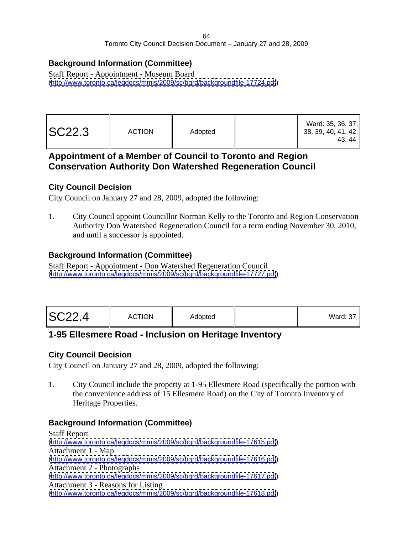# **Background Information (Committee)**

Staff Report - Appointment - Museum Board [\(http://www.toronto.ca/legdocs/mmis/2009/sc/bgrd/backgroundfile-17724.pdf](http://www.toronto.ca/legdocs/mmis/2009/sc/bgrd/backgroundfile-17724.pdf))

# **Appointment of a Member of Council to Toronto and Region Conservation Authority Don Watershed Regeneration Council**

#### **City Council Decision**

City Council on January 27 and 28, 2009, adopted the following:

1. City Council appoint Councillor Norman Kelly to the Toronto and Region Conservation Authority Don Watershed Regeneration Council for a term ending November 30, 2010, and until a successor is appointed.

# **Background Information (Committee)**

Staff Report - Appointment - Don Watershed Regeneration Council [\(http://www.toronto.ca/legdocs/mmis/2009/sc/bgrd/backgroundfile-17727.pdf](http://www.toronto.ca/legdocs/mmis/2009/sc/bgrd/backgroundfile-17727.pdf))

# **1-95 Ellesmere Road - Inclusion on Heritage Inventory**

# **City Council Decision**

City Council on January 27 and 28, 2009, adopted the following:

1. City Council include the property at 1-95 Ellesmere Road (specifically the portion with the convenience address of 15 Ellesmere Road) on the City of Toronto Inventory of Heritage Properties.

# **Background Information (Committee)**

Staff Report [\(http://www.toronto.ca/legdocs/mmis/2009/sc/bgrd/backgroundfile-17615.pdf](http://www.toronto.ca/legdocs/mmis/2009/sc/bgrd/backgroundfile-17615.pdf)) Attachment 1 - Map [\(http://www.toronto.ca/legdocs/mmis/2009/sc/bgrd/backgroundfile-17616.pdf](http://www.toronto.ca/legdocs/mmis/2009/sc/bgrd/backgroundfile-17616.pdf)) Attachment 2 - Photographs [\(http://www.toronto.ca/legdocs/mmis/2009/sc/bgrd/backgroundfile-17617.pdf](http://www.toronto.ca/legdocs/mmis/2009/sc/bgrd/backgroundfile-17617.pdf)) Attachment 3 - Reasons for Listing [\(http://www.toronto.ca/legdocs/mmis/2009/sc/bgrd/backgroundfile-17618.pdf](http://www.toronto.ca/legdocs/mmis/2009/sc/bgrd/backgroundfile-17618.pdf))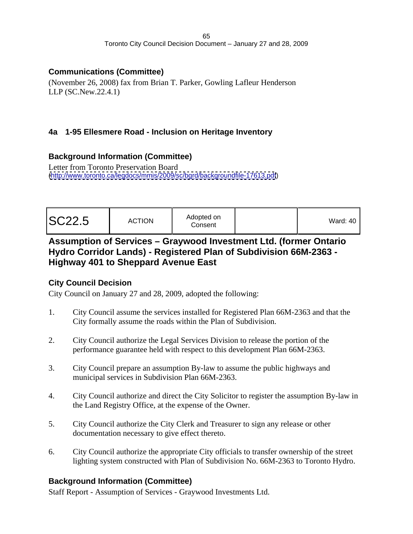# **Communications (Committee)**

(November 26, 2008) fax from Brian T. Parker, Gowling Lafleur Henderson LLP (SC.New.22.4.1)

# **4a 1-95 Ellesmere Road - Inclusion on Heritage Inventory**

#### **Background Information (Committee)**

Letter from Toronto Preservation Board [\(http://www.toronto.ca/legdocs/mmis/2009/sc/bgrd/backgroundfile-17613.pdf](http://www.toronto.ca/legdocs/mmis/2009/sc/bgrd/backgroundfile-17613.pdf))

|  | Vard: 40 |
|--|----------|
|--|----------|

# **Assumption of Services – Graywood Investment Ltd. (former Ontario Hydro Corridor Lands) - Registered Plan of Subdivision 66M-2363 - Highway 401 to Sheppard Avenue East**

# **City Council Decision**

City Council on January 27 and 28, 2009, adopted the following:

- 1. City Council assume the services installed for Registered Plan 66M-2363 and that the City formally assume the roads within the Plan of Subdivision.
- 2. City Council authorize the Legal Services Division to release the portion of the performance guarantee held with respect to this development Plan 66M-2363.
- 3. City Council prepare an assumption By-law to assume the public highways and municipal services in Subdivision Plan 66M-2363.
- 4. City Council authorize and direct the City Solicitor to register the assumption By-law in the Land Registry Office, at the expense of the Owner.
- 5. City Council authorize the City Clerk and Treasurer to sign any release or other documentation necessary to give effect thereto.
- 6. City Council authorize the appropriate City officials to transfer ownership of the street lighting system constructed with Plan of Subdivision No. 66M-2363 to Toronto Hydro.

# **Background Information (Committee)**

Staff Report - Assumption of Services - Graywood Investments Ltd.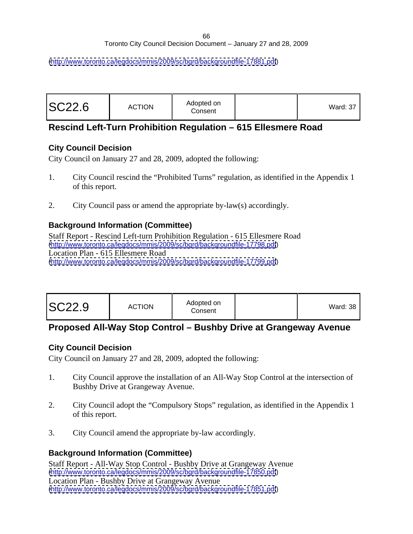[\(http://www.toronto.ca/legdocs/mmis/2009/sc/bgrd/backgroundfile-17881.pdf](http://www.toronto.ca/legdocs/mmis/2009/sc/bgrd/backgroundfile-17881.pdf))

| <b>SC22.6</b> | <b>ACTION</b> | Adopted on<br>the contract of the contract of the contract of<br>Consent |  | Ward: 37 |  |  |  |  |  |  |  |  |  |  |  |  |
|---------------|---------------|--------------------------------------------------------------------------|--|----------|--|--|--|--|--|--|--|--|--|--|--|--|
|---------------|---------------|--------------------------------------------------------------------------|--|----------|--|--|--|--|--|--|--|--|--|--|--|--|

# **Rescind Left-Turn Prohibition Regulation – 615 Ellesmere Road**

#### **City Council Decision**

City Council on January 27 and 28, 2009, adopted the following:

- 1. City Council rescind the "Prohibited Turns" regulation, as identified in the Appendix 1 of this report.
- 2. City Council pass or amend the appropriate by-law(s) accordingly.

# **Background Information (Committee)**

Staff Report - Rescind Left-turn Prohibition Regulation - 615 Ellesmere Road [\(http://www.toronto.ca/legdocs/mmis/2009/sc/bgrd/backgroundfile-17798.pdf](http://www.toronto.ca/legdocs/mmis/2009/sc/bgrd/backgroundfile-17798.pdf)) Location Plan - 615 Ellesmere Road [\(http://www.toronto.ca/legdocs/mmis/2009/sc/bgrd/backgroundfile-17799.pdf](http://www.toronto.ca/legdocs/mmis/2009/sc/bgrd/backgroundfile-17799.pdf))

| Ward: $38$ |
|------------|
|------------|

# **Proposed All-Way Stop Control – Bushby Drive at Grangeway Avenue**

#### **City Council Decision**

City Council on January 27 and 28, 2009, adopted the following:

- 1. City Council approve the installation of an All-Way Stop Control at the intersection of Bushby Drive at Grangeway Avenue.
- 2. City Council adopt the "Compulsory Stops" regulation, as identified in the Appendix 1 of this report.
- 3. City Council amend the appropriate by-law accordingly.

# **Background Information (Committee)**

Staff Report - All-Way Stop Control - Bushby Drive at Grangeway Avenue [\(http://www.toronto.ca/legdocs/mmis/2009/sc/bgrd/backgroundfile-17850.pdf](http://www.toronto.ca/legdocs/mmis/2009/sc/bgrd/backgroundfile-17850.pdf)) Location Plan - Bushby Drive at Grangeway Avenue [\(http://www.toronto.ca/legdocs/mmis/2009/sc/bgrd/backgroundfile-17851.pdf](http://www.toronto.ca/legdocs/mmis/2009/sc/bgrd/backgroundfile-17851.pdf))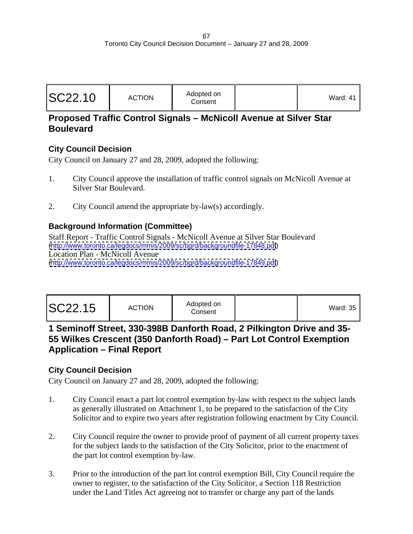|         |               | Adopted on | $\cdot$ $\cdot$ |  |
|---------|---------------|------------|-----------------|--|
| SC22.10 | <b>ACTION</b> | Consent    | ward: 41        |  |
|         |               |            |                 |  |

# **Proposed Traffic Control Signals – McNicoll Avenue at Silver Star Boulevard**

# **City Council Decision**

City Council on January 27 and 28, 2009, adopted the following:

- 1. City Council approve the installation of traffic control signals on McNicoll Avenue at Silver Star Boulevard.
- 2. City Council amend the appropriate by-law(s) accordingly.

#### **Background Information (Committee)**

Staff Report - Traffic Control Signals - McNicoll Avenue at Silver Star Boulevard [\(http://www.toronto.ca/legdocs/mmis/2009/sc/bgrd/backgroundfile-17848.pdf](http://www.toronto.ca/legdocs/mmis/2009/sc/bgrd/backgroundfile-17848.pdf)) Location Plan - McNicoll Avenue [\(http://www.toronto.ca/legdocs/mmis/2009/sc/bgrd/backgroundfile-17849.pdf](http://www.toronto.ca/legdocs/mmis/2009/sc/bgrd/backgroundfile-17849.pdf))

|--|--|

# **1 Seminoff Street, 330-398B Danforth Road, 2 Pilkington Drive and 35- 55 Wilkes Crescent (350 Danforth Road) – Part Lot Control Exemption Application – Final Report**

# **City Council Decision**

- 1. City Council enact a part lot control exemption by-law with respect to the subject lands as generally illustrated on Attachment 1, to be prepared to the satisfaction of the City Solicitor and to expire two years after registration following enactment by City Council.
- 2. City Council require the owner to provide proof of payment of all current property taxes for the subject lands to the satisfaction of the City Solicitor, prior to the enactment of the part lot control exemption by-law.
- 3. Prior to the introduction of the part lot control exemption Bill, City Council require the owner to register, to the satisfaction of the City Solicitor, a Section 118 Restriction under the Land Titles Act agreeing not to transfer or charge any part of the lands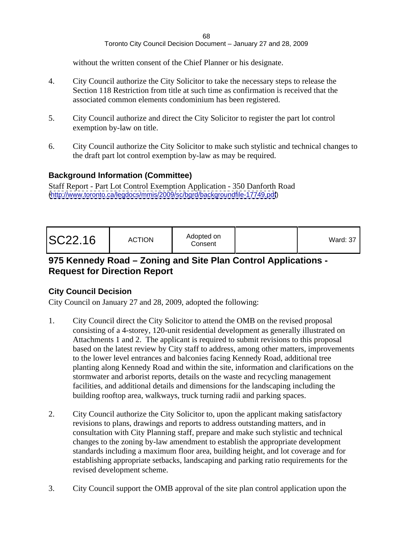without the written consent of the Chief Planner or his designate.

- 4. City Council authorize the City Solicitor to take the necessary steps to release the Section 118 Restriction from title at such time as confirmation is received that the associated common elements condominium has been registered.
- 5. City Council authorize and direct the City Solicitor to register the part lot control exemption by-law on title.
- 6. City Council authorize the City Solicitor to make such stylistic and technical changes to the draft part lot control exemption by-law as may be required.

#### **Background Information (Committee)**

Staff Report - Part Lot Control Exemption Application - 350 Danforth Road [\(http://www.toronto.ca/legdocs/mmis/2009/sc/bgrd/backgroundfile-17749.pdf](http://www.toronto.ca/legdocs/mmis/2009/sc/bgrd/backgroundfile-17749.pdf))

|--|

# **975 Kennedy Road – Zoning and Site Plan Control Applications - Request for Direction Report**

#### **City Council Decision**

- 1. City Council direct the City Solicitor to attend the OMB on the revised proposal consisting of a 4-storey, 120-unit residential development as generally illustrated on Attachments 1 and 2. The applicant is required to submit revisions to this proposal based on the latest review by City staff to address, among other matters, improvements to the lower level entrances and balconies facing Kennedy Road, additional tree planting along Kennedy Road and within the site, information and clarifications on the stormwater and arborist reports, details on the waste and recycling management facilities, and additional details and dimensions for the landscaping including the building rooftop area, walkways, truck turning radii and parking spaces.
- 2. City Council authorize the City Solicitor to, upon the applicant making satisfactory revisions to plans, drawings and reports to address outstanding matters, and in consultation with City Planning staff, prepare and make such stylistic and technical changes to the zoning by-law amendment to establish the appropriate development standards including a maximum floor area, building height, and lot coverage and for establishing appropriate setbacks, landscaping and parking ratio requirements for the revised development scheme.
- 3. City Council support the OMB approval of the site plan control application upon the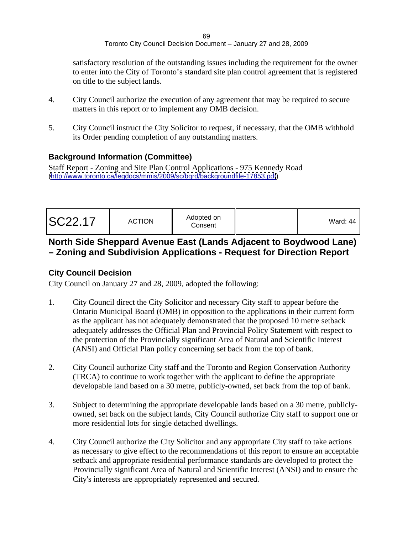satisfactory resolution of the outstanding issues including the requirement for the owner to enter into the City of Toronto's standard site plan control agreement that is registered on title to the subject lands.

- 4. City Council authorize the execution of any agreement that may be required to secure matters in this report or to implement any OMB decision.
- 5. City Council instruct the City Solicitor to request, if necessary, that the OMB withhold its Order pending completion of any outstanding matters.

#### **Background Information (Committee)**

Staff Report - Zoning and Site Plan Control Applications - 975 Kennedy Road [\(http://www.toronto.ca/legdocs/mmis/2009/sc/bgrd/backgroundfile-17853.pdf](http://www.toronto.ca/legdocs/mmis/2009/sc/bgrd/backgroundfile-17853.pdf))

# **North Side Sheppard Avenue East (Lands Adjacent to Boydwood Lane) – Zoning and Subdivision Applications - Request for Direction Report**

# **City Council Decision**

- 1. City Council direct the City Solicitor and necessary City staff to appear before the Ontario Municipal Board (OMB) in opposition to the applications in their current form as the applicant has not adequately demonstrated that the proposed 10 metre setback adequately addresses the Official Plan and Provincial Policy Statement with respect to the protection of the Provincially significant Area of Natural and Scientific Interest (ANSI) and Official Plan policy concerning set back from the top of bank.
- 2. City Council authorize City staff and the Toronto and Region Conservation Authority (TRCA) to continue to work together with the applicant to define the appropriate developable land based on a 30 metre, publicly-owned, set back from the top of bank.
- 3. Subject to determining the appropriate developable lands based on a 30 metre, publicly owned, set back on the subject lands, City Council authorize City staff to support one or more residential lots for single detached dwellings.
- 4. City Council authorize the City Solicitor and any appropriate City staff to take actions as necessary to give effect to the recommendations of this report to ensure an acceptable setback and appropriate residential performance standards are developed to protect the Provincially significant Area of Natural and Scientific Interest (ANSI) and to ensure the City's interests are appropriately represented and secured.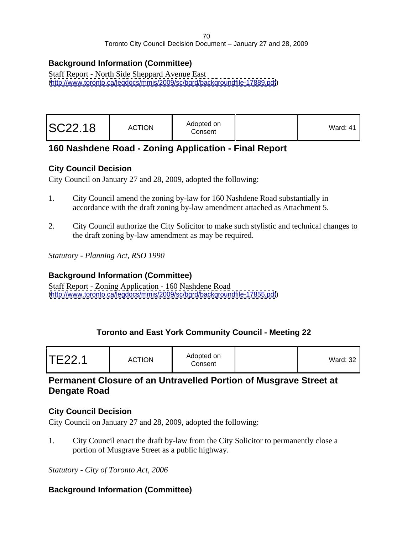# **Background Information (Committee)**

Staff Report - North Side Sheppard Avenue East [\(http://www.toronto.ca/legdocs/mmis/2009/sc/bgrd/backgroundfile-17889.pdf](http://www.toronto.ca/legdocs/mmis/2009/sc/bgrd/backgroundfile-17889.pdf))

# **160 Nashdene Road - Zoning Application - Final Report**

# **City Council Decision**

City Council on January 27 and 28, 2009, adopted the following:

- 1. City Council amend the zoning by-law for 160 Nashdene Road substantially in accordance with the draft zoning by-law amendment attached as Attachment 5.
- 2. City Council authorize the City Solicitor to make such stylistic and technical changes to the draft zoning by-law amendment as may be required.

*Statutory - Planning Act, RSO 1990*

# **Background Information (Committee)**

Staff Report - Zoning Application - 160 Nashdene Road [\(http://www.toronto.ca/legdocs/mmis/2009/sc/bgrd/backgroundfile-17855.pdf](http://www.toronto.ca/legdocs/mmis/2009/sc/bgrd/backgroundfile-17855.pdf))

# **Toronto and East York Community Council - Meeting 22**

| TE22.1 | Adopted on<br><b>ACTION</b><br>Consent | 'Vard: 32 |  |  |  |  |  |  |  |
|--------|----------------------------------------|-----------|--|--|--|--|--|--|--|
|--------|----------------------------------------|-----------|--|--|--|--|--|--|--|

# **Permanent Closure of an Untravelled Portion of Musgrave Street at Dengate Road**

# **City Council Decision**

City Council on January 27 and 28, 2009, adopted the following:

1. City Council enact the draft by-law from the City Solicitor to permanently close a portion of Musgrave Street as a public highway.

*Statutory - City of Toronto Act, 2006*

# **Background Information (Committee)**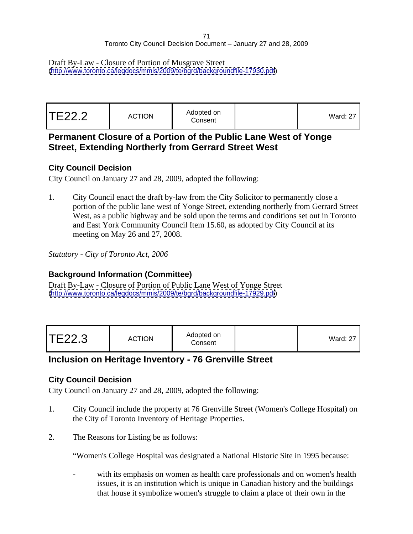Draft By-Law - Closure of Portion of Musgrave Street [\(http://www.toronto.ca/legdocs/mmis/2009/te/bgrd/backgroundfile-17930.pdf](http://www.toronto.ca/legdocs/mmis/2009/te/bgrd/backgroundfile-17930.pdf))

| <b>Ward: 27</b> |  |
|-----------------|--|
|-----------------|--|

# **Permanent Closure of a Portion of the Public Lane West of Yonge Street, Extending Northerly from Gerrard Street West**

#### **City Council Decision**

City Council on January 27 and 28, 2009, adopted the following:

1. City Council enact the draft by-law from the City Solicitor to permanently close a portion of the public lane west of Yonge Street, extending northerly from Gerrard Street West, as a public highway and be sold upon the terms and conditions set out in Toronto and East York Community Council Item 15.60, as adopted by City Council at its meeting on May 26 and 27, 2008.

*Statutory - City of Toronto Act, 2006*

# **Background Information (Committee)**

Draft By-Law - Closure of Portion of Public Lane West of Yonge Street [\(http://www.toronto.ca/legdocs/mmis/2009/te/bgrd/backgroundfile-17929.pdf](http://www.toronto.ca/legdocs/mmis/2009/te/bgrd/backgroundfile-17929.pdf))

| Ward: 27 |
|----------|
|----------|

# **Inclusion on Heritage Inventory - 76 Grenville Street**

# **City Council Decision**

City Council on January 27 and 28, 2009, adopted the following:

- 1. City Council include the property at 76 Grenville Street (Women's College Hospital) on the City of Toronto Inventory of Heritage Properties.
- 2. The Reasons for Listing be as follows:

"Women's College Hospital was designated a National Historic Site in 1995 because:

with its emphasis on women as health care professionals and on women's health issues, it is an institution which is unique in Canadian history and the buildings that house it symbolize women's struggle to claim a place of their own in the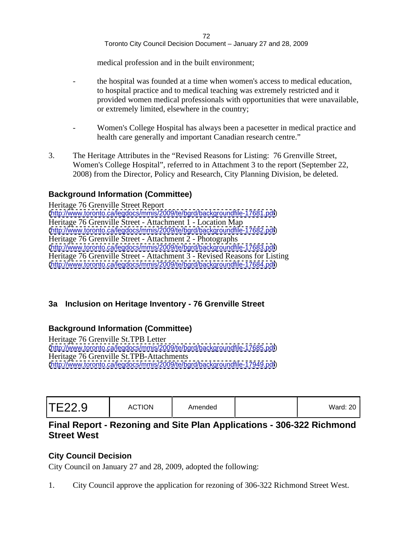medical profession and in the built environment;

- the hospital was founded at a time when women's access to medical education, to hospital practice and to medical teaching was extremely restricted and it provided women medical professionals with opportunities that were unavailable, or extremely limited, elsewhere in the country;
- Women's College Hospital has always been a pacesetter in medical practice and health care generally and important Canadian research centre."
- 3. The Heritage Attributes in the "Revised Reasons for Listing: 76 Grenville Street, Women's College Hospital", referred to in Attachment 3 to the report (September 22, 2008) from the Director, Policy and Research, City Planning Division, be deleted.

# **Background Information (Committee)**

Heritage 76 Grenville Street Report [\(http://www.toronto.ca/legdocs/mmis/2009/te/bgrd/backgroundfile-17681.pdf](http://www.toronto.ca/legdocs/mmis/2009/te/bgrd/backgroundfile-17681.pdf)) Heritage 76 Grenville Street - Attachment 1 - Location Map [\(http://www.toronto.ca/legdocs/mmis/2009/te/bgrd/backgroundfile-17682.pdf](http://www.toronto.ca/legdocs/mmis/2009/te/bgrd/backgroundfile-17682.pdf)) Heritage 76 Grenville Street - Attachment 2 - Photographs [\(http://www.toronto.ca/legdocs/mmis/2009/te/bgrd/backgroundfile-17683.pdf](http://www.toronto.ca/legdocs/mmis/2009/te/bgrd/backgroundfile-17683.pdf)) Heritage 76 Grenville Street - Attachment 3 - Revised Reasons for Listing [\(http://www.toronto.ca/legdocs/mmis/2009/te/bgrd/backgroundfile-17684.pdf](http://www.toronto.ca/legdocs/mmis/2009/te/bgrd/backgroundfile-17684.pdf))

# **3a Inclusion on Heritage Inventory - 76 Grenville Street**

# **Background Information (Committee)**

Heritage 76 Grenville St.TPB Letter [\(http://www.toronto.ca/legdocs/mmis/2009/te/bgrd/backgroundfile-17685.pdf](http://www.toronto.ca/legdocs/mmis/2009/te/bgrd/backgroundfile-17685.pdf)) Heritage 76 Grenville St.TPB-Attachments [\(http://www.toronto.ca/legdocs/mmis/2009/te/bgrd/backgroundfile-17949.pdf](http://www.toronto.ca/legdocs/mmis/2009/te/bgrd/backgroundfile-17949.pdf))

| Ward: $20$ |
|------------|
|------------|

# **Final Report - Rezoning and Site Plan Applications - 306-322 Richmond Street West**

#### **City Council Decision**

City Council on January 27 and 28, 2009, adopted the following:

1. City Council approve the application for rezoning of 306-322 Richmond Street West.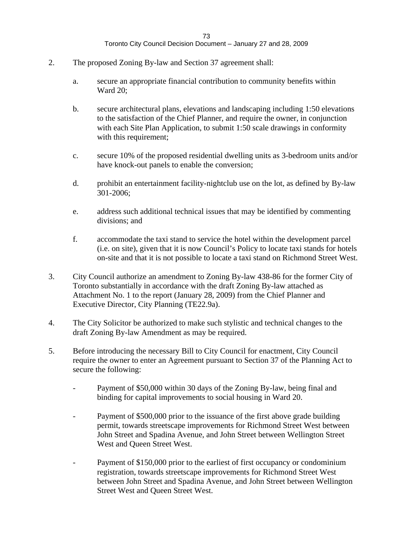- 2. The proposed Zoning By-law and Section 37 agreement shall:
	- a. secure an appropriate financial contribution to community benefits within Ward 20;
	- b. secure architectural plans, elevations and landscaping including 1:50 elevations to the satisfaction of the Chief Planner, and require the owner, in conjunction with each Site Plan Application, to submit 1:50 scale drawings in conformity with this requirement;
	- c. secure 10% of the proposed residential dwelling units as 3-bedroom units and/or have knock-out panels to enable the conversion;
	- d. prohibit an entertainment facility-nightclub use on the lot, as defined by By-law 301-2006;
	- e. address such additional technical issues that may be identified by commenting divisions; and
	- f. accommodate the taxi stand to service the hotel within the development parcel (i.e. on site), given that it is now Council's Policy to locate taxi stands for hotels on-site and that it is not possible to locate a taxi stand on Richmond Street West.
- 3. City Council authorize an amendment to Zoning By-law 438-86 for the former City of Toronto substantially in accordance with the draft Zoning By-law attached as Attachment No. 1 to the report (January 28, 2009) from the Chief Planner and Executive Director, City Planning (TE22.9a).
- 4. The City Solicitor be authorized to make such stylistic and technical changes to the draft Zoning By-law Amendment as may be required.
- 5. Before introducing the necessary Bill to City Council for enactment, City Council require the owner to enter an Agreement pursuant to Section 37 of the Planning Act to secure the following:
	- Payment of \$50,000 within 30 days of the Zoning By-law, being final and binding for capital improvements to social housing in Ward 20.
	- Payment of \$500,000 prior to the issuance of the first above grade building permit, towards streetscape improvements for Richmond Street West between John Street and Spadina Avenue, and John Street between Wellington Street West and Queen Street West.
	- Payment of \$150,000 prior to the earliest of first occupancy or condominium registration, towards streetscape improvements for Richmond Street West between John Street and Spadina Avenue, and John Street between Wellington Street West and Queen Street West.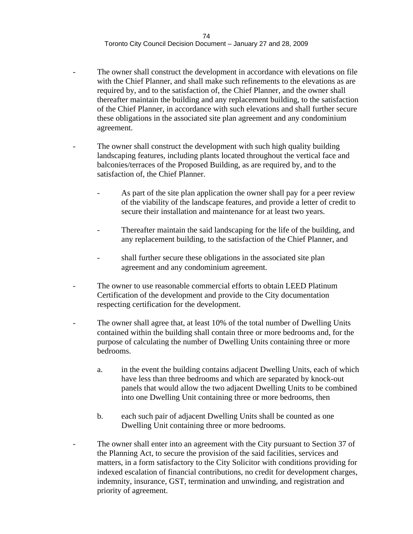- The owner shall construct the development in accordance with elevations on file with the Chief Planner, and shall make such refinements to the elevations as are required by, and to the satisfaction of, the Chief Planner, and the owner shall thereafter maintain the building and any replacement building, to the satisfaction of the Chief Planner, in accordance with such elevations and shall further secure these obligations in the associated site plan agreement and any condominium agreement.
- The owner shall construct the development with such high quality building landscaping features, including plants located throughout the vertical face and balconies/terraces of the Proposed Building, as are required by, and to the satisfaction of, the Chief Planner.
	- As part of the site plan application the owner shall pay for a peer review of the viability of the landscape features, and provide a letter of credit to secure their installation and maintenance for at least two years.
	- Thereafter maintain the said landscaping for the life of the building, and any replacement building, to the satisfaction of the Chief Planner, and
	- shall further secure these obligations in the associated site plan agreement and any condominium agreement.
- The owner to use reasonable commercial efforts to obtain LEED Platinum Certification of the development and provide to the City documentation respecting certification for the development.
- The owner shall agree that, at least 10% of the total number of Dwelling Units contained within the building shall contain three or more bedrooms and, for the purpose of calculating the number of Dwelling Units containing three or more bedrooms.
	- a. in the event the building contains adjacent Dwelling Units, each of which have less than three bedrooms and which are separated by knock-out panels that would allow the two adjacent Dwelling Units to be combined into one Dwelling Unit containing three or more bedrooms, then
	- b. each such pair of adjacent Dwelling Units shall be counted as one Dwelling Unit containing three or more bedrooms.
- The owner shall enter into an agreement with the City pursuant to Section 37 of the Planning Act, to secure the provision of the said facilities, services and matters, in a form satisfactory to the City Solicitor with conditions providing for indexed escalation of financial contributions, no credit for development charges, indemnity, insurance, GST, termination and unwinding, and registration and priority of agreement.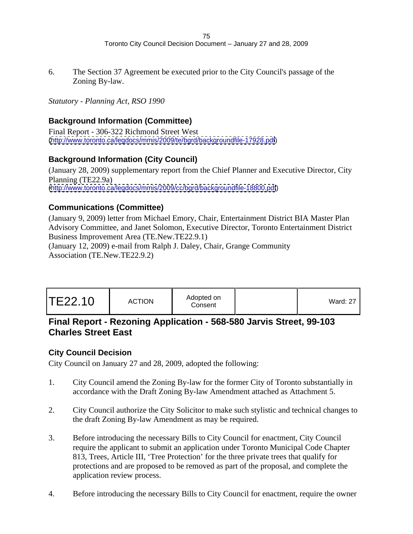6. The Section 37 Agreement be executed prior to the City Council's passage of the Zoning By-law.

*Statutory - Planning Act, RSO 1990*

### **Background Information (Committee)**

Final Report - 306-322 Richmond Street West [\(http://www.toronto.ca/legdocs/mmis/2009/te/bgrd/backgroundfile-17928.pdf](http://www.toronto.ca/legdocs/mmis/2009/te/bgrd/backgroundfile-17928.pdf))

### **Background Information (City Council)**

(January 28, 2009) supplementary report from the Chief Planner and Executive Director, City Planning (TE22.9a) [\(http://www.toronto.ca/legdocs/mmis/2009/cc/bgrd/backgroundfile-18800.pdf](http://www.toronto.ca/legdocs/mmis/2009/cc/bgrd/backgroundfile-18800.pdf))

### **Communications (Committee)**

(January 9, 2009) letter from Michael Emory, Chair, Entertainment District BIA Master Plan Advisory Committee, and Janet Solomon, Executive Director, Toronto Entertainment District Business Improvement Area (TE.New.TE22.9.1)

(January 12, 2009) e-mail from Ralph J. Daley, Chair, Grange Community Association (TE.New.TE22.9.2)

| Ward: 27 |
|----------|
|----------|

# **Final Report - Rezoning Application - 568-580 Jarvis Street, 99-103 Charles Street East**

### **City Council Decision**

- 1. City Council amend the Zoning By-law for the former City of Toronto substantially in accordance with the Draft Zoning By-law Amendment attached as Attachment 5.
- 2. City Council authorize the City Solicitor to make such stylistic and technical changes to the draft Zoning By-law Amendment as may be required.
- 3. Before introducing the necessary Bills to City Council for enactment, City Council require the applicant to submit an application under Toronto Municipal Code Chapter 813, Trees, Article III, 'Tree Protection' for the three private trees that qualify for protections and are proposed to be removed as part of the proposal, and complete the application review process.
- 4. Before introducing the necessary Bills to City Council for enactment, require the owner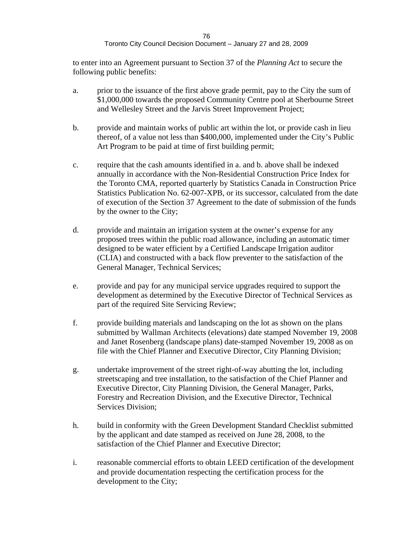to enter into an Agreement pursuant to Section 37 of the *Planning Act* to secure the following public benefits:

- a. prior to the issuance of the first above grade permit, pay to the City the sum of \$1,000,000 towards the proposed Community Centre pool at Sherbourne Street and Wellesley Street and the Jarvis Street Improvement Project;
- b. provide and maintain works of public art within the lot, or provide cash in lieu thereof, of a value not less than \$400,000, implemented under the City's Public Art Program to be paid at time of first building permit;
- c. require that the cash amounts identified in a. and b. above shall be indexed annually in accordance with the Non-Residential Construction Price Index for the Toronto CMA, reported quarterly by Statistics Canada in Construction Price Statistics Publication No. 62-007-XPB, or its successor, calculated from the date of execution of the Section 37 Agreement to the date of submission of the funds by the owner to the City;
- d. provide and maintain an irrigation system at the owner's expense for any proposed trees within the public road allowance, including an automatic timer designed to be water efficient by a Certified Landscape Irrigation auditor (CLIA) and constructed with a back flow preventer to the satisfaction of the General Manager, Technical Services;
- e. provide and pay for any municipal service upgrades required to support the development as determined by the Executive Director of Technical Services as part of the required Site Servicing Review;
- f. provide building materials and landscaping on the lot as shown on the plans submitted by Wallman Architects (elevations) date stamped November 19, 2008 and Janet Rosenberg (landscape plans) date-stamped November 19, 2008 as on file with the Chief Planner and Executive Director, City Planning Division;
- g. undertake improvement of the street right-of-way abutting the lot, including streetscaping and tree installation, to the satisfaction of the Chief Planner and Executive Director, City Planning Division, the General Manager, Parks, Forestry and Recreation Division, and the Executive Director, Technical Services Division;
- h. build in conformity with the Green Development Standard Checklist submitted by the applicant and date stamped as received on June 28, 2008, to the satisfaction of the Chief Planner and Executive Director;
- i. reasonable commercial efforts to obtain LEED certification of the development and provide documentation respecting the certification process for the development to the City;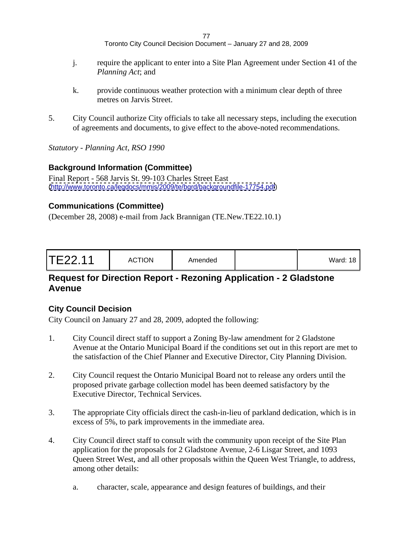- j. require the applicant to enter into a Site Plan Agreement under Section 41 of the *Planning Act*; and
- k. provide continuous weather protection with a minimum clear depth of three metres on Jarvis Street.
- 5. City Council authorize City officials to take all necessary steps, including the execution of agreements and documents, to give effect to the above-noted recommendations.

*Statutory - Planning Act, RSO 1990*

#### **Background Information (Committee)**

Final Report - 568 Jarvis St. 99-103 Charles Street East [\(http://www.toronto.ca/legdocs/mmis/2009/te/bgrd/backgroundfile-17754.pdf](http://www.toronto.ca/legdocs/mmis/2009/te/bgrd/backgroundfile-17754.pdf))

#### **Communications (Committee)**

(December 28, 2008) e-mail from Jack Brannigan (TE.New.TE22.10.1)

| TE22.11 | <b>ACTION</b> | Amended |  | the contract of the contract of the<br>Ward: $18$ |  |  |  |  |  |  |  |  |  |  |  |  |  |
|---------|---------------|---------|--|---------------------------------------------------|--|--|--|--|--|--|--|--|--|--|--|--|--|
|---------|---------------|---------|--|---------------------------------------------------|--|--|--|--|--|--|--|--|--|--|--|--|--|

# **Request for Direction Report - Rezoning Application - 2 Gladstone Avenue**

### **City Council Decision**

- 1. City Council direct staff to support a Zoning By-law amendment for 2 Gladstone Avenue at the Ontario Municipal Board if the conditions set out in this report are met to the satisfaction of the Chief Planner and Executive Director, City Planning Division.
- 2. City Council request the Ontario Municipal Board not to release any orders until the proposed private garbage collection model has been deemed satisfactory by the Executive Director, Technical Services.
- 3. The appropriate City officials direct the cash-in-lieu of parkland dedication, which is in excess of 5%, to park improvements in the immediate area.
- 4. City Council direct staff to consult with the community upon receipt of the Site Plan application for the proposals for 2 Gladstone Avenue, 2-6 Lisgar Street, and 1093 Queen Street West, and all other proposals within the Queen West Triangle, to address, among other details:
	- a. character, scale, appearance and design features of buildings, and their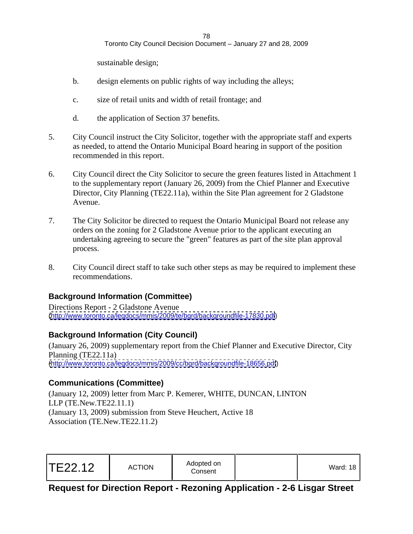sustainable design;

- b. design elements on public rights of way including the alleys;
- c. size of retail units and width of retail frontage; and
- d. the application of Section 37 benefits.
- 5. City Council instruct the City Solicitor, together with the appropriate staff and experts as needed, to attend the Ontario Municipal Board hearing in support of the position recommended in this report.
- 6. City Council direct the City Solicitor to secure the green features listed in Attachment 1 to the supplementary report (January 26, 2009) from the Chief Planner and Executive Director, City Planning (TE22.11a), within the Site Plan agreement for 2 Gladstone Avenue.
- 7. The City Solicitor be directed to request the Ontario Municipal Board not release any orders on the zoning for 2 Gladstone Avenue prior to the applicant executing an undertaking agreeing to secure the "green" features as part of the site plan approval process.
- 8. City Council direct staff to take such other steps as may be required to implement these recommendations.

# **Background Information (Committee)**

Directions Report - 2 Gladstone Avenue [\(http://www.toronto.ca/legdocs/mmis/2009/te/bgrd/backgroundfile-17830.pdf](http://www.toronto.ca/legdocs/mmis/2009/te/bgrd/backgroundfile-17830.pdf))

# **Background Information (City Council)**

(January 26, 2009) supplementary report from the Chief Planner and Executive Director, City Planning (TE22.11a) [\(http://www.toronto.ca/legdocs/mmis/2009/cc/bgrd/backgroundfile-18656.pdf](http://www.toronto.ca/legdocs/mmis/2009/cc/bgrd/backgroundfile-18656.pdf))

# **Communications (Committee)**

(January 12, 2009) letter from Marc P. Kemerer, WHITE, DUNCAN, LINTON LLP (TE.New.TE22.11.1) (January 13, 2009) submission from Steve Heuchert, Active 18 Association (TE.New.TE22.11.2)

# **Request for Direction Report - Rezoning Application - 2-6 Lisgar Street**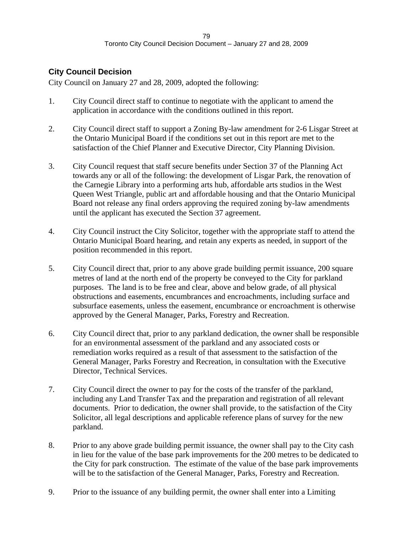# **City Council Decision**

- 1. City Council direct staff to continue to negotiate with the applicant to amend the application in accordance with the conditions outlined in this report.
- 2. City Council direct staff to support a Zoning By-law amendment for 2-6 Lisgar Street at the Ontario Municipal Board if the conditions set out in this report are met to the satisfaction of the Chief Planner and Executive Director, City Planning Division.
- 3. City Council request that staff secure benefits under Section 37 of the Planning Act towards any or all of the following: the development of Lisgar Park, the renovation of the Carnegie Library into a performing arts hub, affordable arts studios in the West Queen West Triangle, public art and affordable housing and that the Ontario Municipal Board not release any final orders approving the required zoning by-law amendments until the applicant has executed the Section 37 agreement.
- 4. City Council instruct the City Solicitor, together with the appropriate staff to attend the Ontario Municipal Board hearing, and retain any experts as needed, in support of the position recommended in this report.
- 5. City Council direct that, prior to any above grade building permit issuance, 200 square metres of land at the north end of the property be conveyed to the City for parkland purposes. The land is to be free and clear, above and below grade, of all physical obstructions and easements, encumbrances and encroachments, including surface and subsurface easements, unless the easement, encumbrance or encroachment is otherwise approved by the General Manager, Parks, Forestry and Recreation.
- 6. City Council direct that, prior to any parkland dedication, the owner shall be responsible for an environmental assessment of the parkland and any associated costs or remediation works required as a result of that assessment to the satisfaction of the General Manager, Parks Forestry and Recreation, in consultation with the Executive Director, Technical Services.
- 7. City Council direct the owner to pay for the costs of the transfer of the parkland, including any Land Transfer Tax and the preparation and registration of all relevant documents. Prior to dedication, the owner shall provide, to the satisfaction of the City Solicitor, all legal descriptions and applicable reference plans of survey for the new parkland.
- 8. Prior to any above grade building permit issuance, the owner shall pay to the City cash in lieu for the value of the base park improvements for the 200 metres to be dedicated to the City for park construction. The estimate of the value of the base park improvements will be to the satisfaction of the General Manager, Parks, Forestry and Recreation.
- 9. Prior to the issuance of any building permit, the owner shall enter into a Limiting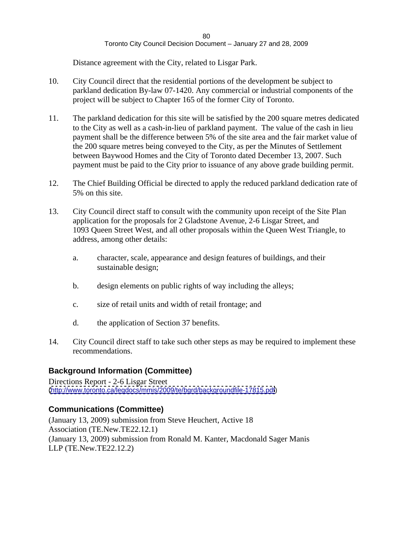Distance agreement with the City, related to Lisgar Park.

- 10. City Council direct that the residential portions of the development be subject to parkland dedication By-law 07-1420. Any commercial or industrial components of the project will be subject to Chapter 165 of the former City of Toronto.
- 11. The parkland dedication for this site will be satisfied by the 200 square metres dedicated to the City as well as a cash-in-lieu of parkland payment. The value of the cash in lieu payment shall be the difference between 5% of the site area and the fair market value of the 200 square metres being conveyed to the City, as per the Minutes of Settlement between Baywood Homes and the City of Toronto dated December 13, 2007. Such payment must be paid to the City prior to issuance of any above grade building permit.
- 12. The Chief Building Official be directed to apply the reduced parkland dedication rate of 5% on this site.
- 13. City Council direct staff to consult with the community upon receipt of the Site Plan application for the proposals for 2 Gladstone Avenue, 2-6 Lisgar Street, and 1093 Queen Street West, and all other proposals within the Queen West Triangle, to address, among other details:
	- a. character, scale, appearance and design features of buildings, and their sustainable design;
	- b. design elements on public rights of way including the alleys;
	- c. size of retail units and width of retail frontage; and
	- d. the application of Section 37 benefits.
- 14. City Council direct staff to take such other steps as may be required to implement these recommendations.

# **Background Information (Committee)**

Directions Report - 2-6 Lisgar Street [\(http://www.toronto.ca/legdocs/mmis/2009/te/bgrd/backgroundfile-17815.pdf](http://www.toronto.ca/legdocs/mmis/2009/te/bgrd/backgroundfile-17815.pdf))

# **Communications (Committee)**

(January 13, 2009) submission from Steve Heuchert, Active 18 Association (TE.New.TE22.12.1) (January 13, 2009) submission from Ronald M. Kanter, Macdonald Sager Manis LLP (TE.New.TE22.12.2)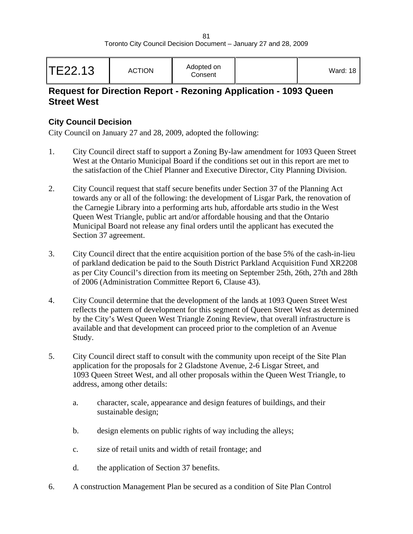# **Request for Direction Report - Rezoning Application - 1093 Queen Street West**

### **City Council Decision**

- 1. City Council direct staff to support a Zoning By-law amendment for 1093 Queen Street West at the Ontario Municipal Board if the conditions set out in this report are met to the satisfaction of the Chief Planner and Executive Director, City Planning Division.
- 2. City Council request that staff secure benefits under Section 37 of the Planning Act towards any or all of the following: the development of Lisgar Park, the renovation of the Carnegie Library into a performing arts hub, affordable arts studio in the West Queen West Triangle, public art and/or affordable housing and that the Ontario Municipal Board not release any final orders until the applicant has executed the Section 37 agreement.
- 3. City Council direct that the entire acquisition portion of the base 5% of the cash-in-lieu of parkland dedication be paid to the South District Parkland Acquisition Fund XR2208 as per City Council's direction from its meeting on September 25th, 26th, 27th and 28th of 2006 (Administration Committee Report 6, Clause 43).
- 4. City Council determine that the development of the lands at 1093 Queen Street West reflects the pattern of development for this segment of Queen Street West as determined by the City's West Queen West Triangle Zoning Review, that overall infrastructure is available and that development can proceed prior to the completion of an Avenue Study.
- 5. City Council direct staff to consult with the community upon receipt of the Site Plan application for the proposals for 2 Gladstone Avenue, 2-6 Lisgar Street, and 1093 Queen Street West, and all other proposals within the Queen West Triangle, to address, among other details:
	- a. character, scale, appearance and design features of buildings, and their sustainable design;
	- b. design elements on public rights of way including the alleys;
	- c. size of retail units and width of retail frontage; and
	- d. the application of Section 37 benefits.
- 6. A construction Management Plan be secured as a condition of Site Plan Control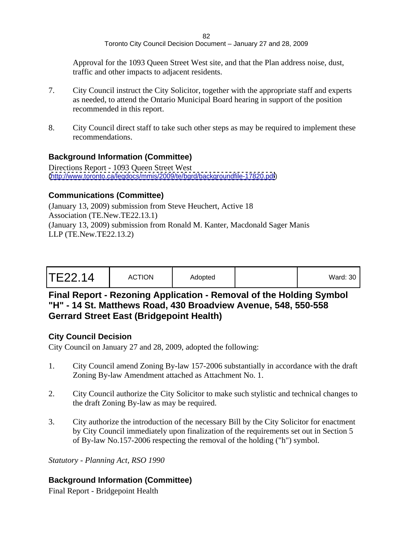Approval for the 1093 Queen Street West site, and that the Plan address noise, dust, traffic and other impacts to adjacent residents.

- 7. City Council instruct the City Solicitor, together with the appropriate staff and experts as needed, to attend the Ontario Municipal Board hearing in support of the position recommended in this report.
- 8. City Council direct staff to take such other steps as may be required to implement these recommendations.

### **Background Information (Committee)**

Directions Report - 1093 Queen Street West [\(http://www.toronto.ca/legdocs/mmis/2009/te/bgrd/backgroundfile-17820.pdf](http://www.toronto.ca/legdocs/mmis/2009/te/bgrd/backgroundfile-17820.pdf))

### **Communications (Committee)**

(January 13, 2009) submission from Steve Heuchert, Active 18 Association (TE.New.TE22.13.1) (January 13, 2009) submission from Ronald M. Kanter, Macdonald Sager Manis LLP (TE.New.TE22.13.2)

|--|--|--|

# **Final Report - Rezoning Application - Removal of the Holding Symbol "H" - 14 St. Matthews Road, 430 Broadview Avenue, 548, 550-558 Gerrard Street East (Bridgepoint Health)**

### **City Council Decision**

City Council on January 27 and 28, 2009, adopted the following:

- 1. City Council amend Zoning By-law 157-2006 substantially in accordance with the draft Zoning By-law Amendment attached as Attachment No. 1.
- 2. City Council authorize the City Solicitor to make such stylistic and technical changes to the draft Zoning By-law as may be required.
- 3. City authorize the introduction of the necessary Bill by the City Solicitor for enactment by City Council immediately upon finalization of the requirements set out in Section 5 of By-law No.157-2006 respecting the removal of the holding ("h") symbol.

*Statutory - Planning Act, RSO 1990*

# **Background Information (Committee)**

Final Report - Bridgepoint Health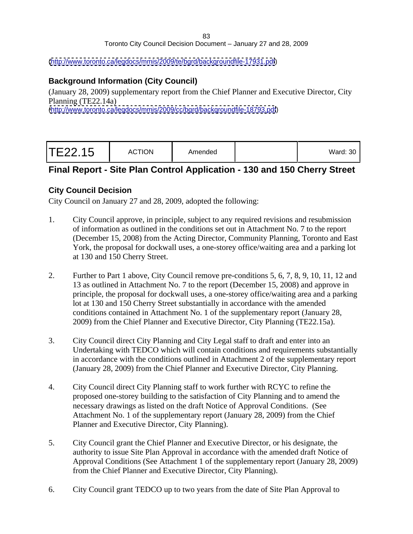#### 83 and the set of the set of the set of the set of the set of the set of the set of the set of the set of the Toronto City Council Decision Document – January 27 and 28, 2009

#### [\(http://www.toronto.ca/legdocs/mmis/2009/te/bgrd/backgroundfile-17931.pdf](http://www.toronto.ca/legdocs/mmis/2009/te/bgrd/backgroundfile-17931.pdf))

### **Background Information (City Council)**

(January 28, 2009) supplementary report from the Chief Planner and Executive Director, City Planning (TE22.14a) [\(http://www.toronto.ca/legdocs/mmis/2009/cc/bgrd/backgroundfile-18793.pdf](http://www.toronto.ca/legdocs/mmis/2009/cc/bgrd/backgroundfile-18793.pdf))

| TE22.15 | Amended<br><b>ACTION</b> |  | Ward: $30$ |  |  |  |  |  |
|---------|--------------------------|--|------------|--|--|--|--|--|
|---------|--------------------------|--|------------|--|--|--|--|--|

# **Final Report - Site Plan Control Application - 130 and 150 Cherry Street**

### **City Council Decision**

- 1. City Council approve, in principle, subject to any required revisions and resubmission of information as outlined in the conditions set out in Attachment No. 7 to the report (December 15, 2008) from the Acting Director, Community Planning, Toronto and East York, the proposal for dockwall uses, a one-storey office/waiting area and a parking lot at 130 and 150 Cherry Street.
- 2. Further to Part 1 above, City Council remove pre-conditions 5, 6, 7, 8, 9, 10, 11, 12 and 13 as outlined in Attachment No. 7 to the report (December 15, 2008) and approve in principle, the proposal for dockwall uses, a one-storey office/waiting area and a parking lot at 130 and 150 Cherry Street substantially in accordance with the amended conditions contained in Attachment No. 1 of the supplementary report (January 28, 2009) from the Chief Planner and Executive Director, City Planning (TE22.15a).
- 3. City Council direct City Planning and City Legal staff to draft and enter into an Undertaking with TEDCO which will contain conditions and requirements substantially in accordance with the conditions outlined in Attachment 2 of the supplementary report (January 28, 2009) from the Chief Planner and Executive Director, City Planning.
- 4. City Council direct City Planning staff to work further with RCYC to refine the proposed one-storey building to the satisfaction of City Planning and to amend the necessary drawings as listed on the draft Notice of Approval Conditions. (See Attachment No. 1 of the supplementary report (January 28, 2009) from the Chief Planner and Executive Director, City Planning).
- 5. City Council grant the Chief Planner and Executive Director, or his designate, the authority to issue Site Plan Approval in accordance with the amended draft Notice of Approval Conditions (See Attachment 1 of the supplementary report (January 28, 2009) from the Chief Planner and Executive Director, City Planning).
- 6. City Council grant TEDCO up to two years from the date of Site Plan Approval to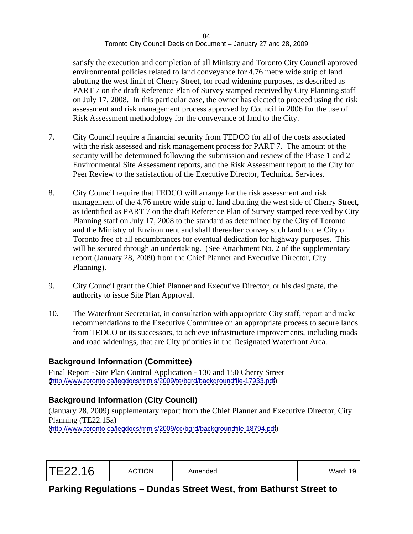satisfy the execution and completion of all Ministry and Toronto City Council approved environmental policies related to land conveyance for 4.76 metre wide strip of land abutting the west limit of Cherry Street, for road widening purposes, as described as PART 7 on the draft Reference Plan of Survey stamped received by City Planning staff on July 17, 2008. In this particular case, the owner has elected to proceed using the risk assessment and risk management process approved by Council in 2006 for the use of Risk Assessment methodology for the conveyance of land to the City.

- 7. City Council require a financial security from TEDCO for all of the costs associated with the risk assessed and risk management process for PART 7. The amount of the security will be determined following the submission and review of the Phase 1 and 2 Environmental Site Assessment reports, and the Risk Assessment report to the City for Peer Review to the satisfaction of the Executive Director, Technical Services.
- 8. City Council require that TEDCO will arrange for the risk assessment and risk management of the 4.76 metre wide strip of land abutting the west side of Cherry Street, as identified as PART 7 on the draft Reference Plan of Survey stamped received by City Planning staff on July 17, 2008 to the standard as determined by the City of Toronto and the Ministry of Environment and shall thereafter convey such land to the City of Toronto free of all encumbrances for eventual dedication for highway purposes. This will be secured through an undertaking. (See Attachment No. 2 of the supplementary report (January 28, 2009) from the Chief Planner and Executive Director, City Planning).
- 9. City Council grant the Chief Planner and Executive Director, or his designate, the authority to issue Site Plan Approval.
- 10. The Waterfront Secretariat, in consultation with appropriate City staff, report and make recommendations to the Executive Committee on an appropriate process to secure lands from TEDCO or its successors, to achieve infrastructure improvements, including roads and road widenings, that are City priorities in the Designated Waterfront Area.

# **Background Information (Committee)**

Final Report - Site Plan Control Application - 130 and 150 Cherry Street [\(http://www.toronto.ca/legdocs/mmis/2009/te/bgrd/backgroundfile-17933.pdf](http://www.toronto.ca/legdocs/mmis/2009/te/bgrd/backgroundfile-17933.pdf))

# **Background Information (City Council)**

(January 28, 2009) supplementary report from the Chief Planner and Executive Director, City Planning (TE22.15a) [\(http://www.toronto.ca/legdocs/mmis/2009/cc/bgrd/backgroundfile-18794.pdf](http://www.toronto.ca/legdocs/mmis/2009/cc/bgrd/backgroundfile-18794.pdf))

|  | TE22.16 | <b>ACTION</b> | Amended | Ward: 19 |  |  |  |  |  |  |  |  |  |  |  |  |  |
|--|---------|---------------|---------|----------|--|--|--|--|--|--|--|--|--|--|--|--|--|
|--|---------|---------------|---------|----------|--|--|--|--|--|--|--|--|--|--|--|--|--|

**Parking Regulations – Dundas Street West, from Bathurst Street to**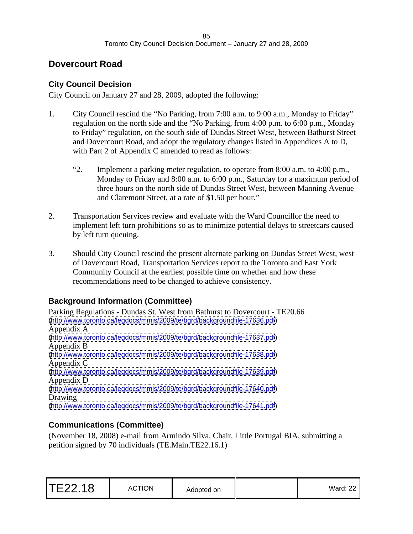# **Dovercourt Road**

# **City Council Decision**

City Council on January 27 and 28, 2009, adopted the following:

- 1. City Council rescind the "No Parking, from 7:00 a.m. to 9:00 a.m., Monday to Friday" regulation on the north side and the "No Parking, from 4:00 p.m. to 6:00 p.m., Monday to Friday" regulation, on the south side of Dundas Street West, between Bathurst Street and Dovercourt Road, and adopt the regulatory changes listed in Appendices A to D, with Part 2 of Appendix C amended to read as follows:
	- "2. Implement a parking meter regulation, to operate from 8:00 a.m. to 4:00 p.m., Monday to Friday and 8:00 a.m. to 6:00 p.m., Saturday for a maximum period of three hours on the north side of Dundas Street West, between Manning Avenue and Claremont Street, at a rate of \$1.50 per hour."
- 2. Transportation Services review and evaluate with the Ward Councillor the need to implement left turn prohibitions so as to minimize potential delays to streetcars caused by left turn queuing.
- 3. Should City Council rescind the present alternate parking on Dundas Street West, west of Dovercourt Road, Transportation Services report to the Toronto and East York Community Council at the earliest possible time on whether and how these recommendations need to be changed to achieve consistency.

# **Background Information (Committee)**

Parking Regulations - Dundas St. West from Bathurst to Dovercourt - TE20.66 [\(http://www.toronto.ca/legdocs/mmis/2009/te/bgrd/backgroundfile-17636.pdf](http://www.toronto.ca/legdocs/mmis/2009/te/bgrd/backgroundfile-17636.pdf)) Appendix A [\(http://www.toronto.ca/legdocs/mmis/2009/te/bgrd/backgroundfile-17637.pdf](http://www.toronto.ca/legdocs/mmis/2009/te/bgrd/backgroundfile-17637.pdf)) Appendix B [\(http://www.toronto.ca/legdocs/mmis/2009/te/bgrd/backgroundfile-17638.pdf](http://www.toronto.ca/legdocs/mmis/2009/te/bgrd/backgroundfile-17638.pdf)) Appendix C [\(http://www.toronto.ca/legdocs/mmis/2009/te/bgrd/backgroundfile-17639.pdf](http://www.toronto.ca/legdocs/mmis/2009/te/bgrd/backgroundfile-17639.pdf)) Appendix D [\(http://www.toronto.ca/legdocs/mmis/2009/te/bgrd/backgroundfile-17640.pdf](http://www.toronto.ca/legdocs/mmis/2009/te/bgrd/backgroundfile-17640.pdf)) Drawing **Executive Contract Contract Contract Contract Contract Contract Contract Contract Contract Contract Contract Contract Contract Contract Contract Contract Contract Contract Contract Contract Contract Contract Contr** [\(http://www.toronto.ca/legdocs/mmis/2009/te/bgrd/backgroundfile-17641.pdf](http://www.toronto.ca/legdocs/mmis/2009/te/bgrd/backgroundfile-17641.pdf))

# **Communications (Committee)**

(November 18, 2008) e-mail from Armindo Silva, Chair, Little Portugal BIA, submitting a petition signed by 70 individuals (TE.Main.TE22.16.1)

| TE22.18<br><b>ACTION</b><br>.<br>Mard: 22<br>Adopted on<br>vvalu. ZZ<br>the contract of the contract of the contract of the contract of the contract of the contract of the contract of |  |  |
|-----------------------------------------------------------------------------------------------------------------------------------------------------------------------------------------|--|--|
|-----------------------------------------------------------------------------------------------------------------------------------------------------------------------------------------|--|--|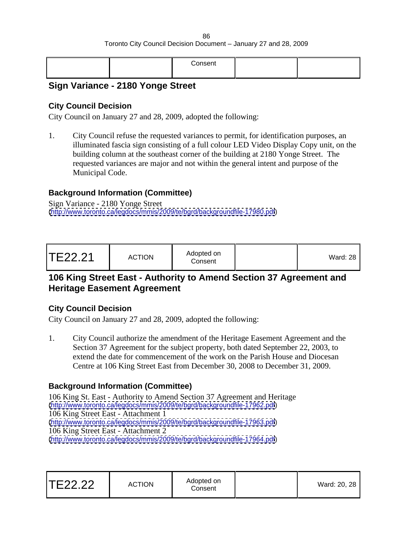# **Sign Variance - 2180 Yonge Street**

### **City Council Decision**

City Council on January 27 and 28, 2009, adopted the following:

1. City Council refuse the requested variances to permit, for identification purposes, an illuminated fascia sign consisting of a full colour LED Video Display Copy unit, on the building column at the southeast corner of the building at 2180 Yonge Street. The requested variances are major and not within the general intent and purpose of the Municipal Code.

# **Background Information (Committee)**

Sign Variance - 2180 Yonge Street [\(http://www.toronto.ca/legdocs/mmis/2009/te/bgrd/backgroundfile-17980.pdf](http://www.toronto.ca/legdocs/mmis/2009/te/bgrd/backgroundfile-17980.pdf))

| TE22.21 | <b>ACTION</b> | Adopted on<br>Consent |  | Ward: $28$ |  |  |  |  |  |  |  |  |  |  |  |
|---------|---------------|-----------------------|--|------------|--|--|--|--|--|--|--|--|--|--|--|
|---------|---------------|-----------------------|--|------------|--|--|--|--|--|--|--|--|--|--|--|

# **106 King Street East - Authority to Amend Section 37 Agreement and Heritage Easement Agreement**

### **City Council Decision**

City Council on January 27 and 28, 2009, adopted the following:

1. City Council authorize the amendment of the Heritage Easement Agreement and the Section 37 Agreement for the subject property, both dated September 22, 2003, to extend the date for commencement of the work on the Parish House and Diocesan Centre at 106 King Street East from December 30, 2008 to December 31, 2009.

# **Background Information (Committee)**

106 King St. East - Authority to Amend Section 37 Agreement and Heritage [\(http://www.toronto.ca/legdocs/mmis/2009/te/bgrd/backgroundfile-17962.pdf](http://www.toronto.ca/legdocs/mmis/2009/te/bgrd/backgroundfile-17962.pdf)) 106 King Street East - Attachment 1 [\(http://www.toronto.ca/legdocs/mmis/2009/te/bgrd/backgroundfile-17963.pdf](http://www.toronto.ca/legdocs/mmis/2009/te/bgrd/backgroundfile-17963.pdf)) 106 King Street East - Attachment 2 [\(http://www.toronto.ca/legdocs/mmis/2009/te/bgrd/backgroundfile-17964.pdf](http://www.toronto.ca/legdocs/mmis/2009/te/bgrd/backgroundfile-17964.pdf))

| TE22.22 | <b>ACTION</b> | Adopted on<br>Consen | $\sim$ 00 00<br>ward: 20, 28 |  |  |
|---------|---------------|----------------------|------------------------------|--|--|
|---------|---------------|----------------------|------------------------------|--|--|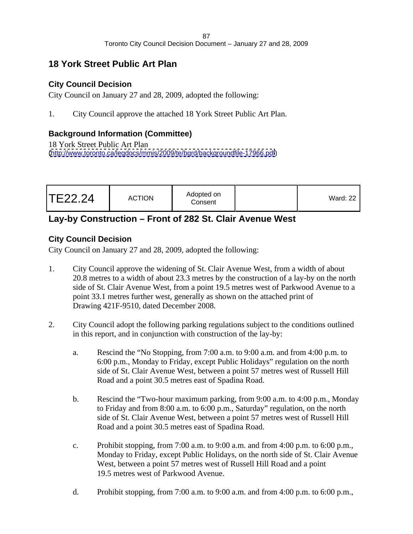# **18 York Street Public Art Plan**

# **City Council Decision**

City Council on January 27 and 28, 2009, adopted the following:

1. City Council approve the attached 18 York Street Public Art Plan.

# **Background Information (Committee)**

18 York Street Public Art Plan [\(http://www.toronto.ca/legdocs/mmis/2009/te/bgrd/backgroundfile-17966.pdf](http://www.toronto.ca/legdocs/mmis/2009/te/bgrd/backgroundfile-17966.pdf))

# **Lay-by Construction – Front of 282 St. Clair Avenue West**

# **City Council Decision**

- 1. City Council approve the widening of St. Clair Avenue West, from a width of about 20.8 metres to a width of about 23.3 metres by the construction of a lay-by on the north side of St. Clair Avenue West, from a point 19.5 metres west of Parkwood Avenue to a point 33.1 metres further west, generally as shown on the attached print of Drawing 421F-9510, dated December 2008.
- 2. City Council adopt the following parking regulations subject to the conditions outlined in this report, and in conjunction with construction of the lay-by:
	- a. Rescind the "No Stopping, from 7:00 a.m. to 9:00 a.m. and from 4:00 p.m. to 6:00 p.m., Monday to Friday, except Public Holidays" regulation on the north side of St. Clair Avenue West, between a point 57 metres west of Russell Hill Road and a point 30.5 metres east of Spadina Road.
	- b. Rescind the "Two-hour maximum parking, from 9:00 a.m. to 4:00 p.m., Monday to Friday and from 8:00 a.m. to 6:00 p.m., Saturday" regulation, on the north side of St. Clair Avenue West, between a point 57 metres west of Russell Hill Road and a point 30.5 metres east of Spadina Road.
	- c. Prohibit stopping, from 7:00 a.m. to 9:00 a.m. and from 4:00 p.m. to 6:00 p.m., Monday to Friday, except Public Holidays, on the north side of St. Clair Avenue West, between a point 57 metres west of Russell Hill Road and a point 19.5 metres west of Parkwood Avenue.
	- d. Prohibit stopping, from 7:00 a.m. to 9:00 a.m. and from 4:00 p.m. to 6:00 p.m.,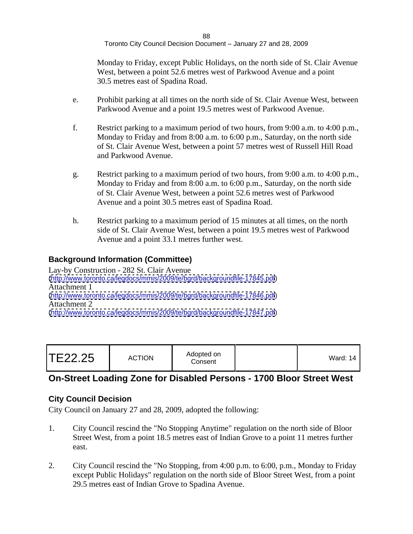Monday to Friday, except Public Holidays, on the north side of St. Clair Avenue West, between a point 52.6 metres west of Parkwood Avenue and a point 30.5 metres east of Spadina Road.

- e. Prohibit parking at all times on the north side of St. Clair Avenue West, between Parkwood Avenue and a point 19.5 metres west of Parkwood Avenue.
- f. Restrict parking to a maximum period of two hours, from 9:00 a.m. to 4:00 p.m., Monday to Friday and from 8:00 a.m. to 6:00 p.m., Saturday, on the north side of St. Clair Avenue West, between a point 57 metres west of Russell Hill Road and Parkwood Avenue.
- g. Restrict parking to a maximum period of two hours, from 9:00 a.m. to 4:00 p.m., Monday to Friday and from 8:00 a.m. to 6:00 p.m., Saturday, on the north side of St. Clair Avenue West, between a point 52.6 metres west of Parkwood Avenue and a point 30.5 metres east of Spadina Road.
- h. Restrict parking to a maximum period of 15 minutes at all times, on the north side of St. Clair Avenue West, between a point 19.5 metres west of Parkwood Avenue and a point 33.1 metres further west.

# **Background Information (Committee)**

Lay-by Construction - 282 St. Clair Avenue [\(http://www.toronto.ca/legdocs/mmis/2009/te/bgrd/backgroundfile-17845.pdf](http://www.toronto.ca/legdocs/mmis/2009/te/bgrd/backgroundfile-17845.pdf)) Attachment 1 [\(http://www.toronto.ca/legdocs/mmis/2009/te/bgrd/backgroundfile-17846.pdf](http://www.toronto.ca/legdocs/mmis/2009/te/bgrd/backgroundfile-17846.pdf)) Attachment 2 [\(http://www.toronto.ca/legdocs/mmis/2009/te/bgrd/backgroundfile-17847.pdf](http://www.toronto.ca/legdocs/mmis/2009/te/bgrd/backgroundfile-17847.pdf))

| Ward: 14 |  |
|----------|--|
|----------|--|

# **On-Street Loading Zone for Disabled Persons - 1700 Bloor Street West**

# **City Council Decision**

- 1. City Council rescind the "No Stopping Anytime" regulation on the north side of Bloor Street West, from a point 18.5 metres east of Indian Grove to a point 11 metres further east.
- 2. City Council rescind the "No Stopping, from 4:00 p.m. to 6:00, p.m., Monday to Friday except Public Holidays" regulation on the north side of Bloor Street West, from a point 29.5 metres east of Indian Grove to Spadina Avenue.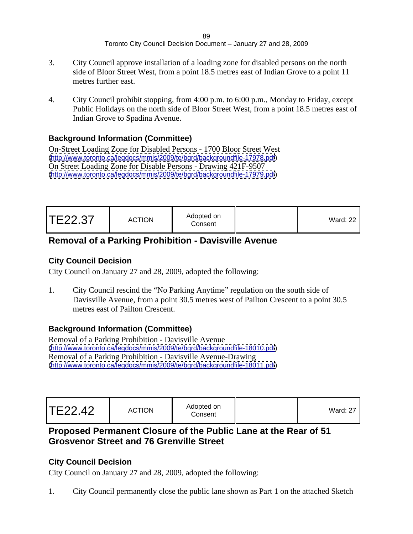- 3. City Council approve installation of a loading zone for disabled persons on the north side of Bloor Street West, from a point 18.5 metres east of Indian Grove to a point 11 metres further east.
- 4. City Council prohibit stopping, from 4:00 p.m. to 6:00 p.m., Monday to Friday, except Public Holidays on the north side of Bloor Street West, from a point 18.5 metres east of Indian Grove to Spadina Avenue.

# **Background Information (Committee)**

On-Street Loading Zone for Disabled Persons - 1700 Bloor Street West [\(http://www.toronto.ca/legdocs/mmis/2009/te/bgrd/backgroundfile-17978.pdf](http://www.toronto.ca/legdocs/mmis/2009/te/bgrd/backgroundfile-17978.pdf)) On Street Loading Zone for Disable Persons - Drawing 421F-9507 [\(http://www.toronto.ca/legdocs/mmis/2009/te/bgrd/backgroundfile-17979.pdf](http://www.toronto.ca/legdocs/mmis/2009/te/bgrd/backgroundfile-17979.pdf))

| <b>TE22.37</b> | Adopted on<br><b>ACTION</b><br>the contract of the contract of the contract of the contract of the contract of the contract of the contract of<br>Consent | Vard: 22 |  |  |  |  |
|----------------|-----------------------------------------------------------------------------------------------------------------------------------------------------------|----------|--|--|--|--|
|----------------|-----------------------------------------------------------------------------------------------------------------------------------------------------------|----------|--|--|--|--|

# **Removal of a Parking Prohibition - Davisville Avenue**

# **City Council Decision**

City Council on January 27 and 28, 2009, adopted the following:

1. City Council rescind the "No Parking Anytime" regulation on the south side of Davisville Avenue, from a point 30.5 metres west of Pailton Crescent to a point 30.5 metres east of Pailton Crescent.

# **Background Information (Committee)**

Removal of a Parking Prohibition - Davisville Avenue [\(http://www.toronto.ca/legdocs/mmis/2009/te/bgrd/backgroundfile-18010.pdf](http://www.toronto.ca/legdocs/mmis/2009/te/bgrd/backgroundfile-18010.pdf)) Removal of a Parking Prohibition - Davisville Avenue-Drawing [\(http://www.toronto.ca/legdocs/mmis/2009/te/bgrd/backgroundfile-18011.pdf](http://www.toronto.ca/legdocs/mmis/2009/te/bgrd/backgroundfile-18011.pdf))

# **Proposed Permanent Closure of the Public Lane at the Rear of 51 Grosvenor Street and 76 Grenville Street**

# **City Council Decision**

City Council on January 27 and 28, 2009, adopted the following:

1. City Council permanently close the public lane shown as Part 1 on the attached Sketch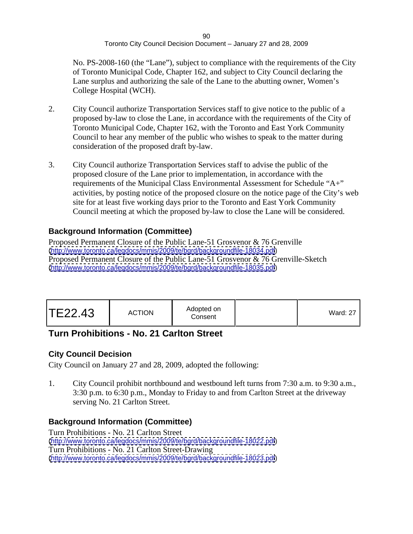No. PS-2008-160 (the "Lane"), subject to compliance with the requirements of the City of Toronto Municipal Code, Chapter 162, and subject to City Council declaring the Lane surplus and authorizing the sale of the Lane to the abutting owner, Women's College Hospital (WCH).

- 2. City Council authorize Transportation Services staff to give notice to the public of a proposed by-law to close the Lane, in accordance with the requirements of the City of Toronto Municipal Code, Chapter 162, with the Toronto and East York Community Council to hear any member of the public who wishes to speak to the matter during consideration of the proposed draft by-law.
- 3. City Council authorize Transportation Services staff to advise the public of the proposed closure of the Lane prior to implementation, in accordance with the requirements of the Municipal Class Environmental Assessment for Schedule "A+" activities, by posting notice of the proposed closure on the notice page of the City's web site for at least five working days prior to the Toronto and East York Community Council meeting at which the proposed by-law to close the Lane will be considered.

# **Background Information (Committee)**

Proposed Permanent Closure of the Public Lane-51 Grosvenor & 76 Grenville [\(http://www.toronto.ca/legdocs/mmis/2009/te/bgrd/backgroundfile-18034.pdf](http://www.toronto.ca/legdocs/mmis/2009/te/bgrd/backgroundfile-18034.pdf)) Proposed Permanent Closure of the Public Lane-51 Grosvenor & 76 Grenville-Sketch [\(http://www.toronto.ca/legdocs/mmis/2009/te/bgrd/backgroundfile-18035.pdf](http://www.toronto.ca/legdocs/mmis/2009/te/bgrd/backgroundfile-18035.pdf))

| Ward: 27 |
|----------|
|----------|

# **Turn Prohibitions - No. 21 Carlton Street**

# **City Council Decision**

City Council on January 27 and 28, 2009, adopted the following:

1. City Council prohibit northbound and westbound left turns from 7:30 a.m. to 9:30 a.m., 3:30 p.m. to 6:30 p.m., Monday to Friday to and from Carlton Street at the driveway serving No. 21 Carlton Street.

# **Background Information (Committee)**

Turn Prohibitions - No. 21 Carlton Street [\(http://www.toronto.ca/legdocs/mmis/2009/te/bgrd/backgroundfile-18022.pdf](http://www.toronto.ca/legdocs/mmis/2009/te/bgrd/backgroundfile-18022.pdf)) Turn Prohibitions - No. 21 Carlton Street-Drawing [\(http://www.toronto.ca/legdocs/mmis/2009/te/bgrd/backgroundfile-18023.pdf](http://www.toronto.ca/legdocs/mmis/2009/te/bgrd/backgroundfile-18023.pdf))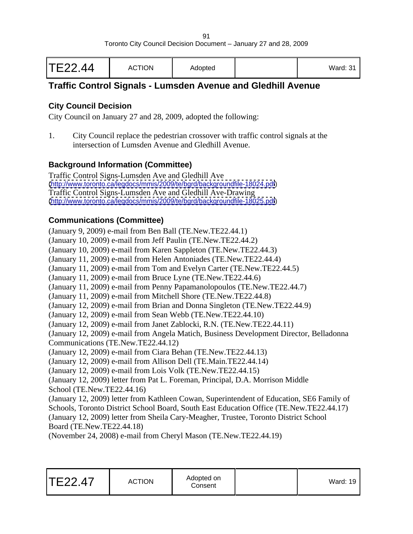| TE22.44 | <b>ACTION</b> | Adopted |  | Ward: 31 |  |  |  |  |  |  |  |  |  |  |  |  |
|---------|---------------|---------|--|----------|--|--|--|--|--|--|--|--|--|--|--|--|
|---------|---------------|---------|--|----------|--|--|--|--|--|--|--|--|--|--|--|--|

# **Traffic Control Signals - Lumsden Avenue and Gledhill Avenue**

# **City Council Decision**

City Council on January 27 and 28, 2009, adopted the following:

1. City Council replace the pedestrian crossover with traffic control signals at the intersection of Lumsden Avenue and Gledhill Avenue.

# **Background Information (Committee)**

Traffic Control Signs-Lumsden Ave and Gledhill Ave [\(http://www.toronto.ca/legdocs/mmis/2009/te/bgrd/backgroundfile-18024.pdf](http://www.toronto.ca/legdocs/mmis/2009/te/bgrd/backgroundfile-18024.pdf)) Traffic Control Signs-Lumsden Ave and Gledhill Ave-Drawing [\(http://www.toronto.ca/legdocs/mmis/2009/te/bgrd/backgroundfile-18025.pdf](http://www.toronto.ca/legdocs/mmis/2009/te/bgrd/backgroundfile-18025.pdf))

# **Communications (Committee)**

(January 9, 2009) e-mail from Ben Ball (TE.New.TE22.44.1) (January 10, 2009) e-mail from Jeff Paulin (TE.New.TE22.44.2) (January 10, 2009) e-mail from Karen Sappleton (TE.New.TE22.44.3) (January 11, 2009) e-mail from Helen Antoniades (TE.New.TE22.44.4) (January 11, 2009) e-mail from Tom and Evelyn Carter (TE.New.TE22.44.5) (January 11, 2009) e-mail from Bruce Lyne (TE.New.TE22.44.6) (January 11, 2009) e-mail from Penny Papamanolopoulos (TE.New.TE22.44.7) (January 11, 2009) e-mail from Mitchell Shore (TE.New.TE22.44.8) (January 12, 2009) e-mail from Brian and Donna Singleton (TE.New.TE22.44.9) (January 12, 2009) e-mail from Sean Webb (TE.New.TE22.44.10) (January 12, 2009) e-mail from Janet Zablocki, R.N. (TE.New.TE22.44.11) (January 12, 2009) e-mail from Angela Matich, Business Development Director, Belladonna Communications (TE.New.TE22.44.12) (January 12, 2009) e-mail from Ciara Behan (TE.New.TE22.44.13) (January 12, 2009) e-mail from Allison Dell (TE.Main.TE22.44.14) (January 12, 2009) e-mail from Lois Volk (TE.New.TE22.44.15) (January 12, 2009) letter from Pat L. Foreman, Principal, D.A. Morrison Middle School (TE.New.TE22.44.16) (January 12, 2009) letter from Kathleen Cowan, Superintendent of Education, SE6 Family of Schools, Toronto District School Board, South East Education Office (TE.New.TE22.44.17) (January 12, 2009) letter from Sheila Cary-Meagher, Trustee, Toronto District School Board (TE.New.TE22.44.18) (November 24, 2008) e-mail from Cheryl Mason (TE.New.TE22.44.19)

| TE22.47 | <b>ACTION</b><br><b>ACTION</b> | Adopted on<br>the contract of the contract of the contract of the contract of the contract of<br>Consent | Ward: 19 µ |  |
|---------|--------------------------------|----------------------------------------------------------------------------------------------------------|------------|--|
|---------|--------------------------------|----------------------------------------------------------------------------------------------------------|------------|--|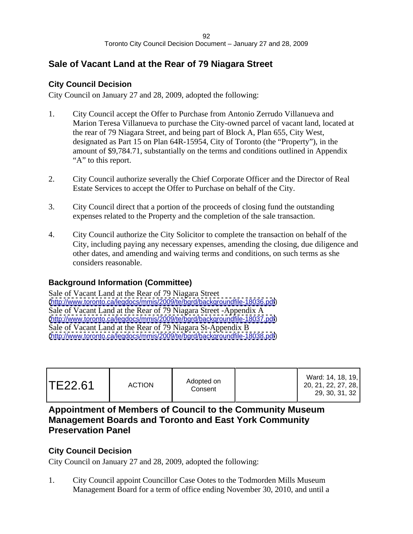# **Sale of Vacant Land at the Rear of 79 Niagara Street**

# **City Council Decision**

City Council on January 27 and 28, 2009, adopted the following:

- 1. City Council accept the Offer to Purchase from Antonio Zerrudo Villanueva and Marion Teresa Villanueva to purchase the City-owned parcel of vacant land, located at the rear of 79 Niagara Street, and being part of Block A, Plan 655, City West, designated as Part 15 on Plan 64R-15954, City of Toronto (the "Property"), in the amount of \$9,784.71, substantially on the terms and conditions outlined in Appendix "A" to this report.
- 2. City Council authorize severally the Chief Corporate Officer and the Director of Real Estate Services to accept the Offer to Purchase on behalf of the City.
- 3. City Council direct that a portion of the proceeds of closing fund the outstanding expenses related to the Property and the completion of the sale transaction.
- 4. City Council authorize the City Solicitor to complete the transaction on behalf of the City, including paying any necessary expenses, amending the closing, due diligence and other dates, and amending and waiving terms and conditions, on such terms as she considers reasonable.

# **Background Information (Committee)**

Sale of Vacant Land at the Rear of 79 Niagara Street [\(http://www.toronto.ca/legdocs/mmis/2009/te/bgrd/backgroundfile-18036.pdf](http://www.toronto.ca/legdocs/mmis/2009/te/bgrd/backgroundfile-18036.pdf)) Sale of Vacant Land at the Rear of 79 Niagara Street -Appendix A [\(http://www.toronto.ca/legdocs/mmis/2009/te/bgrd/backgroundfile-18037.pdf](http://www.toronto.ca/legdocs/mmis/2009/te/bgrd/backgroundfile-18037.pdf)) Sale of Vacant Land at the Rear of 79 Niagara St-Appendix B [\(http://www.toronto.ca/legdocs/mmis/2009/te/bgrd/backgroundfile-18038.pdf](http://www.toronto.ca/legdocs/mmis/2009/te/bgrd/backgroundfile-18038.pdf))

| Ward: 14, 18, 19,<br>20.21.22.22<br>20, 21, 22, 27, 28, 1<br>29, 30, 31, 32 |
|-----------------------------------------------------------------------------|
|-----------------------------------------------------------------------------|

# **Appointment of Members of Council to the Community Museum Management Boards and Toronto and East York Community Preservation Panel**

# **City Council Decision**

City Council on January 27 and 28, 2009, adopted the following:

1. City Council appoint Councillor Case Ootes to the Todmorden Mills Museum Management Board for a term of office ending November 30, 2010, and until a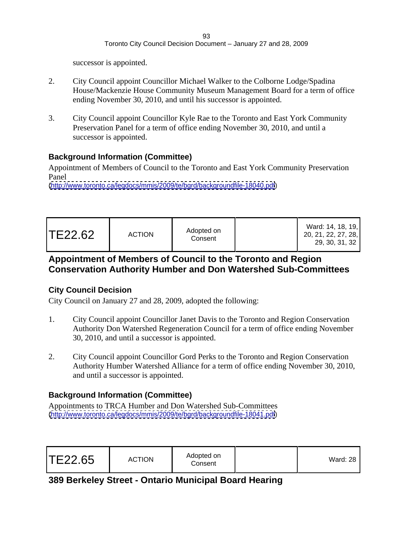successor is appointed.

- 2. City Council appoint Councillor Michael Walker to the Colborne Lodge/Spadina House/Mackenzie House Community Museum Management Board for a term of office ending November 30, 2010, and until his successor is appointed.
- 3. City Council appoint Councillor Kyle Rae to the Toronto and East York Community Preservation Panel for a term of office ending November 30, 2010, and until a successor is appointed.

### **Background Information (Committee)**

Appointment of Members of Council to the Toronto and East York Community Preservation Panel **Panel** 

[\(http://www.toronto.ca/legdocs/mmis/2009/te/bgrd/backgroundfile-18040.pdf](http://www.toronto.ca/legdocs/mmis/2009/te/bgrd/backgroundfile-18040.pdf))

| TE22.62 | <b>ACTION</b> | Adopted on<br>Consent |  | Ward: 14, 18, 19,<br>າດ ລາ ລາ ລ <del>ະ</del> ລວ I<br>20, 21, 22, 21, 28, 1<br>29, 30, 31, 32 |  |  |  |  |  |  |  |  |  |  |  |
|---------|---------------|-----------------------|--|----------------------------------------------------------------------------------------------|--|--|--|--|--|--|--|--|--|--|--|
|---------|---------------|-----------------------|--|----------------------------------------------------------------------------------------------|--|--|--|--|--|--|--|--|--|--|--|

# **Appointment of Members of Council to the Toronto and Region Conservation Authority Humber and Don Watershed Sub-Committees**

### **City Council Decision**

City Council on January 27 and 28, 2009, adopted the following:

- 1. City Council appoint Councillor Janet Davis to the Toronto and Region Conservation Authority Don Watershed Regeneration Council for a term of office ending November 30, 2010, and until a successor is appointed.
- 2. City Council appoint Councillor Gord Perks to the Toronto and Region Conservation Authority Humber Watershed Alliance for a term of office ending November 30, 2010, and until a successor is appointed.

# **Background Information (Committee)**

Appointments to TRCA Humber and Don Watershed Sub-Committees [\(http://www.toronto.ca/legdocs/mmis/2009/te/bgrd/backgroundfile-18041.pdf](http://www.toronto.ca/legdocs/mmis/2009/te/bgrd/backgroundfile-18041.pdf))

# **389 Berkeley Street - Ontario Municipal Board Hearing**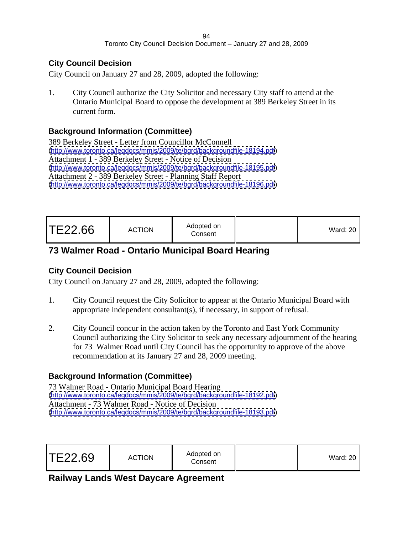### **City Council Decision**

City Council on January 27 and 28, 2009, adopted the following:

1. City Council authorize the City Solicitor and necessary City staff to attend at the Ontario Municipal Board to oppose the development at 389 Berkeley Street in its current form.

### **Background Information (Committee)**

389 Berkeley Street - Letter from Councillor McConnell [\(http://www.toronto.ca/legdocs/mmis/2009/te/bgrd/backgroundfile-18194.pdf](http://www.toronto.ca/legdocs/mmis/2009/te/bgrd/backgroundfile-18194.pdf)) Attachment 1 - 389 Berkeley Street - Notice of Decision [\(http://www.toronto.ca/legdocs/mmis/2009/te/bgrd/backgroundfile-18195.pdf](http://www.toronto.ca/legdocs/mmis/2009/te/bgrd/backgroundfile-18195.pdf)) Attachment 2 - 389 Berkeley Street - Planning Staff Report [\(http://www.toronto.ca/legdocs/mmis/2009/te/bgrd/backgroundfile-18196.pdf](http://www.toronto.ca/legdocs/mmis/2009/te/bgrd/backgroundfile-18196.pdf))

| TE22.66 | Adopted on<br><b>ACTION</b><br>Consen | Ward: $20$ |  |  |  |  |  |
|---------|---------------------------------------|------------|--|--|--|--|--|
|---------|---------------------------------------|------------|--|--|--|--|--|

# **73 Walmer Road - Ontario Municipal Board Hearing**

# **City Council Decision**

City Council on January 27 and 28, 2009, adopted the following:

- 1. City Council request the City Solicitor to appear at the Ontario Municipal Board with appropriate independent consultant(s), if necessary, in support of refusal.
- 2. City Council concur in the action taken by the Toronto and East York Community Council authorizing the City Solicitor to seek any necessary adjournment of the hearing for 73 Walmer Road until City Council has the opportunity to approve of the above recommendation at its January 27 and 28, 2009 meeting.

# **Background Information (Committee)**

73 Walmer Road - Ontario Municipal Board Hearing [\(http://www.toronto.ca/legdocs/mmis/2009/te/bgrd/backgroundfile-18192.pdf](http://www.toronto.ca/legdocs/mmis/2009/te/bgrd/backgroundfile-18192.pdf)) Attachment - 73 Walmer Road - Notice of Decision [\(http://www.toronto.ca/legdocs/mmis/2009/te/bgrd/backgroundfile-18193.pdf](http://www.toronto.ca/legdocs/mmis/2009/te/bgrd/backgroundfile-18193.pdf))

| Ward: $20$ |
|------------|
|------------|

# **Railway Lands West Daycare Agreement**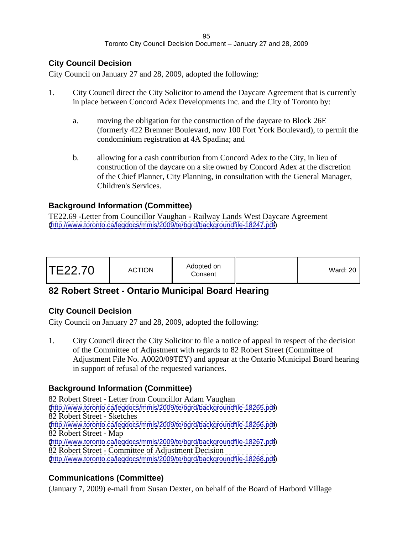### **City Council Decision**

City Council on January 27 and 28, 2009, adopted the following:

- 1. City Council direct the City Solicitor to amend the Daycare Agreement that is currently in place between Concord Adex Developments Inc. and the City of Toronto by:
	- a. moving the obligation for the construction of the daycare to Block 26E (formerly 422 Bremner Boulevard, now 100 Fort York Boulevard), to permit the condominium registration at 4A Spadina; and
	- b. allowing for a cash contribution from Concord Adex to the City, in lieu of construction of the daycare on a site owned by Concord Adex at the discretion of the Chief Planner, City Planning, in consultation with the General Manager, Children's Services.

# **Background Information (Committee)**

TE22.69 -Letter from Councillor Vaughan - Railway Lands West Daycare Agreement [\(http://www.toronto.ca/legdocs/mmis/2009/te/bgrd/backgroundfile-18247.pdf](http://www.toronto.ca/legdocs/mmis/2009/te/bgrd/backgroundfile-18247.pdf))

| Ward: $20$ |
|------------|
|------------|

# **82 Robert Street - Ontario Municipal Board Hearing**

# **City Council Decision**

City Council on January 27 and 28, 2009, adopted the following:

1. City Council direct the City Solicitor to file a notice of appeal in respect of the decision of the Committee of Adjustment with regards to 82 Robert Street (Committee of Adjustment File No. A0020/09TEY) and appear at the Ontario Municipal Board hearing in support of refusal of the requested variances.

# **Background Information (Committee)**

82 Robert Street - Letter from Councillor Adam Vaughan [\(http://www.toronto.ca/legdocs/mmis/2009/te/bgrd/backgroundfile-18265.pdf](http://www.toronto.ca/legdocs/mmis/2009/te/bgrd/backgroundfile-18265.pdf)) 82 Robert Street - Sketches [\(http://www.toronto.ca/legdocs/mmis/2009/te/bgrd/backgroundfile-18266.pdf](http://www.toronto.ca/legdocs/mmis/2009/te/bgrd/backgroundfile-18266.pdf)) 82 Robert Street - Map [\(http://www.toronto.ca/legdocs/mmis/2009/te/bgrd/backgroundfile-18267.pdf](http://www.toronto.ca/legdocs/mmis/2009/te/bgrd/backgroundfile-18267.pdf)) 82 Robert Street - Committee of Adjustment Decision [\(http://www.toronto.ca/legdocs/mmis/2009/te/bgrd/backgroundfile-18268.pdf](http://www.toronto.ca/legdocs/mmis/2009/te/bgrd/backgroundfile-18268.pdf))

# **Communications (Committee)**

(January 7, 2009) e-mail from Susan Dexter, on behalf of the Board of Harbord Village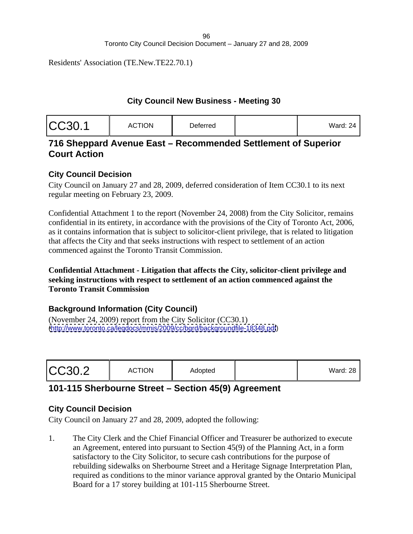Residents' Association (TE.New.TE22.70.1)

#### **City Council New Business - Meeting 30**

| .<br>Ward: 24 |  |
|---------------|--|
|---------------|--|

# **716 Sheppard Avenue East – Recommended Settlement of Superior Court Action**

# **City Council Decision**

City Council on January 27 and 28, 2009, deferred consideration of Item CC30.1 to its next regular meeting on February 23, 2009.

Confidential Attachment 1 to the report (November 24, 2008) from the City Solicitor, remains confidential in its entirety, in accordance with the provisions of the City of Toronto Act, 2006, as it contains information that is subject to solicitor-client privilege, that is related to litigation that affects the City and that seeks instructions with respect to settlement of an action commenced against the Toronto Transit Commission.

### **Confidential Attachment - Litigation that affects the City, solicitor-client privilege and seeking instructions with respect to settlement of an action commenced against the Toronto Transit Commission**

# **Background Information (City Council)**

(November 24, 2009) report from the City Solicitor (CC30.1) [\(http://www.toronto.ca/legdocs/mmis/2009/cc/bgrd/backgroundfile-18348.pdf](http://www.toronto.ca/legdocs/mmis/2009/cc/bgrd/backgroundfile-18348.pdf))

|--|

# **101-115 Sherbourne Street – Section 45(9) Agreement**

### **City Council Decision**

City Council on January 27 and 28, 2009, adopted the following:

1. The City Clerk and the Chief Financial Officer and Treasurer be authorized to execute an Agreement, entered into pursuant to Section 45(9) of the Planning Act, in a form satisfactory to the City Solicitor, to secure cash contributions for the purpose of rebuilding sidewalks on Sherbourne Street and a Heritage Signage Interpretation Plan, required as conditions to the minor variance approval granted by the Ontario Municipal Board for a 17 storey building at 101-115 Sherbourne Street.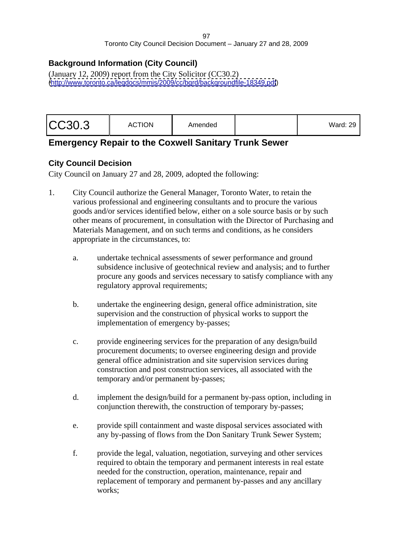# **Background Information (City Council)**

(January 12, 2009) report from the City Solicitor (CC30.2) [\(http://www.toronto.ca/legdocs/mmis/2009/cc/bgrd/backgroundfile-18349.pdf](http://www.toronto.ca/legdocs/mmis/2009/cc/bgrd/backgroundfile-18349.pdf))

# **Emergency Repair to the Coxwell Sanitary Trunk Sewer**

# **City Council Decision**

- 1. City Council authorize the General Manager, Toronto Water, to retain the various professional and engineering consultants and to procure the various goods and/or services identified below, either on a sole source basis or by such other means of procurement, in consultation with the Director of Purchasing and Materials Management, and on such terms and conditions, as he considers appropriate in the circumstances, to:
	- a. undertake technical assessments of sewer performance and ground subsidence inclusive of geotechnical review and analysis; and to further procure any goods and services necessary to satisfy compliance with any regulatory approval requirements;
	- b. undertake the engineering design, general office administration, site supervision and the construction of physical works to support the implementation of emergency by-passes;
	- c. provide engineering services for the preparation of any design/build procurement documents; to oversee engineering design and provide general office administration and site supervision services during construction and post construction services, all associated with the temporary and/or permanent by-passes;
	- d. implement the design/build for a permanent by-pass option, including in conjunction therewith, the construction of temporary by-passes;
	- e. provide spill containment and waste disposal services associated with any by-passing of flows from the Don Sanitary Trunk Sewer System;
	- f. provide the legal, valuation, negotiation, surveying and other services required to obtain the temporary and permanent interests in real estate needed for the construction, operation, maintenance, repair and replacement of temporary and permanent by-passes and any ancillary works;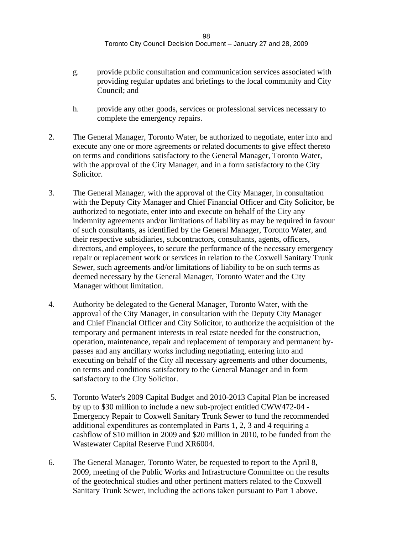- g. provide public consultation and communication services associated with providing regular updates and briefings to the local community and City Council; and
- h. provide any other goods, services or professional services necessary to complete the emergency repairs.
- 2. The General Manager, Toronto Water, be authorized to negotiate, enter into and execute any one or more agreements or related documents to give effect thereto on terms and conditions satisfactory to the General Manager, Toronto Water, with the approval of the City Manager, and in a form satisfactory to the City Solicitor.
- 3. The General Manager, with the approval of the City Manager, in consultation with the Deputy City Manager and Chief Financial Officer and City Solicitor, be authorized to negotiate, enter into and execute on behalf of the City any indemnity agreements and/or limitations of liability as may be required in favour of such consultants, as identified by the General Manager, Toronto Water, and their respective subsidiaries, subcontractors, consultants, agents, officers, directors, and employees, to secure the performance of the necessary emergency repair or replacement work or services in relation to the Coxwell Sanitary Trunk Sewer, such agreements and/or limitations of liability to be on such terms as deemed necessary by the General Manager, Toronto Water and the City Manager without limitation.
- 4. Authority be delegated to the General Manager, Toronto Water, with the approval of the City Manager, in consultation with the Deputy City Manager and Chief Financial Officer and City Solicitor, to authorize the acquisition of the temporary and permanent interests in real estate needed for the construction, operation, maintenance, repair and replacement of temporary and permanent by passes and any ancillary works including negotiating, entering into and executing on behalf of the City all necessary agreements and other documents, on terms and conditions satisfactory to the General Manager and in form satisfactory to the City Solicitor.
- 5. Toronto Water's 2009 Capital Budget and 2010-2013 Capital Plan be increased by up to \$30 million to include a new sub-project entitled CWW472-04 - Emergency Repair to Coxwell Sanitary Trunk Sewer to fund the recommended additional expenditures as contemplated in Parts 1, 2, 3 and 4 requiring a cashflow of \$10 million in 2009 and \$20 million in 2010, to be funded from the Wastewater Capital Reserve Fund XR6004.
- 6. The General Manager, Toronto Water, be requested to report to the April 8, 2009, meeting of the Public Works and Infrastructure Committee on the results of the geotechnical studies and other pertinent matters related to the Coxwell Sanitary Trunk Sewer, including the actions taken pursuant to Part 1 above.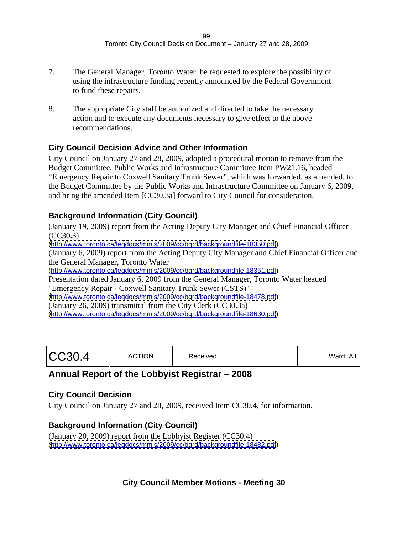- 7. The General Manager, Toronto Water, be requested to explore the possibility of using the infrastructure funding recently announced by the Federal Government to fund these repairs.
- 8. The appropriate City staff be authorized and directed to take the necessary action and to execute any documents necessary to give effect to the above recommendations.

# **City Council Decision Advice and Other Information**

City Council on January 27 and 28, 2009, adopted a procedural motion to remove from the Budget Committee, Public Works and Infrastructure Committee Item PW21.16, headed "Emergency Repair to Coxwell Sanitary Trunk Sewer", which was forwarded, as amended, to the Budget Committee by the Public Works and Infrastructure Committee on January 6, 2009, and bring the amended Item [CC30.3a] forward to City Council for consideration.

# **Background Information (City Council)**

(January 19, 2009) report from the Acting Deputy City Manager and Chief Financial Officer (CC30.3) [\(http://www.toronto.ca/legdocs/mmis/2009/cc/bgrd/backgroundfile-18350.pdf](http://www.toronto.ca/legdocs/mmis/2009/cc/bgrd/backgroundfile-18350.pdf)) (January 6, 2009) report from the Acting Deputy City Manager and Chief Financial Officer and the General Manager, Toronto Water [\(http://www.toronto.ca/legdocs/mmis/2009/cc/bgrd/backgroundfile-18351.pdf\)](http://www.toronto.ca/legdocs/mmis/2009/cc/bgrd/backgroundfile-18351.pdf) Presentation dated January 6, 2009 from the General Manager, Toronto Water headed "Emergency Repair - Coxwell Sanitary Trunk Sewer (CSTS)" [\(http://www.toronto.ca/legdocs/mmis/2009/cc/bgrd/backgroundfile-18478.pdf](http://www.toronto.ca/legdocs/mmis/2009/cc/bgrd/backgroundfile-18478.pdf))

(January 26, 2009) transmittal from the City Clerk (CC30.3a) [\(http://www.toronto.ca/legdocs/mmis/2009/cc/bgrd/backgroundfile-18630.pdf](http://www.toronto.ca/legdocs/mmis/2009/cc/bgrd/backgroundfile-18630.pdf))

| $\mathbf{v}$ |  |  |
|--------------|--|--|
|--------------|--|--|

# **Annual Report of the Lobbyist Registrar – 2008**

# **City Council Decision**

City Council on January 27 and 28, 2009, received Item CC30.4, for information.

# **Background Information (City Council)**

(January 20, 2009) report from the Lobbyist Register (CC30.4) [\(http://www.toronto.ca/legdocs/mmis/2009/cc/bgrd/backgroundfile-18482.pdf](http://www.toronto.ca/legdocs/mmis/2009/cc/bgrd/backgroundfile-18482.pdf))

# **City Council Member Motions - Meeting 30**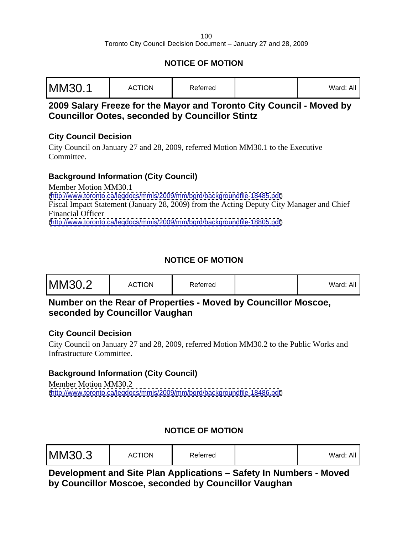# **NOTICE OF MOTION**

| $M$ ard: All<br>valu. All |  |
|---------------------------|--|
|---------------------------|--|

# **2009 Salary Freeze for the Mayor and Toronto City Council - Moved by Councillor Ootes, seconded by Councillor Stintz**

### **City Council Decision**

City Council on January 27 and 28, 2009, referred Motion MM30.1 to the Executive Committee.

# **Background Information (City Council)**

Member Motion MM30.1 [\(http://www.toronto.ca/legdocs/mmis/2009/mm/bgrd/backgroundfile-18485.pdf](http://www.toronto.ca/legdocs/mmis/2009/mm/bgrd/backgroundfile-18485.pdf)) Fiscal Impact Statement (January 28, 2009) from the Acting Deputy City Manager and Chief Financial Officer [\(http://www.toronto.ca/legdocs/mmis/2009/mm/bgrd/backgroundfile-18805.pdf](http://www.toronto.ca/legdocs/mmis/2009/mm/bgrd/backgroundfile-18805.pdf))

# **NOTICE OF MOTION**

# **Number on the Rear of Properties - Moved by Councillor Moscoe, seconded by Councillor Vaughan**

### **City Council Decision**

City Council on January 27 and 28, 2009, referred Motion MM30.2 to the Public Works and Infrastructure Committee.

# **Background Information (City Council)**

Member Motion MM30.2 [\(http://www.toronto.ca/legdocs/mmis/2009/mm/bgrd/backgroundfile-18486.pdf](http://www.toronto.ca/legdocs/mmis/2009/mm/bgrd/backgroundfile-18486.pdf))

# **NOTICE OF MOTION**

| MM30.3 | <b>ACTION</b> | Referred |  | $- - -$<br>Ward: ,<br>▵ |  |  |  |  |  |  |  |
|--------|---------------|----------|--|-------------------------|--|--|--|--|--|--|--|
|--------|---------------|----------|--|-------------------------|--|--|--|--|--|--|--|

**Development and Site Plan Applications – Safety In Numbers - Moved by Councillor Moscoe, seconded by Councillor Vaughan**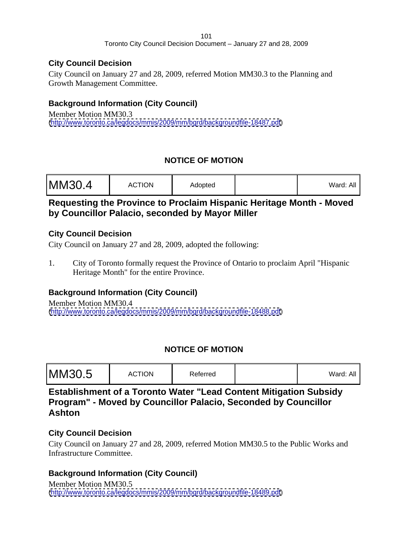### **City Council Decision**

City Council on January 27 and 28, 2009, referred Motion MM30.3 to the Planning and Growth Management Committee.

# **Background Information (City Council)**

Member Motion MM30.3 [\(http://www.toronto.ca/legdocs/mmis/2009/mm/bgrd/backgroundfile-18487.pdf](http://www.toronto.ca/legdocs/mmis/2009/mm/bgrd/backgroundfile-18487.pdf))

# **NOTICE OF MOTION**

| MM30.4 | <b>ACTION</b> | the contract of the contract of the<br>Adopted | Vard: All |  |  |  |  |  |  |  |  |  |
|--------|---------------|------------------------------------------------|-----------|--|--|--|--|--|--|--|--|--|
|--------|---------------|------------------------------------------------|-----------|--|--|--|--|--|--|--|--|--|

# **Requesting the Province to Proclaim Hispanic Heritage Month - Moved by Councillor Palacio, seconded by Mayor Miller**

### **City Council Decision**

City Council on January 27 and 28, 2009, adopted the following:

1. City of Toronto formally request the Province of Ontario to proclaim April "Hispanic Heritage Month" for the entire Province.

# **Background Information (City Council)**

Member Motion MM30.4 [\(http://www.toronto.ca/legdocs/mmis/2009/mm/bgrd/backgroundfile-18488.pdf](http://www.toronto.ca/legdocs/mmis/2009/mm/bgrd/backgroundfile-18488.pdf))

# **NOTICE OF MOTION**

| MM30.5 | <b>ACTION</b> | Referred |  | vvard:<br>. |  |  |  |  |  |  |  |
|--------|---------------|----------|--|-------------|--|--|--|--|--|--|--|
|--------|---------------|----------|--|-------------|--|--|--|--|--|--|--|

**Establishment of a Toronto Water "Lead Content Mitigation Subsidy Program" - Moved by Councillor Palacio, Seconded by Councillor Ashton**

# **City Council Decision**

City Council on January 27 and 28, 2009, referred Motion MM30.5 to the Public Works and Infrastructure Committee.

# **Background Information (City Council)**

Member Motion MM30.5 [\(http://www.toronto.ca/legdocs/mmis/2009/mm/bgrd/backgroundfile-18489.pdf](http://www.toronto.ca/legdocs/mmis/2009/mm/bgrd/backgroundfile-18489.pdf))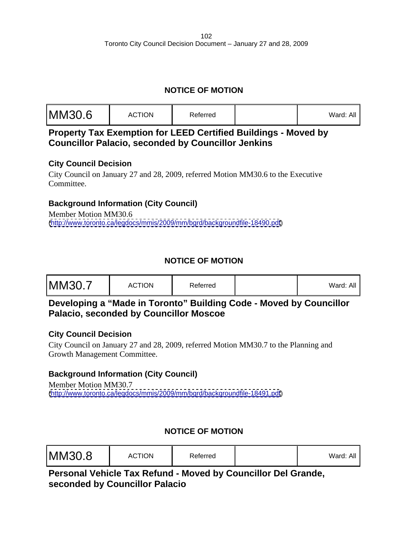# **NOTICE OF MOTION**

| /Vard: Al |  |
|-----------|--|
|-----------|--|

**Property Tax Exemption for LEED Certified Buildings - Moved by Councillor Palacio, seconded by Councillor Jenkins**

# **City Council Decision**

City Council on January 27 and 28, 2009, referred Motion MM30.6 to the Executive Committee.

# **Background Information (City Council)**

Member Motion MM30.6 [\(http://www.toronto.ca/legdocs/mmis/2009/mm/bgrd/backgroundfile-18490.pdf](http://www.toronto.ca/legdocs/mmis/2009/mm/bgrd/backgroundfile-18490.pdf))

# **NOTICE OF MOTION**

| <b>MM30.7</b> | <b>ACTION</b> | Referred |  | $- - -$<br>Ward: .<br>▵ |  |  |  |  |  |  |  |
|---------------|---------------|----------|--|-------------------------|--|--|--|--|--|--|--|
|---------------|---------------|----------|--|-------------------------|--|--|--|--|--|--|--|

# **Developing a "Made in Toronto" Building Code - Moved by Councillor Palacio, seconded by Councillor Moscoe**

### **City Council Decision**

City Council on January 27 and 28, 2009, referred Motion MM30.7 to the Planning and Growth Management Committee.

# **Background Information (City Council)**

Member Motion MM30.7 [\(http://www.toronto.ca/legdocs/mmis/2009/mm/bgrd/backgroundfile-18491.pdf](http://www.toronto.ca/legdocs/mmis/2009/mm/bgrd/backgroundfile-18491.pdf))

# **NOTICE OF MOTION**

| MM30.8 | <b>ACTION</b> | Referred |  | $- - -$<br>Ward:<br>▵ |  |  |  |  |  |  |  |
|--------|---------------|----------|--|-----------------------|--|--|--|--|--|--|--|
|--------|---------------|----------|--|-----------------------|--|--|--|--|--|--|--|

**Personal Vehicle Tax Refund - Moved by Councillor Del Grande, seconded by Councillor Palacio**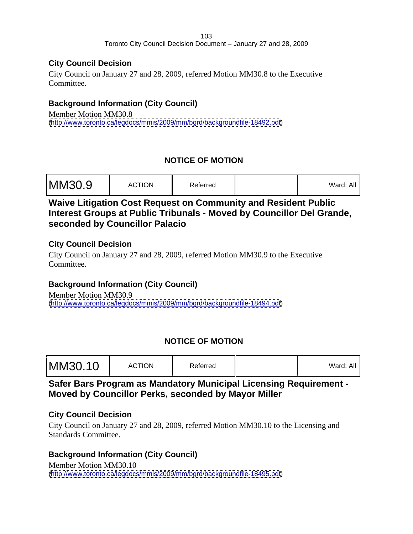### **City Council Decision**

City Council on January 27 and 28, 2009, referred Motion MM30.8 to the Executive Committee.

# **Background Information (City Council)**

Member Motion MM30.8 [\(http://www.toronto.ca/legdocs/mmis/2009/mm/bgrd/backgroundfile-18492.pdf](http://www.toronto.ca/legdocs/mmis/2009/mm/bgrd/backgroundfile-18492.pdf))

# **NOTICE OF MOTION**

| MM30.9 | <b>CTION</b><br>AL. | Referred |  | Ward: A. |  |  |  |  |  |  |  |
|--------|---------------------|----------|--|----------|--|--|--|--|--|--|--|
|--------|---------------------|----------|--|----------|--|--|--|--|--|--|--|

# **Waive Litigation Cost Request on Community and Resident Public Interest Groups at Public Tribunals - Moved by Councillor Del Grande, seconded by Councillor Palacio**

### **City Council Decision**

City Council on January 27 and 28, 2009, referred Motion MM30.9 to the Executive Committee.

# **Background Information (City Council)**

Member Motion MM30.9 [\(http://www.toronto.ca/legdocs/mmis/2009/mm/bgrd/backgroundfile-18494.pdf](http://www.toronto.ca/legdocs/mmis/2009/mm/bgrd/backgroundfile-18494.pdf))

# **NOTICE OF MOTION**

| MM30.10 | <b>ACTION</b> | Referred |  | ward: |  |  |  |  |  |  |
|---------|---------------|----------|--|-------|--|--|--|--|--|--|
|---------|---------------|----------|--|-------|--|--|--|--|--|--|

# **Safer Bars Program as Mandatory Municipal Licensing Requirement - Moved by Councillor Perks, seconded by Mayor Miller**

### **City Council Decision**

City Council on January 27 and 28, 2009, referred Motion MM30.10 to the Licensing and Standards Committee.

# **Background Information (City Council)**

Member Motion MM30.10 [\(http://www.toronto.ca/legdocs/mmis/2009/mm/bgrd/backgroundfile-18495.pdf](http://www.toronto.ca/legdocs/mmis/2009/mm/bgrd/backgroundfile-18495.pdf))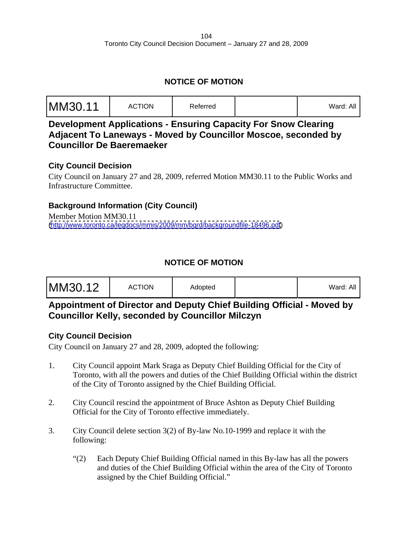# **NOTICE OF MOTION**

| MM30.11 | <b>ACTION</b><br>яι. | Referred |  | $N$ ord $\cdot$ .<br>$\ldots$ raid. $\vdots$ |  |  |  |  |  |  |  |  |  |  |  |  |
|---------|----------------------|----------|--|----------------------------------------------|--|--|--|--|--|--|--|--|--|--|--|--|
|---------|----------------------|----------|--|----------------------------------------------|--|--|--|--|--|--|--|--|--|--|--|--|

**Development Applications - Ensuring Capacity For Snow Clearing Adjacent To Laneways - Moved by Councillor Moscoe, seconded by Councillor De Baeremaeker**

### **City Council Decision**

City Council on January 27 and 28, 2009, referred Motion MM30.11 to the Public Works and Infrastructure Committee.

# **Background Information (City Council)**

Member Motion MM30.11 [\(http://www.toronto.ca/legdocs/mmis/2009/mm/bgrd/backgroundfile-18496.pdf](http://www.toronto.ca/legdocs/mmis/2009/mm/bgrd/backgroundfile-18496.pdf))

# **NOTICE OF MOTION**

|--|

# **Appointment of Director and Deputy Chief Building Official - Moved by Councillor Kelly, seconded by Councillor Milczyn**

### **City Council Decision**

- 1. City Council appoint Mark Sraga as Deputy Chief Building Official for the City of Toronto, with all the powers and duties of the Chief Building Official within the district of the City of Toronto assigned by the Chief Building Official.
- 2. City Council rescind the appointment of Bruce Ashton as Deputy Chief Building Official for the City of Toronto effective immediately.
- 3. City Council delete section 3(2) of By-law No.10-1999 and replace it with the following:
	- "(2) Each Deputy Chief Building Official named in this By-law has all the powers and duties of the Chief Building Official within the area of the City of Toronto assigned by the Chief Building Official."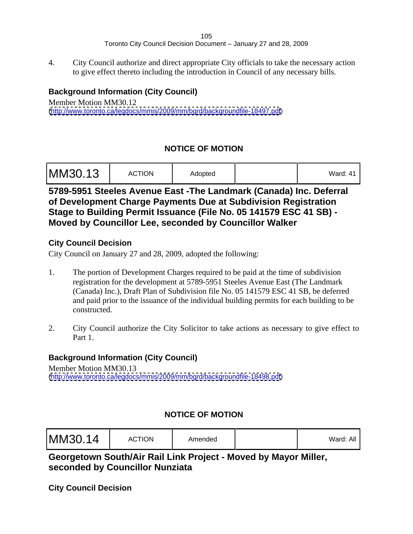4. City Council authorize and direct appropriate City officials to take the necessary action to give effect thereto including the introduction in Council of any necessary bills.

# **Background Information (City Council)**

Member Motion MM30.12 [\(http://www.toronto.ca/legdocs/mmis/2009/mm/bgrd/backgroundfile-18497.pdf](http://www.toronto.ca/legdocs/mmis/2009/mm/bgrd/backgroundfile-18497.pdf))

# **NOTICE OF MOTION**

| MM30.13 | <b>ACTION</b> | Adopted |  | $\sim$ $\sim$ $\sim$<br>Vard: 41 |  |  |  |  |  |  |  |  |  |  |  |  |  |  |  |  |
|---------|---------------|---------|--|----------------------------------|--|--|--|--|--|--|--|--|--|--|--|--|--|--|--|--|
|---------|---------------|---------|--|----------------------------------|--|--|--|--|--|--|--|--|--|--|--|--|--|--|--|--|

**5789-5951 Steeles Avenue East -The Landmark (Canada) Inc. Deferral of Development Charge Payments Due at Subdivision Registration Stage to Building Permit Issuance (File No. 05 141579 ESC 41 SB) - Moved by Councillor Lee, seconded by Councillor Walker**

# **City Council Decision**

City Council on January 27 and 28, 2009, adopted the following:

- 1. The portion of Development Charges required to be paid at the time of subdivision registration for the development at 5789-5951 Steeles Avenue East (The Landmark (Canada) Inc.), Draft Plan of Subdivision file No. 05 141579 ESC 41 SB, be deferred and paid prior to the issuance of the individual building permits for each building to be constructed.
- 2. City Council authorize the City Solicitor to take actions as necessary to give effect to Part 1.

# **Background Information (City Council)**

Member Motion MM30.13 [\(http://www.toronto.ca/legdocs/mmis/2009/mm/bgrd/backgroundfile-18498.pdf](http://www.toronto.ca/legdocs/mmis/2009/mm/bgrd/backgroundfile-18498.pdf))

# **NOTICE OF MOTION**

**Georgetown South/Air Rail Link Project - Moved by Mayor Miller, seconded by Councillor Nunziata**

**City Council Decision**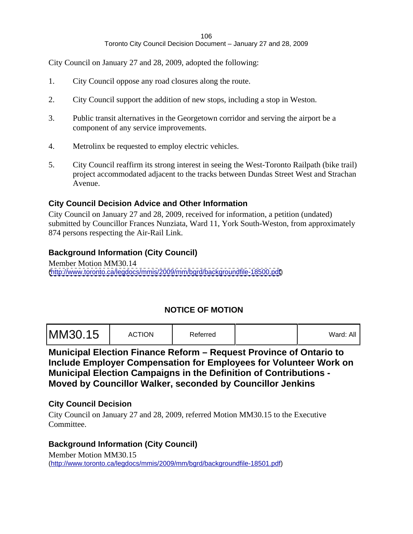City Council on January 27 and 28, 2009, adopted the following:

- 1. City Council oppose any road closures along the route.
- 2. City Council support the addition of new stops, including a stop in Weston.
- 3. Public transit alternatives in the Georgetown corridor and serving the airport be a component of any service improvements.
- 4. Metrolinx be requested to employ electric vehicles.
- 5. City Council reaffirm its strong interest in seeing the West-Toronto Railpath (bike trail) project accommodated adjacent to the tracks between Dundas Street West and Strachan Avenue.

#### **City Council Decision Advice and Other Information**

City Council on January 27 and 28, 2009, received for information, a petition (undated) submitted by Councillor Frances Nunziata, Ward 11, York South-Weston, from approximately 874 persons respecting the Air-Rail Link.

#### **Background Information (City Council)**

Member Motion MM30.14 [\(http://www.toronto.ca/legdocs/mmis/2009/mm/bgrd/backgroundfile-18500.pdf](http://www.toronto.ca/legdocs/mmis/2009/mm/bgrd/backgroundfile-18500.pdf))

### **NOTICE OF MOTION**

| MM30.15 | <b>ACTION</b><br>रेeferred | Ward: All |  |  |  |  |  |  |  |  |
|---------|----------------------------|-----------|--|--|--|--|--|--|--|--|
|---------|----------------------------|-----------|--|--|--|--|--|--|--|--|

**Municipal Election Finance Reform – Request Province of Ontario to Include Employer Compensation for Employees for Volunteer Work on Municipal Election Campaigns in the Definition of Contributions - Moved by Councillor Walker, seconded by Councillor Jenkins**

#### **City Council Decision**

City Council on January 27 and 28, 2009, referred Motion MM30.15 to the Executive Committee.

#### **Background Information (City Council)**

Member Motion MM30.15 [\(http://www.toronto.ca/legdocs/mmis/2009/mm/bgrd/backgroundfile-18501.pdf\)](http://www.toronto.ca/legdocs/mmis/2009/mm/bgrd/backgroundfile-18501.pdf)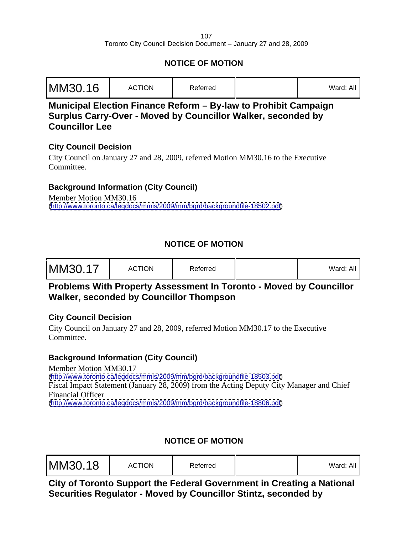# **NOTICE OF MOTION**

# **Municipal Election Finance Reform – By-law to Prohibit Campaign Surplus Carry-Over - Moved by Councillor Walker, seconded by Councillor Lee**

### **City Council Decision**

City Council on January 27 and 28, 2009, referred Motion MM30.16 to the Executive Committee.

# **Background Information (City Council)**

Member Motion MM30.16 [\(http://www.toronto.ca/legdocs/mmis/2009/mm/bgrd/backgroundfile-18502.pdf](http://www.toronto.ca/legdocs/mmis/2009/mm/bgrd/backgroundfile-18502.pdf))

# **NOTICE OF MOTION**

| MM30.17<br><b>ACTION</b> | Referred | 'Ward: All |  |  |  |  |
|--------------------------|----------|------------|--|--|--|--|
|--------------------------|----------|------------|--|--|--|--|

# **Problems With Property Assessment In Toronto - Moved by Councillor Walker, seconded by Councillor Thompson**

### **City Council Decision**

City Council on January 27 and 28, 2009, referred Motion MM30.17 to the Executive Committee.

# **Background Information (City Council)**

Member Motion MM30.17 [\(http://www.toronto.ca/legdocs/mmis/2009/mm/bgrd/backgroundfile-18503.pdf](http://www.toronto.ca/legdocs/mmis/2009/mm/bgrd/backgroundfile-18503.pdf)) Fiscal Impact Statement (January 28, 2009) from the Acting Deputy City Manager and Chief Financial Officer [\(http://www.toronto.ca/legdocs/mmis/2009/mm/bgrd/backgroundfile-18806.pdf](http://www.toronto.ca/legdocs/mmis/2009/mm/bgrd/backgroundfile-18806.pdf))

# **NOTICE OF MOTION**

| MM30.18 | <b>ACTION</b> | Referred |  | $\cdot$ $\cdot$<br>Ward <sup>.</sup> All<br>$- - - - - -$ |  |  |  |  |  |  |  |  |  |  |  |  |  |  |  |
|---------|---------------|----------|--|-----------------------------------------------------------|--|--|--|--|--|--|--|--|--|--|--|--|--|--|--|
|---------|---------------|----------|--|-----------------------------------------------------------|--|--|--|--|--|--|--|--|--|--|--|--|--|--|--|

**City of Toronto Support the Federal Government in Creating a National Securities Regulator - Moved by Councillor Stintz, seconded by**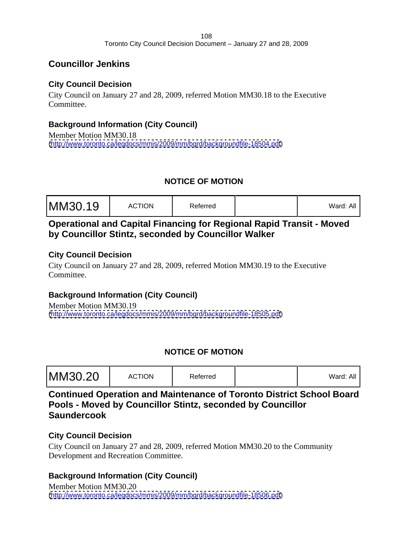# **Councillor Jenkins**

# **City Council Decision**

City Council on January 27 and 28, 2009, referred Motion MM30.18 to the Executive Committee.

# **Background Information (City Council)**

Member Motion MM30.18 [\(http://www.toronto.ca/legdocs/mmis/2009/mm/bgrd/backgroundfile-18504.pdf](http://www.toronto.ca/legdocs/mmis/2009/mm/bgrd/backgroundfile-18504.pdf))

# **NOTICE OF MOTION**

| valu. <sub>m</sub> r |
|----------------------|
|----------------------|

# **Operational and Capital Financing for Regional Rapid Transit - Moved by Councillor Stintz, seconded by Councillor Walker**

### **City Council Decision**

City Council on January 27 and 28, 2009, referred Motion MM30.19 to the Executive Committee.

# **Background Information (City Council)**

Member Motion MM30.19 [\(http://www.toronto.ca/legdocs/mmis/2009/mm/bgrd/backgroundfile-18505.pdf](http://www.toronto.ca/legdocs/mmis/2009/mm/bgrd/backgroundfile-18505.pdf))

# **NOTICE OF MOTION**

| MM30.20 | <b>ACTION</b> | Referred |  | Ward: |  |  |  |  |  |  |  |  |  |  |  |  |
|---------|---------------|----------|--|-------|--|--|--|--|--|--|--|--|--|--|--|--|
|---------|---------------|----------|--|-------|--|--|--|--|--|--|--|--|--|--|--|--|

**Continued Operation and Maintenance of Toronto District School Board Pools - Moved by Councillor Stintz, seconded by Councillor Saundercook**

# **City Council Decision**

City Council on January 27 and 28, 2009, referred Motion MM30.20 to the Community Development and Recreation Committee.

# **Background Information (City Council)**

Member Motion MM30.20 [\(http://www.toronto.ca/legdocs/mmis/2009/mm/bgrd/backgroundfile-18506.pdf](http://www.toronto.ca/legdocs/mmis/2009/mm/bgrd/backgroundfile-18506.pdf))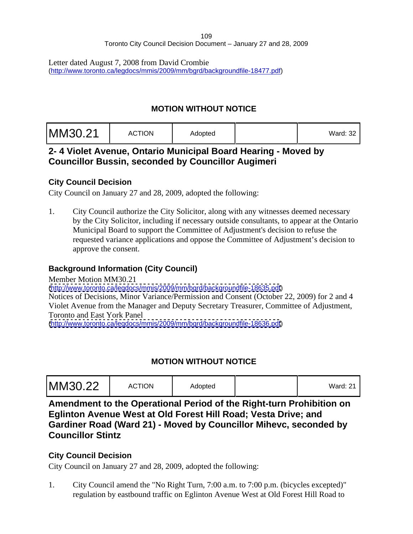Letter dated August 7, 2008 from David Crombie [\(http://www.toronto.ca/legdocs/mmis/2009/mm/bgrd/backgroundfile-18477.pdf\)](http://www.toronto.ca/legdocs/mmis/2009/mm/bgrd/backgroundfile-18477.pdf)

## **MOTION WITHOUT NOTICE**

| .<br>Ward: 3∠ |  |  |
|---------------|--|--|
|---------------|--|--|

# **2- 4 Violet Avenue, Ontario Municipal Board Hearing - Moved by Councillor Bussin, seconded by Councillor Augimeri**

## **City Council Decision**

City Council on January 27 and 28, 2009, adopted the following:

1. City Council authorize the City Solicitor, along with any witnesses deemed necessary by the City Solicitor, including if necessary outside consultants, to appear at the Ontario Municipal Board to support the Committee of Adjustment's decision to refuse the requested variance applications and oppose the Committee of Adjustment's decision to approve the consent.

# **Background Information (City Council)**

Member Motion MM30.21 [\(http://www.toronto.ca/legdocs/mmis/2009/mm/bgrd/backgroundfile-18635.pdf](http://www.toronto.ca/legdocs/mmis/2009/mm/bgrd/backgroundfile-18635.pdf)) Notices of Decisions, Minor Variance/Permission and Consent (October 22, 2009) for 2 and 4 Violet Avenue from the Manager and Deputy Secretary Treasurer, Committee of Adjustment, Toronto and East York Panel [\(http://www.toronto.ca/legdocs/mmis/2009/mm/bgrd/backgroundfile-18636.pdf](http://www.toronto.ca/legdocs/mmis/2009/mm/bgrd/backgroundfile-18636.pdf))

# **MOTION WITHOUT NOTICE**

**Amendment to the Operational Period of the Right-turn Prohibition on Eglinton Avenue West at Old Forest Hill Road; Vesta Drive; and Gardiner Road (Ward 21) - Moved by Councillor Mihevc, seconded by Councillor Stintz**

## **City Council Decision**

City Council on January 27 and 28, 2009, adopted the following:

1. City Council amend the "No Right Turn, 7:00 a.m. to 7:00 p.m. (bicycles excepted)" regulation by eastbound traffic on Eglinton Avenue West at Old Forest Hill Road to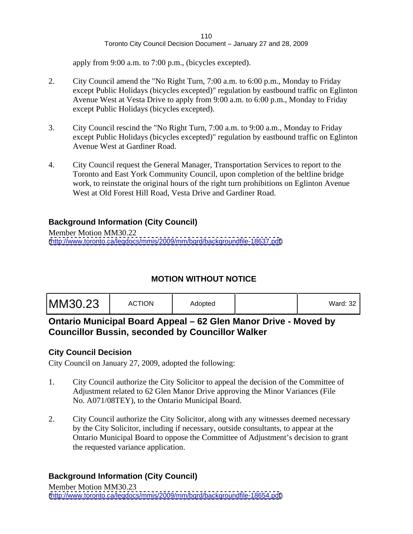apply from 9:00 a.m. to 7:00 p.m., (bicycles excepted).

- 2. City Council amend the "No Right Turn, 7:00 a.m. to 6:00 p.m., Monday to Friday except Public Holidays (bicycles excepted)" regulation by eastbound traffic on Eglinton Avenue West at Vesta Drive to apply from 9:00 a.m. to 6:00 p.m., Monday to Friday except Public Holidays (bicycles excepted).
- 3. City Council rescind the "No Right Turn, 7:00 a.m. to 9:00 a.m., Monday to Friday except Public Holidays (bicycles excepted)" regulation by eastbound traffic on Eglinton Avenue West at Gardiner Road.
- 4. City Council request the General Manager, Transportation Services to report to the Toronto and East York Community Council, upon completion of the beltline bridge work, to reinstate the original hours of the right turn prohibitions on Eglinton Avenue West at Old Forest Hill Road, Vesta Drive and Gardiner Road.

## **Background Information (City Council)**

Member Motion MM30.22 [\(http://www.toronto.ca/legdocs/mmis/2009/mm/bgrd/backgroundfile-18637.pdf](http://www.toronto.ca/legdocs/mmis/2009/mm/bgrd/backgroundfile-18637.pdf))

# **MOTION WITHOUT NOTICE**

|--|--|

# **Ontario Municipal Board Appeal – 62 Glen Manor Drive - Moved by Councillor Bussin, seconded by Councillor Walker**

## **City Council Decision**

City Council on January 27, 2009, adopted the following:

- 1. City Council authorize the City Solicitor to appeal the decision of the Committee of Adjustment related to 62 Glen Manor Drive approving the Minor Variances (File No. A071/08TEY), to the Ontario Municipal Board.
- 2. City Council authorize the City Solicitor, along with any witnesses deemed necessary by the City Solicitor, including if necessary, outside consultants, to appear at the Ontario Municipal Board to oppose the Committee of Adjustment's decision to grant the requested variance application.

# **Background Information (City Council)**

Member Motion MM30.23 [\(http://www.toronto.ca/legdocs/mmis/2009/mm/bgrd/backgroundfile-18654.pdf](http://www.toronto.ca/legdocs/mmis/2009/mm/bgrd/backgroundfile-18654.pdf))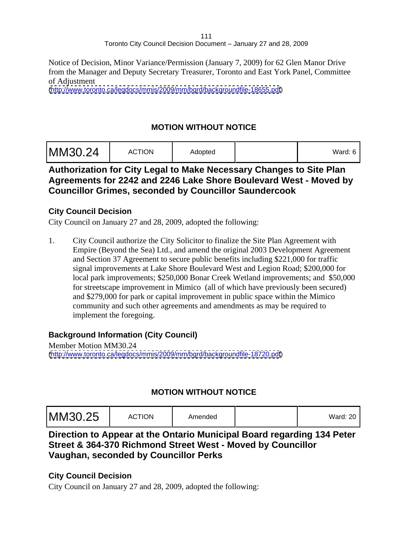Notice of Decision, Minor Variance/Permission (January 7, 2009) for 62 Glen Manor Drive from the Manager and Deputy Secretary Treasurer, Toronto and East York Panel, Committee of Adjustment

[\(http://www.toronto.ca/legdocs/mmis/2009/mm/bgrd/backgroundfile-18655.pdf](http://www.toronto.ca/legdocs/mmis/2009/mm/bgrd/backgroundfile-18655.pdf))

## **MOTION WITHOUT NOTICE**

| MM30.24 | <b>ACTION</b> | Adopted |  | $\sim$ $\sim$ $\sim$<br>Ward: 6 ' |  |  |  |  |  |  |  |  |
|---------|---------------|---------|--|-----------------------------------|--|--|--|--|--|--|--|--|
|---------|---------------|---------|--|-----------------------------------|--|--|--|--|--|--|--|--|

## **Authorization for City Legal to Make Necessary Changes to Site Plan Agreements for 2242 and 2246 Lake Shore Boulevard West - Moved by Councillor Grimes, seconded by Councillor Saundercook**

#### **City Council Decision**

City Council on January 27 and 28, 2009, adopted the following:

1. City Council authorize the City Solicitor to finalize the Site Plan Agreement with Empire (Beyond the Sea) Ltd., and amend the original 2003 Development Agreement and Section 37 Agreement to secure public benefits including \$221,000 for traffic signal improvements at Lake Shore Boulevard West and Legion Road; \$200,000 for local park improvements; \$250,000 Bonar Creek Wetland improvements; and \$50,000 for streetscape improvement in Mimico (all of which have previously been secured) and \$279,000 for park or capital improvement in public space within the Mimico community and such other agreements and amendments as may be required to implement the foregoing.

## **Background Information (City Council)**

Member Motion MM30.24 [\(http://www.toronto.ca/legdocs/mmis/2009/mm/bgrd/backgroundfile-18720.pdf](http://www.toronto.ca/legdocs/mmis/2009/mm/bgrd/backgroundfile-18720.pdf))

# **MOTION WITHOUT NOTICE**

# **Direction to Appear at the Ontario Municipal Board regarding 134 Peter Street & 364-370 Richmond Street West - Moved by Councillor Vaughan, seconded by Councillor Perks**

## **City Council Decision**

City Council on January 27 and 28, 2009, adopted the following: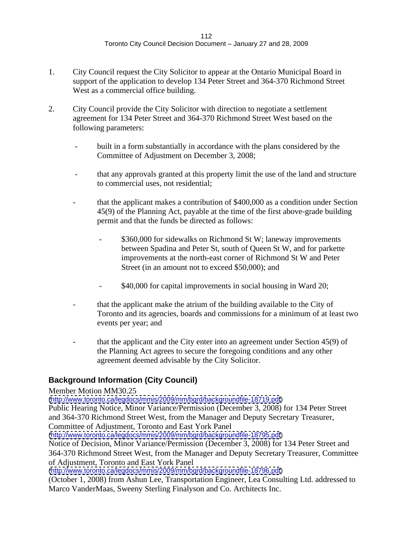- 1. City Council request the City Solicitor to appear at the Ontario Municipal Board in support of the application to develop 134 Peter Street and 364-370 Richmond Street West as a commercial office building.
- 2. City Council provide the City Solicitor with direction to negotiate a settlement agreement for 134 Peter Street and 364-370 Richmond Street West based on the following parameters:
	- built in a form substantially in accordance with the plans considered by the Committee of Adjustment on December 3, 2008;
	- that any approvals granted at this property limit the use of the land and structure to commercial uses, not residential;
	- that the applicant makes a contribution of \$400,000 as a condition under Section 45(9) of the Planning Act, payable at the time of the first above-grade building permit and that the funds be directed as follows:
		- \$360,000 for sidewalks on Richmond St W; laneway improvements between Spadina and Peter St, south of Queen St W, and for parkette improvements at the north-east corner of Richmond St W and Peter Street (in an amount not to exceed \$50,000); and
		- \$40,000 for capital improvements in social housing in Ward 20;
	- that the applicant make the atrium of the building available to the City of Toronto and its agencies, boards and commissions for a minimum of at least two events per year; and
	- that the applicant and the City enter into an agreement under Section 45(9) of the Planning Act agrees to secure the foregoing conditions and any other agreement deemed advisable by the City Solicitor.

# **Background Information (City Council)**

Member Motion MM30.25

[\(http://www.toronto.ca/legdocs/mmis/2009/mm/bgrd/backgroundfile-18719.pdf](http://www.toronto.ca/legdocs/mmis/2009/mm/bgrd/backgroundfile-18719.pdf)) Public Hearing Notice, Minor Variance/Permission (December 3, 2008) for 134 Peter Street and 364-370 Richmond Street West, from the Manager and Deputy Secretary Treasurer, Committee of Adjustment, Toronto and East York Panel

[\(http://www.toronto.ca/legdocs/mmis/2009/mm/bgrd/backgroundfile-18795.pdf](http://www.toronto.ca/legdocs/mmis/2009/mm/bgrd/backgroundfile-18795.pdf))

Notice of Decision, Minor Variance/Permission (December 3, 2008) for 134 Peter Street and 364-370 Richmond Street West, from the Manager and Deputy Secretary Treasurer, Committee of Adjustment, Toronto and East York Panel

[\(http://www.toronto.ca/legdocs/mmis/2009/mm/bgrd/backgroundfile-18796.pdf](http://www.toronto.ca/legdocs/mmis/2009/mm/bgrd/backgroundfile-18796.pdf))

(October 1, 2008) from Ashun Lee, Transportation Engineer, Lea Consulting Ltd. addressed to Marco VanderMaas, Sweeny Sterling Finalyson and Co. Architects Inc.